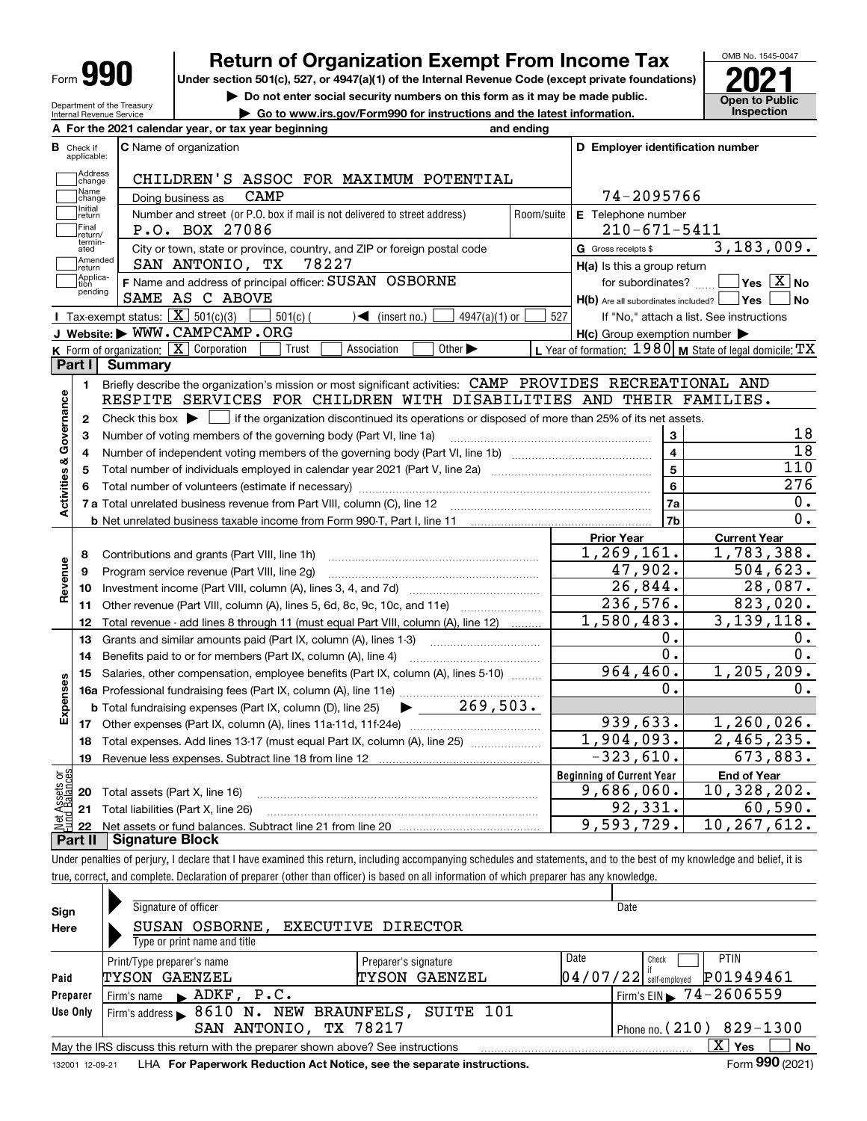| Form | п |
|------|---|
|------|---|

Department of the Treasury Internal Revenue Service

## **Return of Organization Exempt From Income Tax**

Under section 501(c), 527, or 4947(a)(1) of the Internal Revenue Code (except private foundations) **2021** 

**| Do not enter social security numbers on this form as it may be made public.**

**| Go to www.irs.gov/Form990 for instructions and the latest information. Inspection**



| Check if                                             |                    | A For the 2021 calendar year, or tax year beginning                                                                                                            | and ending              |                                                     |                                                                                                                                                                 |
|------------------------------------------------------|--------------------|----------------------------------------------------------------------------------------------------------------------------------------------------------------|-------------------------|-----------------------------------------------------|-----------------------------------------------------------------------------------------------------------------------------------------------------------------|
|                                                      | applicable:        | <b>C</b> Name of organization                                                                                                                                  |                         | D Employer identification number                    |                                                                                                                                                                 |
|                                                      | Address<br>change  | CHILDREN'S ASSOC FOR MAXIMUM POTENTIAL                                                                                                                         |                         |                                                     |                                                                                                                                                                 |
|                                                      | Name<br>change     | <b>CAMP</b><br>Doing business as                                                                                                                               |                         | 74-2095766                                          |                                                                                                                                                                 |
|                                                      | Initial<br>return  | Number and street (or P.O. box if mail is not delivered to street address)                                                                                     | Room/suite              | E Telephone number                                  |                                                                                                                                                                 |
|                                                      | Final<br>return/   | P.O. BOX 27086                                                                                                                                                 |                         | $210 - 671 - 5411$                                  |                                                                                                                                                                 |
|                                                      | termin-<br>ated    | City or town, state or province, country, and ZIP or foreign postal code                                                                                       |                         | G Gross receipts \$                                 | 3,183,009.                                                                                                                                                      |
|                                                      | Amended<br>Ireturn | SAN ANTONIO, TX<br>78227                                                                                                                                       |                         | $H(a)$ is this a group return                       |                                                                                                                                                                 |
|                                                      | Applica-<br>tion   | F Name and address of principal officer: SUSAN OSBORNE                                                                                                         |                         | for subordinates?                                   | $Yes \ \boxed{X}$ No                                                                                                                                            |
|                                                      | pending            | SAME AS C ABOVE                                                                                                                                                |                         | $H(b)$ Are all subordinates included? $\Box$ Yes    | <b>No</b>                                                                                                                                                       |
|                                                      |                    | Tax-exempt status: $\boxed{\mathbf{X}}$ 501(c)(3)<br>$\sqrt{\phantom{a}}$ (insert no.)<br>$4947(a)(1)$ or<br>$501(c)$ (                                        | 527                     |                                                     | If "No," attach a list. See instructions                                                                                                                        |
|                                                      |                    | J Website: WWW.CAMPCAMP.ORG                                                                                                                                    |                         | $H(c)$ Group exemption number $\blacktriangleright$ |                                                                                                                                                                 |
|                                                      |                    | K Form of organization: $\boxed{\mathbf{X}}$ Corporation<br>Other $\blacktriangleright$<br>Trust<br>Association                                                |                         |                                                     | L Year of formation: $1980$ M State of legal domicile: TX                                                                                                       |
| Part I                                               |                    | <b>Summary</b>                                                                                                                                                 |                         |                                                     |                                                                                                                                                                 |
|                                                      | 1.                 | Briefly describe the organization's mission or most significant activities: CAMP PROVIDES RECREATIONAL AND                                                     |                         |                                                     |                                                                                                                                                                 |
| Activities & Governance                              |                    | RESPITE SERVICES FOR CHILDREN WITH DISABILITIES AND THEIR FAMILIES.                                                                                            |                         |                                                     |                                                                                                                                                                 |
|                                                      | $\mathbf{2}$       | Check this box $\blacktriangleright$ $\blacksquare$ if the organization discontinued its operations or disposed of more than 25% of its net assets.            |                         |                                                     |                                                                                                                                                                 |
|                                                      | 3                  | Number of voting members of the governing body (Part VI, line 1a)                                                                                              |                         | 3                                                   | 18                                                                                                                                                              |
|                                                      | 4                  |                                                                                                                                                                | $\overline{\mathbf{4}}$ | 18                                                  |                                                                                                                                                                 |
|                                                      | 5                  |                                                                                                                                                                | 5                       | 110                                                 |                                                                                                                                                                 |
|                                                      | 6                  |                                                                                                                                                                | 6                       | $\overline{276}$                                    |                                                                                                                                                                 |
|                                                      |                    |                                                                                                                                                                |                         | <b>7a</b>                                           | 0.                                                                                                                                                              |
|                                                      |                    |                                                                                                                                                                |                         |                                                     |                                                                                                                                                                 |
|                                                      |                    | <b>b</b> Net unrelated business taxable income from Form 990-T, Part I, line 11                                                                                |                         | 7 <sub>b</sub>                                      |                                                                                                                                                                 |
|                                                      |                    |                                                                                                                                                                |                         | <b>Prior Year</b>                                   | <b>Current Year</b>                                                                                                                                             |
|                                                      | 8                  | Contributions and grants (Part VIII, line 1h)                                                                                                                  |                         |                                                     |                                                                                                                                                                 |
|                                                      | 9                  | Program service revenue (Part VIII, line 2g)                                                                                                                   |                         | 1,269,161.<br>47,902.                               |                                                                                                                                                                 |
|                                                      | 10                 |                                                                                                                                                                |                         | 26,844.                                             |                                                                                                                                                                 |
|                                                      | 11                 |                                                                                                                                                                |                         | 236,576.                                            |                                                                                                                                                                 |
|                                                      | 12                 | Other revenue (Part VIII, column (A), lines 5, 6d, 8c, 9c, 10c, and 11e)<br>Total revenue - add lines 8 through 11 (must equal Part VIII, column (A), line 12) |                         | 1,580,483.                                          |                                                                                                                                                                 |
|                                                      | 13                 | Grants and similar amounts paid (Part IX, column (A), lines 1-3)                                                                                               |                         | Ο.                                                  |                                                                                                                                                                 |
|                                                      | 14                 |                                                                                                                                                                |                         | $\overline{0}$ .                                    |                                                                                                                                                                 |
|                                                      | 15                 | Salaries, other compensation, employee benefits (Part IX, column (A), lines 5-10)                                                                              |                         | 964, 460.                                           |                                                                                                                                                                 |
|                                                      |                    |                                                                                                                                                                |                         | Ο.                                                  |                                                                                                                                                                 |
|                                                      |                    | $\blacktriangleright$ 269,503.<br><b>b</b> Total fundraising expenses (Part IX, column (D), line 25)                                                           |                         |                                                     |                                                                                                                                                                 |
|                                                      |                    |                                                                                                                                                                |                         | 939,633.                                            |                                                                                                                                                                 |
|                                                      | 18                 | Total expenses. Add lines 13-17 (must equal Part IX, column (A), line 25)                                                                                      |                         | 1,904,093.                                          |                                                                                                                                                                 |
|                                                      | 19                 |                                                                                                                                                                |                         | $-323,610.$                                         |                                                                                                                                                                 |
|                                                      |                    |                                                                                                                                                                |                         | <b>Beginning of Current Year</b>                    | <b>End of Year</b>                                                                                                                                              |
| Revenue<br>Expenses<br>Ξğ<br>$\overline{\mathbf{c}}$ | 20                 | Total assets (Part X, line 16)                                                                                                                                 |                         | 9,686,060.                                          | 0.<br>1,783,388.<br>504, 623.<br>28,087.<br>823,020.<br>3, 139, 118.<br>0.<br>0.<br>1, 205, 209.<br>0.<br>1, 260, 026.<br>2,465,235.<br>673,883.<br>10,328,202. |
|                                                      |                    | 21 Total liabilities (Part X, line 26)                                                                                                                         |                         | 92,331.                                             | 60,590.                                                                                                                                                         |

Under penalties of perjury, I declare that I have examined this return, including accompanying schedules and statements, and to the best of my knowledge and belief, it is true, correct, and complete. Declaration of preparer (other than officer) is based on all information of which preparer has any knowledge.

| Sign     | Signature of officer                                                                                         |                      |      | Date                                   |  |  |  |  |  |  |  |
|----------|--------------------------------------------------------------------------------------------------------------|----------------------|------|----------------------------------------|--|--|--|--|--|--|--|
| Here     | SUSAN OSBORNE,                                                                                               | EXECUTIVE DIRECTOR   |      |                                        |  |  |  |  |  |  |  |
|          | Type or print name and title                                                                                 |                      |      |                                        |  |  |  |  |  |  |  |
|          | Print/Type preparer's name                                                                                   | Preparer's signature | Date | <b>PTIN</b><br>Check                   |  |  |  |  |  |  |  |
| Paid     | TYSON GAENZEL                                                                                                | GAENZEL<br>TYSON     |      | P01949461<br>$04/07/22$ self-employed  |  |  |  |  |  |  |  |
| Preparer | Firm's name ADKF, P.C.                                                                                       |                      |      | Firm's EIN $\triangleright$ 74-2606559 |  |  |  |  |  |  |  |
| Use Only | Firm's address > 8610 N. NEW BRAUNFELS, SUITE 101                                                            |                      |      |                                        |  |  |  |  |  |  |  |
|          | SAN ANTONIO, TX 78217<br>Phone no. $(210)$ 829-1300                                                          |                      |      |                                        |  |  |  |  |  |  |  |
|          | x<br><b>No</b><br>Yes<br>May the IRS discuss this return with the preparer shown above? See instructions     |                      |      |                                        |  |  |  |  |  |  |  |
|          | Form 990 (2021)<br>LHA For Paperwork Reduction Act Notice, see the separate instructions.<br>132001 12-09-21 |                      |      |                                        |  |  |  |  |  |  |  |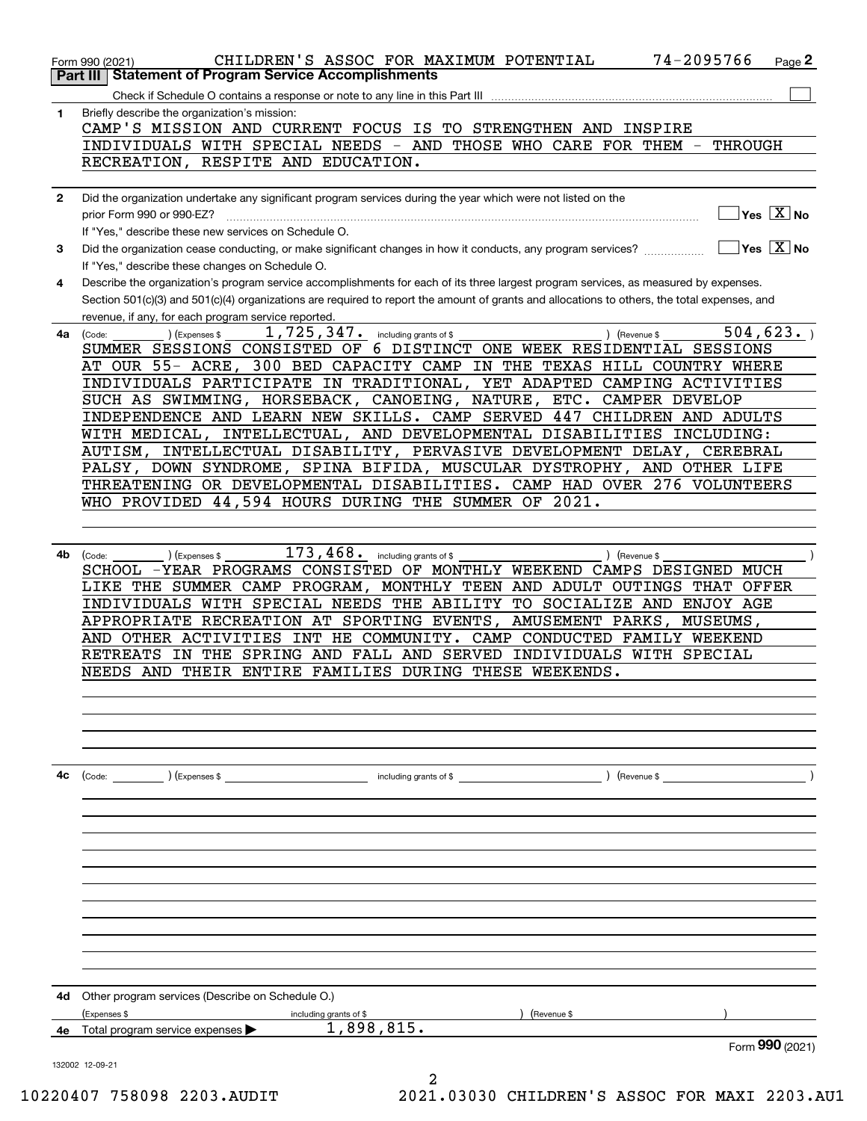|              | 74-2095766<br>CHILDREN'S ASSOC FOR MAXIMUM POTENTIAL<br>Page 2<br>Form 990 (2021)<br><b>Statement of Program Service Accomplishments</b><br>Part III                                       |
|--------------|--------------------------------------------------------------------------------------------------------------------------------------------------------------------------------------------|
|              |                                                                                                                                                                                            |
| 1            | Briefly describe the organization's mission:<br>CAMP'S MISSION AND CURRENT FOCUS IS TO STRENGTHEN AND INSPIRE                                                                              |
|              | INDIVIDUALS WITH SPECIAL NEEDS - AND THOSE WHO CARE FOR THEM -<br>THROUGH<br>RECREATION, RESPITE AND EDUCATION.                                                                            |
|              |                                                                                                                                                                                            |
|              |                                                                                                                                                                                            |
| $\mathbf{2}$ | Did the organization undertake any significant program services during the year which were not listed on the<br>Yes $X$ No<br>prior Form 990 or 990-EZ?                                    |
|              | If "Yes," describe these new services on Schedule O.                                                                                                                                       |
| 3            | $Yes$ $\overline{X}$ No<br>Did the organization cease conducting, or make significant changes in how it conducts, any program services?<br>If "Yes," describe these changes on Schedule O. |
| 4            | Describe the organization's program service accomplishments for each of its three largest program services, as measured by expenses.                                                       |
|              | Section 501(c)(3) and 501(c)(4) organizations are required to report the amount of grants and allocations to others, the total expenses, and                                               |
|              | revenue, if any, for each program service reported.<br>504, 623.<br>1,725,347.                                                                                                             |
| 4a           | including grants of \$<br>) (Revenue \$<br>CExpenses \$<br>(Code:                                                                                                                          |
|              | SUMMER SESSIONS CONSISTED OF 6 DISTINCT ONE WEEK RESIDENTIAL SESSIONS                                                                                                                      |
|              | AT OUR 55- ACRE, 300 BED CAPACITY CAMP IN THE TEXAS HILL COUNTRY WHERE                                                                                                                     |
|              | INDIVIDUALS PARTICIPATE IN TRADITIONAL, YET ADAPTED CAMPING ACTIVITIES                                                                                                                     |
|              | SUCH AS SWIMMING, HORSEBACK, CANOEING, NATURE,<br>ETC. CAMPER DEVELOP                                                                                                                      |
|              | INDEPENDENCE AND LEARN NEW SKILLS. CAMP SERVED 447 CHILDREN AND ADULTS                                                                                                                     |
|              | WITH MEDICAL, INTELLECTUAL, AND DEVELOPMENTAL DISABILITIES INCLUDING:                                                                                                                      |
|              | AUTISM, INTELLECTUAL DISABILITY, PERVASIVE DEVELOPMENT DELAY, CEREBRAL                                                                                                                     |
|              | PALSY, DOWN SYNDROME, SPINA BIFIDA, MUSCULAR DYSTROPHY, AND OTHER LIFE                                                                                                                     |
|              | THREATENING OR DEVELOPMENTAL DISABILITIES. CAMP HAD OVER 276 VOLUNTEERS                                                                                                                    |
|              | WHO PROVIDED 44,594 HOURS DURING THE SUMMER OF 2021.                                                                                                                                       |
|              |                                                                                                                                                                                            |
|              |                                                                                                                                                                                            |
|              |                                                                                                                                                                                            |
| 4b           | 173,468.<br>(Expenses \$<br>including grants of \$<br>) (Revenue \$<br>(Code:                                                                                                              |
|              | SCHOOL -YEAR PROGRAMS CONSISTED OF MONTHLY WEEKEND CAMPS DESIGNED MUCH                                                                                                                     |
|              | LIKE THE SUMMER CAMP PROGRAM, MONTHLY TEEN AND ADULT OUTINGS THAT OFFER                                                                                                                    |
|              | INDIVIDUALS WITH SPECIAL NEEDS THE ABILITY<br>TO SOCIALIZE AND ENJOY AGE                                                                                                                   |
|              | APPROPRIATE RECREATION AT SPORTING EVENTS,<br>AMUSEMENT PARKS,<br>MUSEUMS,                                                                                                                 |
|              | INT HE COMMUNITY.<br>CAMP CONDUCTED FAMILY WEEKEND<br>AND OTHER ACTIVITIES                                                                                                                 |
|              |                                                                                                                                                                                            |
|              | <b>RETREATS</b><br>SPRING AND FALL AND SERVED<br>INDIVIDUALS WITH SPECIAL<br>IN THE                                                                                                        |
|              | NEEDS AND THEIR ENTIRE FAMILIES DURING THESE WEEKENDS.                                                                                                                                     |
|              |                                                                                                                                                                                            |
|              |                                                                                                                                                                                            |
|              |                                                                                                                                                                                            |
|              |                                                                                                                                                                                            |
|              |                                                                                                                                                                                            |
| 4с           | $($ Revenue \$<br>$\text{(Code:}$ $\qquad \qquad$ $\text{(Expenses $}$<br>including grants of $$$                                                                                          |
|              |                                                                                                                                                                                            |
|              |                                                                                                                                                                                            |
|              |                                                                                                                                                                                            |
|              |                                                                                                                                                                                            |
|              |                                                                                                                                                                                            |
|              |                                                                                                                                                                                            |
|              |                                                                                                                                                                                            |
|              |                                                                                                                                                                                            |
|              |                                                                                                                                                                                            |
|              |                                                                                                                                                                                            |
|              |                                                                                                                                                                                            |
|              |                                                                                                                                                                                            |
|              |                                                                                                                                                                                            |
|              |                                                                                                                                                                                            |
| 4d           | Other program services (Describe on Schedule O.)                                                                                                                                           |
|              | (Expenses \$<br>(Revenue \$<br>including grants of \$                                                                                                                                      |
| 4е           | 1,898,815.<br>Total program service expenses                                                                                                                                               |
|              | Form 990 (2021)                                                                                                                                                                            |
|              | 132002 12-09-21                                                                                                                                                                            |

10220407 758098 2203.AUDIT 2021.03030 CHILDREN'S ASSOC FOR MAXI 2203.AU1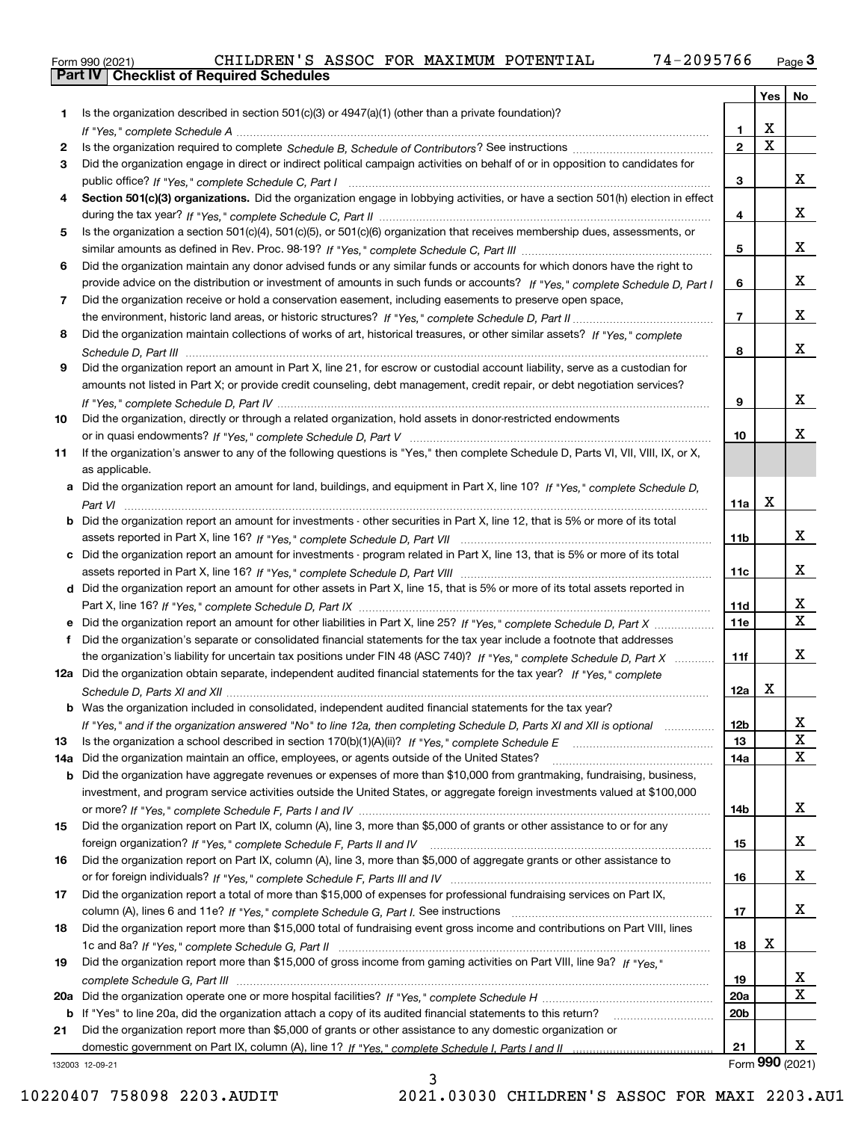|  | Form 990 (2021) |
|--|-----------------|
|  |                 |

|     |                                                                                                                                                 |                | Yes                   | No                      |
|-----|-------------------------------------------------------------------------------------------------------------------------------------------------|----------------|-----------------------|-------------------------|
|     | Is the organization described in section $501(c)(3)$ or $4947(a)(1)$ (other than a private foundation)?                                         |                |                       |                         |
|     |                                                                                                                                                 | 1              | х                     |                         |
| 2   |                                                                                                                                                 | $\overline{2}$ | $\overline{\text{x}}$ |                         |
| 3   | Did the organization engage in direct or indirect political campaign activities on behalf of or in opposition to candidates for                 |                |                       |                         |
|     |                                                                                                                                                 | 3              |                       | x                       |
| 4   | Section 501(c)(3) organizations. Did the organization engage in lobbying activities, or have a section 501(h) election in effect                |                |                       |                         |
|     |                                                                                                                                                 | 4              |                       | x                       |
| 5   | Is the organization a section 501(c)(4), 501(c)(5), or 501(c)(6) organization that receives membership dues, assessments, or                    |                |                       |                         |
|     |                                                                                                                                                 | 5              |                       | x                       |
| 6   | Did the organization maintain any donor advised funds or any similar funds or accounts for which donors have the right to                       |                |                       |                         |
|     | provide advice on the distribution or investment of amounts in such funds or accounts? If "Yes," complete Schedule D, Part I                    | 6              |                       | x                       |
| 7   | Did the organization receive or hold a conservation easement, including easements to preserve open space,                                       |                |                       |                         |
|     |                                                                                                                                                 | $\overline{7}$ |                       | x                       |
| 8   | Did the organization maintain collections of works of art, historical treasures, or other similar assets? If "Yes," complete                    |                |                       |                         |
|     |                                                                                                                                                 | 8              |                       | x                       |
| 9   | Did the organization report an amount in Part X, line 21, for escrow or custodial account liability, serve as a custodian for                   |                |                       |                         |
|     | amounts not listed in Part X; or provide credit counseling, debt management, credit repair, or debt negotiation services?                       |                |                       | x                       |
|     |                                                                                                                                                 | 9              |                       |                         |
| 10  | Did the organization, directly or through a related organization, hold assets in donor-restricted endowments                                    |                |                       | X.                      |
|     |                                                                                                                                                 | 10             |                       |                         |
| 11  | If the organization's answer to any of the following questions is "Yes," then complete Schedule D, Parts VI, VII, VIII, IX, or X,               |                |                       |                         |
|     | as applicable.<br>a Did the organization report an amount for land, buildings, and equipment in Part X, line 10? If "Yes," complete Schedule D, |                |                       |                         |
|     |                                                                                                                                                 | 11a            | X                     |                         |
|     | <b>b</b> Did the organization report an amount for investments - other securities in Part X, line 12, that is 5% or more of its total           |                |                       |                         |
|     |                                                                                                                                                 | 11b            |                       | x                       |
| c   | Did the organization report an amount for investments - program related in Part X, line 13, that is 5% or more of its total                     |                |                       |                         |
|     |                                                                                                                                                 | 11c            |                       | x                       |
|     | d Did the organization report an amount for other assets in Part X, line 15, that is 5% or more of its total assets reported in                 |                |                       |                         |
|     |                                                                                                                                                 | 11d            |                       | x                       |
|     |                                                                                                                                                 | <b>11e</b>     |                       | $\overline{\mathbf{x}}$ |
| f   | Did the organization's separate or consolidated financial statements for the tax year include a footnote that addresses                         |                |                       |                         |
|     | the organization's liability for uncertain tax positions under FIN 48 (ASC 740)? If "Yes," complete Schedule D, Part X                          | 11f            |                       | x                       |
|     | 12a Did the organization obtain separate, independent audited financial statements for the tax year? If "Yes," complete                         |                |                       |                         |
|     |                                                                                                                                                 | 12a            | x                     |                         |
|     | <b>b</b> Was the organization included in consolidated, independent audited financial statements for the tax year?                              |                |                       |                         |
|     | If "Yes," and if the organization answered "No" to line 12a, then completing Schedule D, Parts XI and XII is optional                           | 12b            |                       | Y                       |
| 13  |                                                                                                                                                 | 13             |                       | X                       |
| 14a | Did the organization maintain an office, employees, or agents outside of the United States?                                                     | 14a            |                       | $\mathbf X$             |
| b   | Did the organization have aggregate revenues or expenses of more than \$10,000 from grantmaking, fundraising, business,                         |                |                       |                         |
|     | investment, and program service activities outside the United States, or aggregate foreign investments valued at \$100,000                      |                |                       |                         |
|     |                                                                                                                                                 | 14b            |                       | x                       |
| 15  | Did the organization report on Part IX, column (A), line 3, more than \$5,000 of grants or other assistance to or for any                       |                |                       |                         |
|     |                                                                                                                                                 | 15             |                       | x                       |
| 16  | Did the organization report on Part IX, column (A), line 3, more than \$5,000 of aggregate grants or other assistance to                        |                |                       |                         |
|     |                                                                                                                                                 | 16             |                       | x                       |
| 17  | Did the organization report a total of more than \$15,000 of expenses for professional fundraising services on Part IX,                         |                |                       |                         |
|     |                                                                                                                                                 | 17             |                       | x                       |
| 18  | Did the organization report more than \$15,000 total of fundraising event gross income and contributions on Part VIII, lines                    |                |                       |                         |
|     |                                                                                                                                                 | 18             | х                     |                         |
| 19  | Did the organization report more than \$15,000 of gross income from gaming activities on Part VIII, line 9a? If "Yes."                          |                |                       |                         |
|     |                                                                                                                                                 | 19             |                       | X                       |
| 20a |                                                                                                                                                 | 20a            |                       | $\mathbf x$             |
| b   | If "Yes" to line 20a, did the organization attach a copy of its audited financial statements to this return?                                    | 20b            |                       |                         |
| 21  | Did the organization report more than \$5,000 of grants or other assistance to any domestic organization or                                     |                |                       |                         |
|     |                                                                                                                                                 | 21             |                       | x<br>Form 990 (2021)    |
|     | 132003 12-09-21                                                                                                                                 |                |                       |                         |

132003 12-09-21

3 10220407 758098 2203.AUDIT 2021.03030 CHILDREN'S ASSOC FOR MAXI 2203.AU1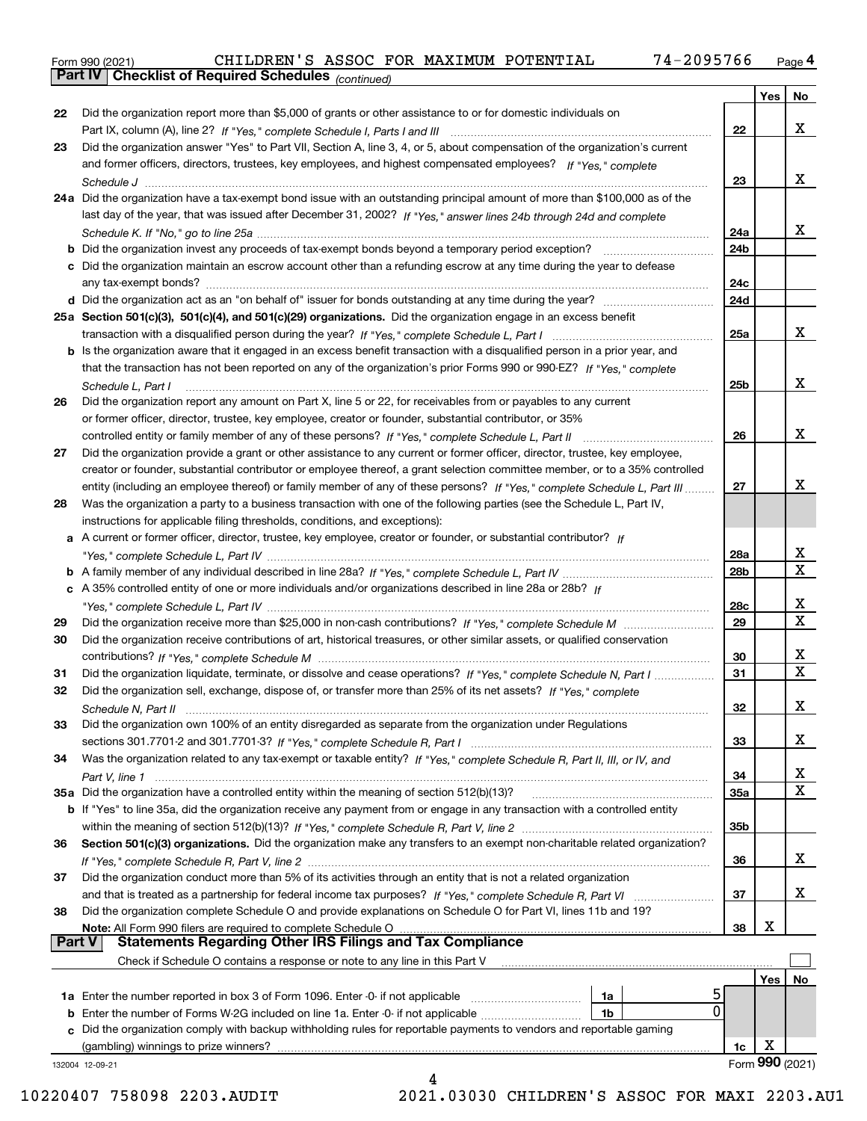| Form 990 (2021) |                                                       |  |  | CHILDREN'S ASSOC FOR MAXIMUM POTENTIAL | 74-2095766 | Page 4 |
|-----------------|-------------------------------------------------------|--|--|----------------------------------------|------------|--------|
|                 | Part IV   Checklist of Required Schedules (continued) |  |  |                                        |            |        |

*(continued)*

|        |                                                                                                                              |            | Yes  | No                           |
|--------|------------------------------------------------------------------------------------------------------------------------------|------------|------|------------------------------|
| 22     | Did the organization report more than \$5,000 of grants or other assistance to or for domestic individuals on                |            |      |                              |
|        |                                                                                                                              | 22         |      | x                            |
| 23     | Did the organization answer "Yes" to Part VII, Section A, line 3, 4, or 5, about compensation of the organization's current  |            |      |                              |
|        | and former officers, directors, trustees, key employees, and highest compensated employees? If "Yes," complete               |            |      |                              |
|        |                                                                                                                              | 23         |      | x                            |
|        | 24a Did the organization have a tax-exempt bond issue with an outstanding principal amount of more than \$100,000 as of the  |            |      |                              |
|        | last day of the year, that was issued after December 31, 2002? If "Yes," answer lines 24b through 24d and complete           |            |      |                              |
|        |                                                                                                                              | 24a        |      | x                            |
| b      | Did the organization invest any proceeds of tax-exempt bonds beyond a temporary period exception?                            | 24b        |      |                              |
|        | c Did the organization maintain an escrow account other than a refunding escrow at any time during the year to defease       |            |      |                              |
|        |                                                                                                                              | 24c        |      |                              |
|        |                                                                                                                              | 24d        |      |                              |
|        | 25a Section 501(c)(3), 501(c)(4), and 501(c)(29) organizations. Did the organization engage in an excess benefit             |            |      |                              |
|        |                                                                                                                              | 25a        |      | X.                           |
|        | b Is the organization aware that it engaged in an excess benefit transaction with a disqualified person in a prior year, and |            |      |                              |
|        | that the transaction has not been reported on any of the organization's prior Forms 990 or 990-EZ? If "Yes." complete        |            |      |                              |
|        | Schedule L, Part I                                                                                                           | 25b        |      | x                            |
| 26     | Did the organization report any amount on Part X, line 5 or 22, for receivables from or payables to any current              |            |      |                              |
|        | or former officer, director, trustee, key employee, creator or founder, substantial contributor, or 35%                      |            |      |                              |
|        | controlled entity or family member of any of these persons? If "Yes," complete Schedule L, Part II                           | 26         |      | x                            |
| 27     | Did the organization provide a grant or other assistance to any current or former officer, director, trustee, key employee,  |            |      |                              |
|        | creator or founder, substantial contributor or employee thereof, a grant selection committee member, or to a 35% controlled  |            |      |                              |
|        | entity (including an employee thereof) or family member of any of these persons? If "Yes," complete Schedule L, Part III     | 27         |      | x                            |
|        | Was the organization a party to a business transaction with one of the following parties (see the Schedule L, Part IV,       |            |      |                              |
| 28     |                                                                                                                              |            |      |                              |
|        | instructions for applicable filing thresholds, conditions, and exceptions):                                                  |            |      |                              |
|        | a A current or former officer, director, trustee, key employee, creator or founder, or substantial contributor? If           |            |      | x                            |
|        |                                                                                                                              | 28a        |      | $\overline{\mathtt{x}}$      |
|        |                                                                                                                              | 28b        |      |                              |
|        | c A 35% controlled entity of one or more individuals and/or organizations described in line 28a or 28b? If                   |            |      |                              |
|        |                                                                                                                              | 28c        |      | x<br>$\overline{\mathbf{x}}$ |
| 29     |                                                                                                                              | 29         |      |                              |
| 30     | Did the organization receive contributions of art, historical treasures, or other similar assets, or qualified conservation  |            |      |                              |
|        |                                                                                                                              | 30         |      | x<br>$\overline{\textbf{x}}$ |
| 31     | Did the organization liquidate, terminate, or dissolve and cease operations? If "Yes," complete Schedule N. Part I           | 31         |      |                              |
| 32     | Did the organization sell, exchange, dispose of, or transfer more than 25% of its net assets? If "Yes," complete             |            |      |                              |
|        |                                                                                                                              | 32         |      | x                            |
| 33     | Did the organization own 100% of an entity disregarded as separate from the organization under Regulations                   |            |      |                              |
|        |                                                                                                                              | 33         |      | x                            |
| 34     | Was the organization related to any tax-exempt or taxable entity? If "Yes," complete Schedule R, Part II, III, or IV, and    |            |      |                              |
|        |                                                                                                                              | 34         |      | X                            |
|        | 35a Did the organization have a controlled entity within the meaning of section 512(b)(13)?                                  | <b>35a</b> |      | X                            |
|        | b If "Yes" to line 35a, did the organization receive any payment from or engage in any transaction with a controlled entity  |            |      |                              |
|        |                                                                                                                              | 35b        |      |                              |
| 36     | Section 501(c)(3) organizations. Did the organization make any transfers to an exempt non-charitable related organization?   |            |      |                              |
|        |                                                                                                                              | 36         |      | X.                           |
| 37     | Did the organization conduct more than 5% of its activities through an entity that is not a related organization             |            |      |                              |
|        | and that is treated as a partnership for federal income tax purposes? If "Yes," complete Schedule R, Part VI                 | 37         |      | X.                           |
| 38     | Did the organization complete Schedule O and provide explanations on Schedule O for Part VI, lines 11b and 19?               |            |      |                              |
|        | Note: All Form 990 filers are required to complete Schedule O                                                                | 38         | х    |                              |
| Part V | <b>Statements Regarding Other IRS Filings and Tax Compliance</b>                                                             |            |      |                              |
|        | Check if Schedule O contains a response or note to any line in this Part V                                                   |            |      |                              |
|        |                                                                                                                              |            | Yes∣ | No                           |
|        | ל<br>1a                                                                                                                      |            |      |                              |
| b      | 0<br>Enter the number of Forms W-2G included on line 1a. Enter -0- if not applicable<br>1b                                   |            |      |                              |
| c      | Did the organization comply with backup withholding rules for reportable payments to vendors and reportable gaming           |            |      |                              |
|        | (gambling) winnings to prize winners?                                                                                        | 1c         | х    |                              |
|        | 132004 12-09-21                                                                                                              |            |      | Form 990 (2021)              |
|        |                                                                                                                              |            |      |                              |

10220407 758098 2203.AUDIT 2021.03030 CHILDREN'S ASSOC FOR MAXI 2203.AU1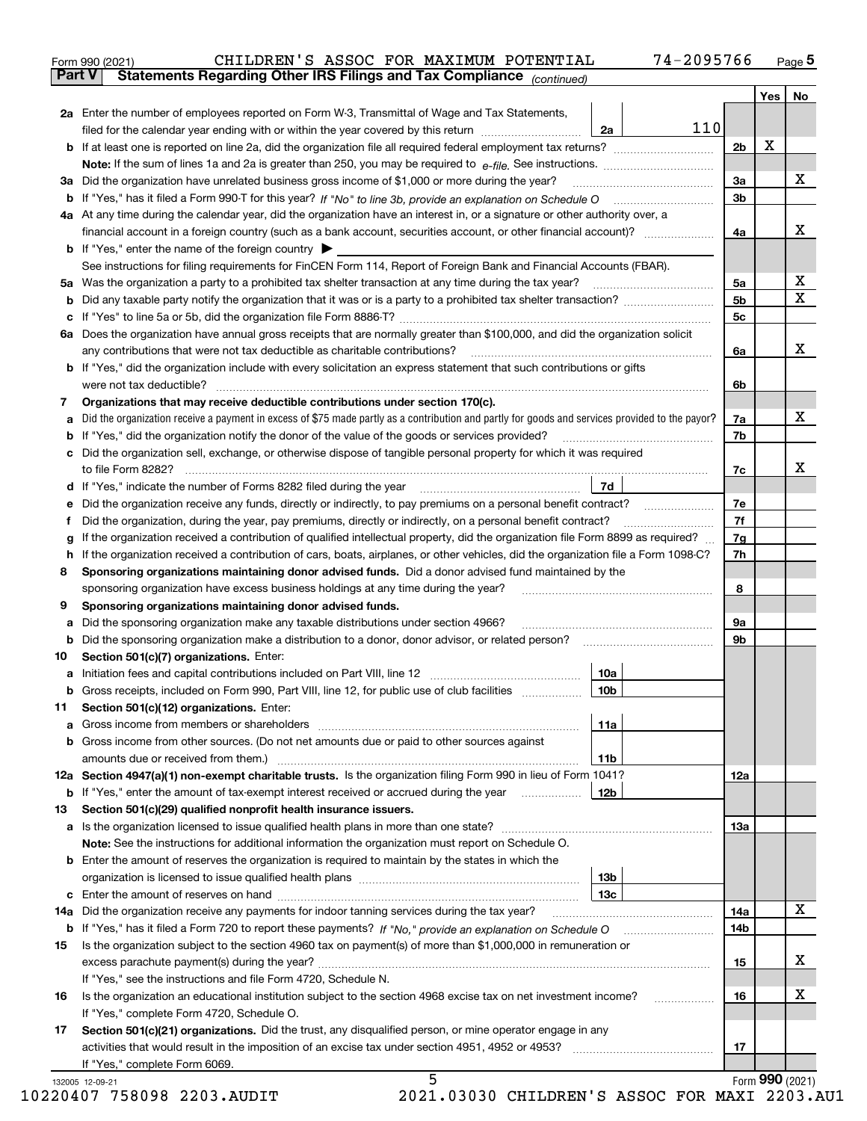|    |                                                                                                                                                   |            |                | Yes | No                      |
|----|---------------------------------------------------------------------------------------------------------------------------------------------------|------------|----------------|-----|-------------------------|
|    | 2a Enter the number of employees reported on Form W-3, Transmittal of Wage and Tax Statements,                                                    |            |                |     |                         |
|    | filed for the calendar year ending with or within the year covered by this return                                                                 | 110<br>2a  |                |     |                         |
|    |                                                                                                                                                   |            | 2 <sub>b</sub> | х   |                         |
|    |                                                                                                                                                   |            |                |     |                         |
|    |                                                                                                                                                   |            | 3a             |     | X                       |
|    |                                                                                                                                                   |            | 3 <sub>b</sub> |     |                         |
|    | 4a At any time during the calendar year, did the organization have an interest in, or a signature or other authority over, a                      |            |                |     |                         |
|    | financial account in a foreign country (such as a bank account, securities account, or other financial account)?                                  |            | 4a             |     | х                       |
|    | <b>b</b> If "Yes," enter the name of the foreign country $\blacktriangleright$                                                                    |            |                |     |                         |
|    | See instructions for filing requirements for FinCEN Form 114, Report of Foreign Bank and Financial Accounts (FBAR).                               |            |                |     |                         |
|    |                                                                                                                                                   |            | 5a             |     | х                       |
| b  |                                                                                                                                                   |            | 5b             |     | $\overline{\mathbf{X}}$ |
|    |                                                                                                                                                   |            | 5с             |     |                         |
|    | 6a Does the organization have annual gross receipts that are normally greater than \$100,000, and did the organization solicit                    |            |                |     |                         |
|    |                                                                                                                                                   |            | 6a             |     | X                       |
|    | <b>b</b> If "Yes," did the organization include with every solicitation an express statement that such contributions or gifts                     |            |                |     |                         |
|    |                                                                                                                                                   |            | 6b             |     |                         |
| 7  | Organizations that may receive deductible contributions under section 170(c).                                                                     |            |                |     |                         |
|    | a Did the organization receive a payment in excess of \$75 made partly as a contribution and partly for goods and services provided to the payor? |            | 7a             |     | х                       |
| b  | If "Yes," did the organization notify the donor of the value of the goods or services provided?                                                   |            | 7b             |     |                         |
|    | c Did the organization sell, exchange, or otherwise dispose of tangible personal property for which it was required                               |            |                |     |                         |
|    |                                                                                                                                                   |            | 7c             |     | х                       |
|    |                                                                                                                                                   | 7d         |                |     |                         |
|    | Did the organization receive any funds, directly or indirectly, to pay premiums on a personal benefit contract?                                   |            | 7e             |     |                         |
| е  |                                                                                                                                                   |            | 7f             |     |                         |
| f  | Did the organization, during the year, pay premiums, directly or indirectly, on a personal benefit contract?                                      |            |                |     |                         |
| g  | If the organization received a contribution of qualified intellectual property, did the organization file Form 8899 as required?                  |            | 7g             |     |                         |
| h  | If the organization received a contribution of cars, boats, airplanes, or other vehicles, did the organization file a Form 1098-C?                |            | 7h             |     |                         |
| 8  | Sponsoring organizations maintaining donor advised funds. Did a donor advised fund maintained by the                                              |            |                |     |                         |
|    | sponsoring organization have excess business holdings at any time during the year?                                                                |            | 8              |     |                         |
| 9  | Sponsoring organizations maintaining donor advised funds.                                                                                         |            |                |     |                         |
| а  | Did the sponsoring organization make any taxable distributions under section 4966?                                                                |            | 9a             |     |                         |
| b  | Did the sponsoring organization make a distribution to a donor, donor advisor, or related person? [[[[[[[[[[[                                     |            | 9b             |     |                         |
| 10 | Section 501(c)(7) organizations. Enter:                                                                                                           |            |                |     |                         |
|    |                                                                                                                                                   | 10a        |                |     |                         |
|    | Gross receipts, included on Form 990, Part VIII, line 12, for public use of club facilities                                                       | 10b        |                |     |                         |
| 11 | Section 501(c)(12) organizations. Enter:                                                                                                          |            |                |     |                         |
|    | <b>a</b> Gross income from members or shareholders                                                                                                | 11a        |                |     |                         |
|    | b Gross income from other sources. (Do not net amounts due or paid to other sources against                                                       |            |                |     |                         |
|    |                                                                                                                                                   | 11b        |                |     |                         |
|    | 12a Section 4947(a)(1) non-exempt charitable trusts. Is the organization filing Form 990 in lieu of Form 1041?                                    |            | 12a            |     |                         |
|    | <b>b</b> If "Yes," enter the amount of tax-exempt interest received or accrued during the year <i>manument</i>                                    | <b>12b</b> |                |     |                         |
| 13 | Section 501(c)(29) qualified nonprofit health insurance issuers.                                                                                  |            |                |     |                         |
|    | a Is the organization licensed to issue qualified health plans in more than one state?                                                            |            | 13а            |     |                         |
|    | Note: See the instructions for additional information the organization must report on Schedule O.                                                 |            |                |     |                         |
|    | <b>b</b> Enter the amount of reserves the organization is required to maintain by the states in which the                                         |            |                |     |                         |
|    |                                                                                                                                                   | 13b        |                |     |                         |
|    |                                                                                                                                                   | 13с        |                |     |                         |
|    | 14a Did the organization receive any payments for indoor tanning services during the tax year?                                                    |            | 14a            |     | X                       |
|    |                                                                                                                                                   |            | 14b            |     |                         |
| 15 | Is the organization subject to the section 4960 tax on payment(s) of more than \$1,000,000 in remuneration or                                     |            |                |     |                         |
|    |                                                                                                                                                   |            | 15             |     | x                       |
|    | If "Yes," see the instructions and file Form 4720, Schedule N.                                                                                    |            |                |     |                         |
| 16 | Is the organization an educational institution subject to the section 4968 excise tax on net investment income?                                   |            | 16             |     | х                       |
|    | If "Yes," complete Form 4720, Schedule O.                                                                                                         |            |                |     |                         |
| 17 | Section 501(c)(21) organizations. Did the trust, any disqualified person, or mine operator engage in any                                          |            |                |     |                         |
|    |                                                                                                                                                   |            | 17             |     |                         |
|    |                                                                                                                                                   |            |                |     |                         |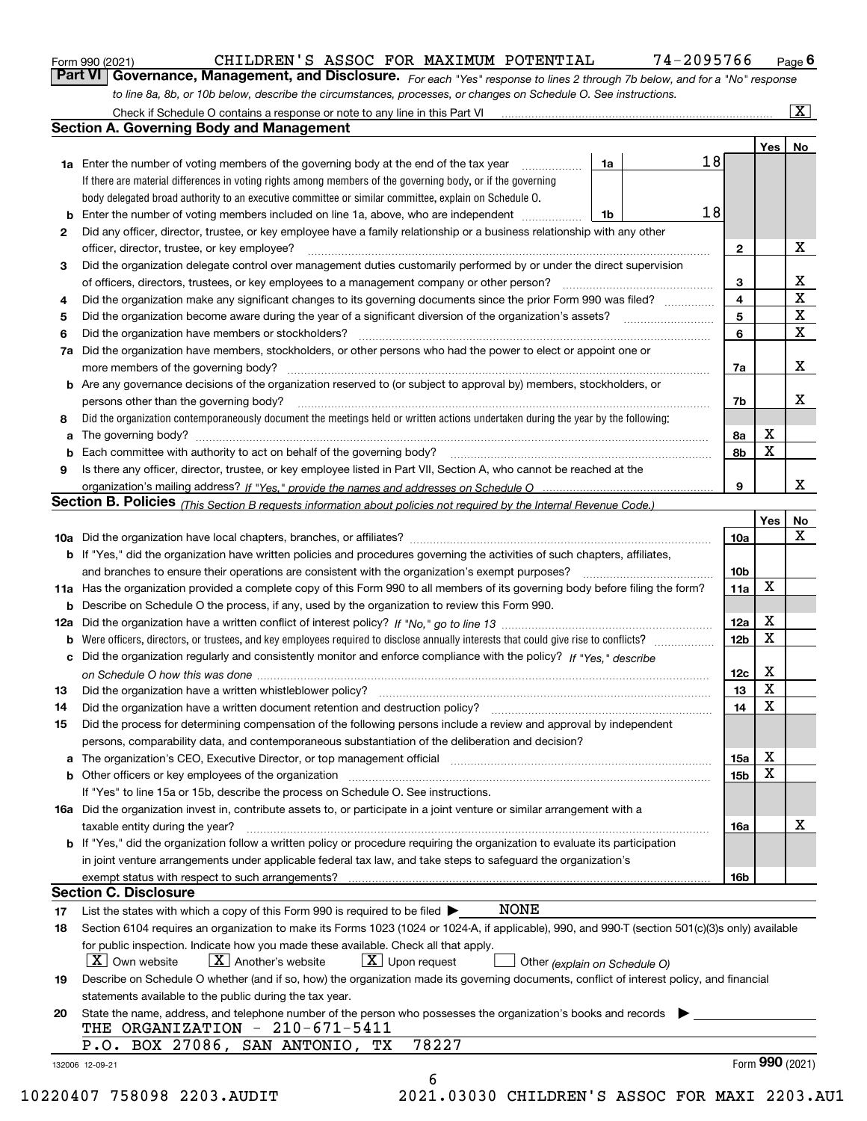|        | to line 8a, 8b, or 10b below, describe the circumstances, processes, or changes on Schedule O. See instructions.                                                                                                               |                 |     |                         |
|--------|--------------------------------------------------------------------------------------------------------------------------------------------------------------------------------------------------------------------------------|-----------------|-----|-------------------------|
|        | Check if Schedule O contains a response or note to any line in this Part VI                                                                                                                                                    |                 |     | $\overline{\mathbf{x}}$ |
|        | <b>Section A. Governing Body and Management</b>                                                                                                                                                                                |                 |     |                         |
|        |                                                                                                                                                                                                                                |                 | Yes | No                      |
|        | 18<br><b>1a</b> Enter the number of voting members of the governing body at the end of the tax year <i>manumum</i><br>1a                                                                                                       |                 |     |                         |
|        | If there are material differences in voting rights among members of the governing body, or if the governing                                                                                                                    |                 |     |                         |
|        | body delegated broad authority to an executive committee or similar committee, explain on Schedule O.                                                                                                                          |                 |     |                         |
| b      | 18<br>Enter the number of voting members included on line 1a, above, who are independent<br>1b                                                                                                                                 |                 |     |                         |
| 2      | Did any officer, director, trustee, or key employee have a family relationship or a business relationship with any other                                                                                                       |                 |     |                         |
|        | officer, director, trustee, or key employee?<br>.                                                                                                                                                                              | $\mathbf{2}$    |     | х                       |
| 3      | Did the organization delegate control over management duties customarily performed by or under the direct supervision                                                                                                          |                 |     |                         |
|        |                                                                                                                                                                                                                                | 3               |     | х                       |
| 4      | Did the organization make any significant changes to its governing documents since the prior Form 990 was filed?                                                                                                               | 4               |     | X                       |
| 5      |                                                                                                                                                                                                                                | 5               |     | X                       |
| 6      | Did the organization have members or stockholders?                                                                                                                                                                             | 6               |     | х                       |
| 7a     | Did the organization have members, stockholders, or other persons who had the power to elect or appoint one or                                                                                                                 |                 |     |                         |
|        |                                                                                                                                                                                                                                | 7a              |     | х                       |
|        | <b>b</b> Are any governance decisions of the organization reserved to (or subject to approval by) members, stockholders, or                                                                                                    |                 |     |                         |
|        | persons other than the governing body?                                                                                                                                                                                         | 7b              |     | х                       |
| 8      | Did the organization contemporaneously document the meetings held or written actions undertaken during the year by the following:                                                                                              |                 |     |                         |
|        |                                                                                                                                                                                                                                | 8a              | х   |                         |
| а<br>b |                                                                                                                                                                                                                                | 8b              | X   |                         |
| 9      |                                                                                                                                                                                                                                |                 |     |                         |
|        | Is there any officer, director, trustee, or key employee listed in Part VII, Section A, who cannot be reached at the                                                                                                           | 9               |     | x                       |
|        |                                                                                                                                                                                                                                |                 |     |                         |
|        | Section B. Policies (This Section B requests information about policies not required by the Internal Revenue Code.)                                                                                                            |                 | Yes | No                      |
|        |                                                                                                                                                                                                                                | <b>10a</b>      |     | x                       |
|        | <b>b</b> If "Yes," did the organization have written policies and procedures governing the activities of such chapters, affiliates,                                                                                            |                 |     |                         |
|        |                                                                                                                                                                                                                                |                 |     |                         |
|        | and branches to ensure their operations are consistent with the organization's exempt purposes?                                                                                                                                | 10 <sub>b</sub> | X   |                         |
|        | 11a Has the organization provided a complete copy of this Form 990 to all members of its governing body before filing the form?                                                                                                | 11a             |     |                         |
| b      | Describe on Schedule O the process, if any, used by the organization to review this Form 990.                                                                                                                                  |                 | х   |                         |
| 12a    |                                                                                                                                                                                                                                | 12a             | х   |                         |
| b      |                                                                                                                                                                                                                                | 12 <sub>b</sub> |     |                         |
| с      | Did the organization regularly and consistently monitor and enforce compliance with the policy? If "Yes." describe                                                                                                             |                 |     |                         |
|        |                                                                                                                                                                                                                                | 12c             | х   |                         |
| 13     |                                                                                                                                                                                                                                | 13              | X   |                         |
| 14     |                                                                                                                                                                                                                                | 14              | X   |                         |
| 15     | Did the process for determining compensation of the following persons include a review and approval by independent                                                                                                             |                 |     |                         |
|        | persons, comparability data, and contemporaneous substantiation of the deliberation and decision?                                                                                                                              |                 |     |                         |
| а      | The organization's CEO, Executive Director, or top management official manufactured content content of the organization's CEO, Executive Director, or top management official manufactured content of the original manufacture | 15a             | х   |                         |
| b      |                                                                                                                                                                                                                                | 15 <sub>b</sub> | X   |                         |
|        | If "Yes" to line 15a or 15b, describe the process on Schedule O. See instructions.                                                                                                                                             |                 |     |                         |
|        | 16a Did the organization invest in, contribute assets to, or participate in a joint venture or similar arrangement with a                                                                                                      |                 |     |                         |
|        | taxable entity during the year?                                                                                                                                                                                                | 16a             |     | x                       |
|        | b If "Yes," did the organization follow a written policy or procedure requiring the organization to evaluate its participation                                                                                                 |                 |     |                         |
|        | in joint venture arrangements under applicable federal tax law, and take steps to safeguard the organization's                                                                                                                 |                 |     |                         |
|        |                                                                                                                                                                                                                                | 16b             |     |                         |
|        | <b>Section C. Disclosure</b>                                                                                                                                                                                                   |                 |     |                         |
| 17     | <b>NONE</b><br>List the states with which a copy of this Form 990 is required to be filed $\blacktriangleright$                                                                                                                |                 |     |                         |
| 18     | Section 6104 requires an organization to make its Forms 1023 (1024 or 1024-A, if applicable), 990, and 990-T (section 501(c)(3)s only) available                                                                               |                 |     |                         |
|        | for public inspection. Indicate how you made these available. Check all that apply.                                                                                                                                            |                 |     |                         |
|        | $\boxed{\text{X}}$ Another's website<br>$X$ Own website<br>$X$ Upon request<br>Other (explain on Schedule O)                                                                                                                   |                 |     |                         |
| 19     | Describe on Schedule O whether (and if so, how) the organization made its governing documents, conflict of interest policy, and financial                                                                                      |                 |     |                         |
|        | statements available to the public during the tax year.                                                                                                                                                                        |                 |     |                         |
| 20     | State the name, address, and telephone number of the person who possesses the organization's books and records                                                                                                                 |                 |     |                         |
|        | THE ORGANIZATION - $210-671-5411$                                                                                                                                                                                              |                 |     |                         |
|        | 78227<br>P.O. BOX 27086,<br>SAN ANTONIO,<br>TХ                                                                                                                                                                                 |                 |     |                         |
|        | 132006 12-09-21                                                                                                                                                                                                                |                 |     | Form 990 (2021)         |
|        | 6                                                                                                                                                                                                                              |                 |     |                         |

Form 990 (2021) **CHILDREN'S ASSOC FOR MAXIMUM POTENTIAL** 74-2095766 Page 6<br>**Part VI Governance, Management, and Disclosure.** For each "Yes" response to lines 2 through 7b below, and for a "No" response

CHILDREN'S ASSOC FOR MAXIMUM POTENTIAL 74-2095766

10220407 758098 2203.AUDIT 2021.03030 CHILDREN'S ASSOC FOR MAXI 2203.AU1

*For each "Yes" response to lines 2 through 7b below, and for a "No" response*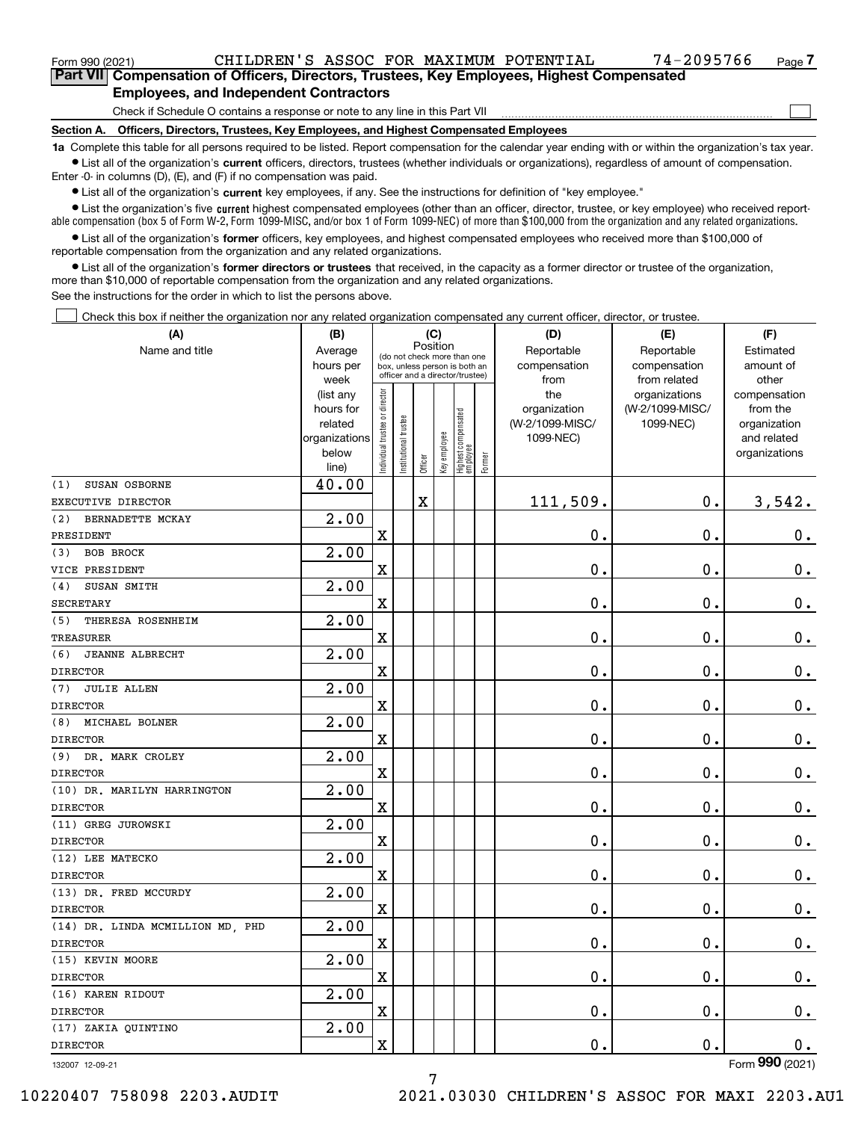$\mathcal{L}^{\text{max}}$ 

| Form 990 (2021) | CHILDREN'S ASSOC FOR MAXIMUM POTENTIAL                                                     |  |  | 74-2095766 | Page 7 |
|-----------------|--------------------------------------------------------------------------------------------|--|--|------------|--------|
|                 | Part VII Compensation of Officers, Directors, Trustees, Key Employees, Highest Compensated |  |  |            |        |
|                 | <b>Employees, and Independent Contractors</b>                                              |  |  |            |        |

Check if Schedule O contains a response or note to any line in this Part VII

**Section A. Officers, Directors, Trustees, Key Employees, and Highest Compensated Employees**

**1a**  Complete this table for all persons required to be listed. Report compensation for the calendar year ending with or within the organization's tax year. **•** List all of the organization's current officers, directors, trustees (whether individuals or organizations), regardless of amount of compensation.

Enter -0- in columns (D), (E), and (F) if no compensation was paid.

 $\bullet$  List all of the organization's  $\sf current$  key employees, if any. See the instructions for definition of "key employee."

**•** List the organization's five current highest compensated employees (other than an officer, director, trustee, or key employee) who received reportable compensation (box 5 of Form W-2, Form 1099-MISC, and/or box 1 of Form 1099-NEC) of more than \$100,000 from the organization and any related organizations.

**•** List all of the organization's former officers, key employees, and highest compensated employees who received more than \$100,000 of reportable compensation from the organization and any related organizations.

**former directors or trustees**  ¥ List all of the organization's that received, in the capacity as a former director or trustee of the organization, more than \$10,000 of reportable compensation from the organization and any related organizations.

See the instructions for the order in which to list the persons above.

Check this box if neither the organization nor any related organization compensated any current officer, director, or trustee.  $\mathcal{L}^{\text{max}}$ 

| (A)                              | (B)                      |                                |                       | (C)         |              |                                                                  |        | (D)                          | (E)             | (F)                         |
|----------------------------------|--------------------------|--------------------------------|-----------------------|-------------|--------------|------------------------------------------------------------------|--------|------------------------------|-----------------|-----------------------------|
| Name and title                   | Average                  |                                |                       | Position    |              | (do not check more than one                                      |        | Reportable                   | Reportable      | Estimated                   |
|                                  | hours per                |                                |                       |             |              | box, unless person is both an<br>officer and a director/trustee) |        | compensation                 | compensation    | amount of                   |
|                                  | week                     |                                |                       |             |              |                                                                  |        | from                         | from related    | other                       |
|                                  | (list any                |                                |                       |             |              |                                                                  |        | the                          | organizations   | compensation                |
|                                  | hours for                |                                |                       |             |              |                                                                  |        | organization                 | (W-2/1099-MISC/ | from the                    |
|                                  | related<br>organizations |                                |                       |             |              |                                                                  |        | (W-2/1099-MISC/<br>1099-NEC) | 1099-NEC)       | organization<br>and related |
|                                  | below                    |                                |                       |             |              |                                                                  |        |                              |                 | organizations               |
|                                  | line)                    | Individual trustee or director | Institutional trustee | Officer     | Key employee | Highest compensated<br> employee                                 | Former |                              |                 |                             |
| SUSAN OSBORNE<br>(1)             | 40.00                    |                                |                       |             |              |                                                                  |        |                              |                 |                             |
| EXECUTIVE DIRECTOR               |                          |                                |                       | $\mathbf X$ |              |                                                                  |        | 111,509.                     | $\mathbf{0}$ .  | 3,542.                      |
| (2)<br>BERNADETTE MCKAY          | $\overline{2.00}$        |                                |                       |             |              |                                                                  |        |                              |                 |                             |
| PRESIDENT                        |                          | $\mathbf X$                    |                       |             |              |                                                                  |        | 0.                           | $\mathbf 0$ .   | 0.                          |
| <b>BOB BROCK</b><br>(3)          | 2.00                     |                                |                       |             |              |                                                                  |        |                              |                 |                             |
| VICE PRESIDENT                   |                          | $\overline{\mathbf{X}}$        |                       |             |              |                                                                  |        | 0.                           | $\mathbf 0$ .   | $\mathbf 0$ .               |
| SUSAN SMITH<br>(4)               | $\overline{2.00}$        |                                |                       |             |              |                                                                  |        |                              |                 |                             |
| SECRETARY                        |                          | X                              |                       |             |              |                                                                  |        | 0.                           | $\mathbf 0$ .   | $\mathbf 0$ .               |
| THERESA ROSENHEIM<br>(5)         | 2.00                     |                                |                       |             |              |                                                                  |        |                              |                 |                             |
| <b>TREASURER</b>                 |                          | $\overline{\mathbf{X}}$        |                       |             |              |                                                                  |        | 0.                           | $\mathbf 0$ .   | $\mathbf 0$ .               |
| (6)<br><b>JEANNE ALBRECHT</b>    | 2.00                     |                                |                       |             |              |                                                                  |        |                              |                 |                             |
| <b>DIRECTOR</b>                  |                          | $\overline{\mathbf{X}}$        |                       |             |              |                                                                  |        | $\mathbf 0$ .                | $\mathbf 0$ .   | $0_{.}$                     |
| <b>JULIE ALLEN</b><br>(7)        | 2.00                     |                                |                       |             |              |                                                                  |        |                              |                 |                             |
| <b>DIRECTOR</b>                  |                          | $\overline{\text{X}}$          |                       |             |              |                                                                  |        | $\mathbf 0$ .                | $\mathbf 0$ .   | $0 \cdot$                   |
| MICHAEL BOLNER<br>(8)            | 2.00                     |                                |                       |             |              |                                                                  |        |                              |                 |                             |
| <b>DIRECTOR</b>                  |                          | $\overline{\mathbf{X}}$        |                       |             |              |                                                                  |        | 0.                           | $\mathbf 0$ .   | $\mathbf 0$ .               |
| (9)<br>DR. MARK CROLEY           | 2.00                     |                                |                       |             |              |                                                                  |        |                              |                 |                             |
| <b>DIRECTOR</b>                  |                          | $\overline{\mathbf{X}}$        |                       |             |              |                                                                  |        | 0.                           | 0.              | $0_{.}$                     |
| (10) DR. MARILYN HARRINGTON      | 2.00                     |                                |                       |             |              |                                                                  |        |                              |                 |                             |
| <b>DIRECTOR</b>                  |                          | $\overline{\text{X}}$          |                       |             |              |                                                                  |        | 0.                           | $\mathbf 0$ .   | 0.                          |
| (11) GREG JUROWSKI               | 2.00                     |                                |                       |             |              |                                                                  |        |                              |                 |                             |
| <b>DIRECTOR</b>                  |                          | $\overline{\mathbf{X}}$        |                       |             |              |                                                                  |        | 0.                           | 0.              | $\mathbf 0$ .               |
| (12) LEE MATECKO                 | 2.00                     |                                |                       |             |              |                                                                  |        |                              |                 |                             |
| <b>DIRECTOR</b>                  |                          | $\overline{\text{X}}$          |                       |             |              |                                                                  |        | 0.                           | $\mathbf 0$ .   | $0_{.}$                     |
| (13) DR. FRED MCCURDY            | 2.00                     |                                |                       |             |              |                                                                  |        |                              |                 |                             |
| <b>DIRECTOR</b>                  |                          | X                              |                       |             |              |                                                                  |        | 0.                           | 0.              | $0_{.}$                     |
| (14) DR. LINDA MCMILLION MD, PHD | 2.00                     |                                |                       |             |              |                                                                  |        |                              |                 |                             |
| <b>DIRECTOR</b>                  |                          | $\overline{\text{X}}$          |                       |             |              |                                                                  |        | $\mathbf 0$ .                | $\mathbf 0$ .   | $0$ .                       |
| (15) KEVIN MOORE                 | 2.00                     |                                |                       |             |              |                                                                  |        |                              |                 |                             |
| <b>DIRECTOR</b>                  |                          | $\overline{\mathbf{X}}$        |                       |             |              |                                                                  |        | 0.                           | 0.              | 0.                          |
| (16) KAREN RIDOUT                | 2.00                     |                                |                       |             |              |                                                                  |        |                              |                 |                             |
| <b>DIRECTOR</b>                  |                          | $\rm X$                        |                       |             |              |                                                                  |        | 0.                           | $\mathbf 0$ .   | 0.                          |
| (17) ZAKIA QUINTINO              | $\overline{2.00}$        |                                |                       |             |              |                                                                  |        |                              |                 |                             |
| <b>DIRECTOR</b>                  |                          | $\rm X$                        |                       |             |              |                                                                  |        | 0.                           | $\mathbf 0$ .   | 0.<br>$\overline{2}$        |

7

132007 12-09-21

Form (2021) **990**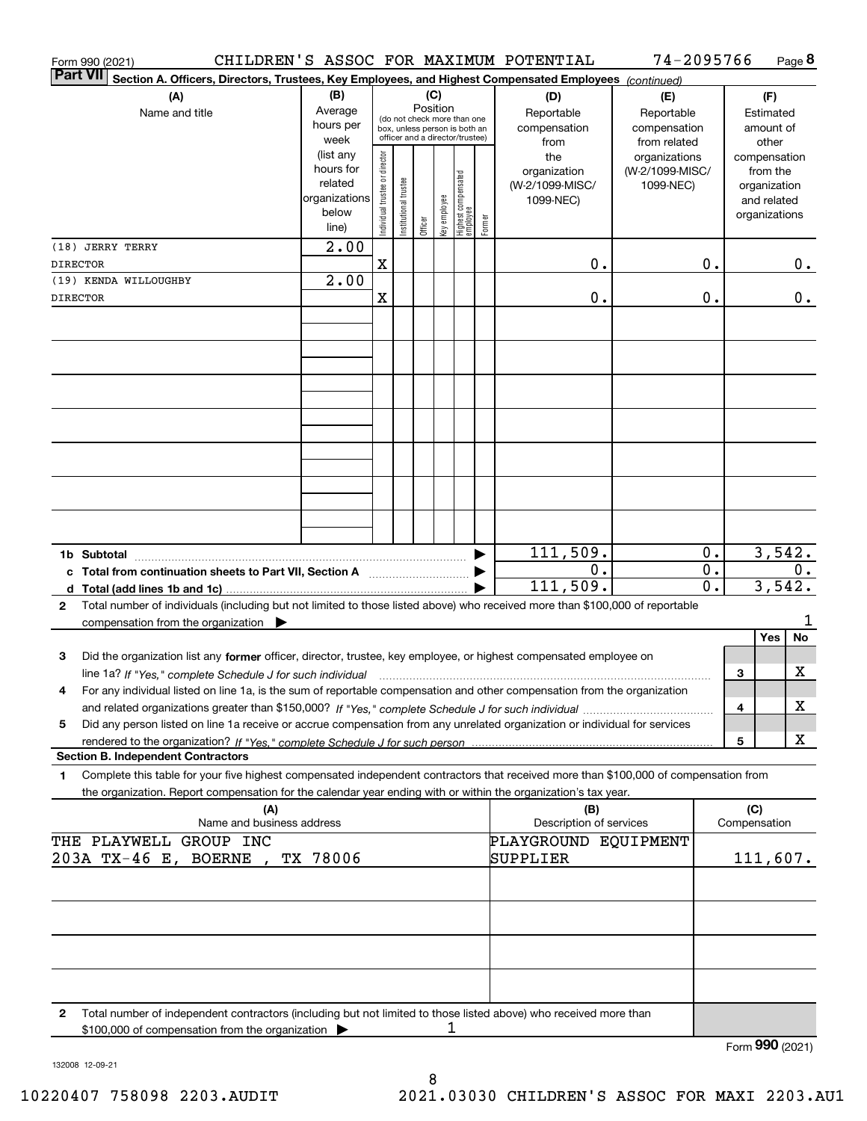|                                                             | Form 990 (2021)                                                                                                                                                                                                                                                     |                                                         |                                                                                                                    |                        |         |              |                                  |        | CHILDREN'S ASSOC FOR MAXIMUM POTENTIAL           | 74-2095766                                                         |                                   |                     |                                                          | Page $8$ |
|-------------------------------------------------------------|---------------------------------------------------------------------------------------------------------------------------------------------------------------------------------------------------------------------------------------------------------------------|---------------------------------------------------------|--------------------------------------------------------------------------------------------------------------------|------------------------|---------|--------------|----------------------------------|--------|--------------------------------------------------|--------------------------------------------------------------------|-----------------------------------|---------------------|----------------------------------------------------------|----------|
|                                                             | <b>Part VII</b><br>Section A. Officers, Directors, Trustees, Key Employees, and Highest Compensated Employees (continued)                                                                                                                                           |                                                         |                                                                                                                    |                        |         |              |                                  |        |                                                  |                                                                    |                                   |                     |                                                          |          |
|                                                             | (A)<br>Name and title                                                                                                                                                                                                                                               | (B)<br>Average<br>hours per<br>week<br>(list any        | (C)<br>Position<br>(do not check more than one<br>box, unless person is both an<br>officer and a director/trustee) |                        |         |              |                                  |        | (D)<br>Reportable<br>compensation<br>from<br>the | (E)<br>Reportable<br>compensation<br>from related<br>organizations |                                   |                     | (F)<br>Estimated<br>amount of<br>other<br>compensation   |          |
|                                                             |                                                                                                                                                                                                                                                                     | hours for<br>related<br>organizations<br>below<br>line) | Individual trustee or director                                                                                     | In stitutional trustee | Officer | Key employee | Highest compensated<br> employee | Former | organization<br>(W-2/1099-MISC/<br>1099-NEC)     | (W-2/1099-MISC/<br>1099-NEC)                                       |                                   |                     | from the<br>organization<br>and related<br>organizations |          |
|                                                             | (18) JERRY TERRY                                                                                                                                                                                                                                                    | 2.00                                                    |                                                                                                                    |                        |         |              |                                  |        |                                                  |                                                                    |                                   |                     |                                                          |          |
|                                                             | <b>DIRECTOR</b>                                                                                                                                                                                                                                                     |                                                         | X                                                                                                                  |                        |         |              |                                  |        | 0.                                               |                                                                    | 0.                                |                     |                                                          | 0.       |
|                                                             | (19) KENDA WILLOUGHBY<br><b>DIRECTOR</b>                                                                                                                                                                                                                            | 2.00                                                    | X                                                                                                                  |                        |         |              |                                  |        | ο.                                               |                                                                    | ο.                                |                     |                                                          | 0.       |
|                                                             |                                                                                                                                                                                                                                                                     |                                                         |                                                                                                                    |                        |         |              |                                  |        |                                                  |                                                                    |                                   |                     |                                                          |          |
|                                                             |                                                                                                                                                                                                                                                                     |                                                         |                                                                                                                    |                        |         |              |                                  |        |                                                  |                                                                    |                                   |                     |                                                          |          |
|                                                             |                                                                                                                                                                                                                                                                     |                                                         |                                                                                                                    |                        |         |              |                                  |        |                                                  |                                                                    |                                   |                     |                                                          |          |
|                                                             |                                                                                                                                                                                                                                                                     |                                                         |                                                                                                                    |                        |         |              |                                  |        |                                                  |                                                                    |                                   |                     |                                                          |          |
|                                                             |                                                                                                                                                                                                                                                                     |                                                         |                                                                                                                    |                        |         |              |                                  |        |                                                  |                                                                    |                                   |                     |                                                          |          |
|                                                             | 1b Subtotal                                                                                                                                                                                                                                                         |                                                         |                                                                                                                    |                        |         |              |                                  |        | 111,509.                                         |                                                                    | 0.                                |                     | 3,542.                                                   |          |
|                                                             | c Total from continuation sheets to Part VII, Section A                                                                                                                                                                                                             |                                                         |                                                                                                                    |                        |         |              |                                  |        | 0.<br>111,509.                                   |                                                                    | $\mathbf 0$ .<br>$\overline{0}$ . |                     | 3,542.                                                   | 0.       |
| $\mathbf{2}$                                                | Total number of individuals (including but not limited to those listed above) who received more than \$100,000 of reportable<br>compensation from the organization                                                                                                  |                                                         |                                                                                                                    |                        |         |              |                                  |        |                                                  |                                                                    |                                   |                     |                                                          |          |
| 3                                                           | Did the organization list any former officer, director, trustee, key employee, or highest compensated employee on                                                                                                                                                   |                                                         |                                                                                                                    |                        |         |              |                                  |        |                                                  |                                                                    |                                   |                     | Yes                                                      | No<br>х  |
| 4                                                           | line 1a? If "Yes," complete Schedule J for such individual manufactured contained and the Yes," complete Schedule J for such individual<br>For any individual listed on line 1a, is the sum of reportable compensation and other compensation from the organization |                                                         |                                                                                                                    |                        |         |              |                                  |        |                                                  |                                                                    |                                   | 3<br>4              |                                                          | x        |
| 5                                                           | Did any person listed on line 1a receive or accrue compensation from any unrelated organization or individual for services                                                                                                                                          |                                                         |                                                                                                                    |                        |         |              |                                  |        |                                                  |                                                                    |                                   | 5                   |                                                          | x        |
|                                                             | <b>Section B. Independent Contractors</b>                                                                                                                                                                                                                           |                                                         |                                                                                                                    |                        |         |              |                                  |        |                                                  |                                                                    |                                   |                     |                                                          |          |
| 1.                                                          | Complete this table for your five highest compensated independent contractors that received more than \$100,000 of compensation from<br>the organization. Report compensation for the calendar year ending with or within the organization's tax year.              |                                                         |                                                                                                                    |                        |         |              |                                  |        |                                                  |                                                                    |                                   |                     |                                                          |          |
|                                                             | (A)<br>Name and business address                                                                                                                                                                                                                                    |                                                         |                                                                                                                    |                        |         |              |                                  |        | (B)<br>Description of services                   |                                                                    |                                   | (C)<br>Compensation |                                                          |          |
| THE PLAYWELL GROUP INC<br>203A TX-46 E, BOERNE,<br>TX 78006 |                                                                                                                                                                                                                                                                     |                                                         |                                                                                                                    |                        |         |              |                                  |        | PLAYGROUND EQUIPMENT<br>SUPPLIER                 |                                                                    | 111,607.                          |                     |                                                          |          |
|                                                             |                                                                                                                                                                                                                                                                     |                                                         |                                                                                                                    |                        |         |              |                                  |        |                                                  |                                                                    |                                   |                     |                                                          |          |
|                                                             |                                                                                                                                                                                                                                                                     |                                                         |                                                                                                                    |                        |         |              |                                  |        |                                                  |                                                                    |                                   |                     |                                                          |          |
| 2                                                           | Total number of independent contractors (including but not limited to those listed above) who received more than                                                                                                                                                    |                                                         |                                                                                                                    |                        |         |              |                                  |        |                                                  |                                                                    |                                   |                     |                                                          |          |
|                                                             | \$100,000 of compensation from the organization                                                                                                                                                                                                                     |                                                         |                                                                                                                    |                        |         |              |                                  |        |                                                  |                                                                    |                                   | Form 990 (2021)     |                                                          |          |

132008 12-09-21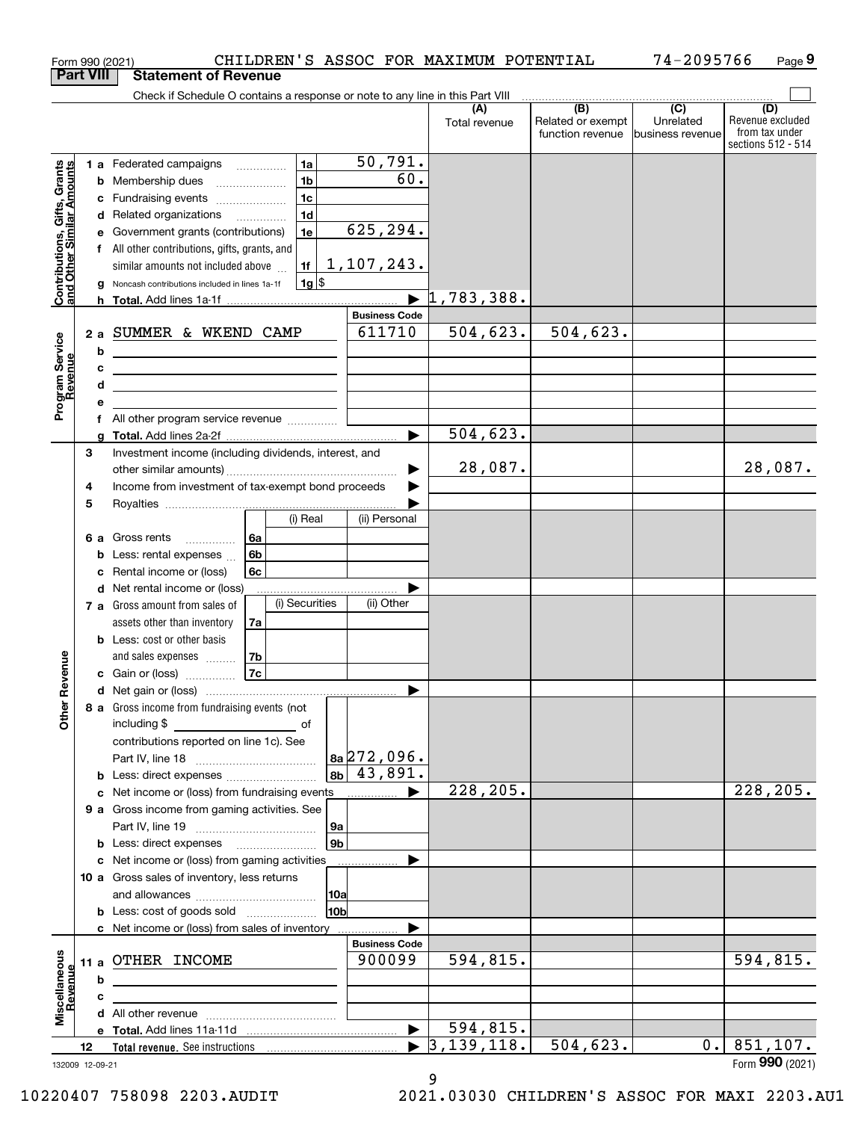|                                                           |                  |        | Form 990 (2021)                                                                                                                                                                                                                             |          |                 |                                | CHILDREN'S ASSOC FOR MAXIMUM POTENTIAL |                                       | 74-2095766                    | Page 9                                                   |
|-----------------------------------------------------------|------------------|--------|---------------------------------------------------------------------------------------------------------------------------------------------------------------------------------------------------------------------------------------------|----------|-----------------|--------------------------------|----------------------------------------|---------------------------------------|-------------------------------|----------------------------------------------------------|
|                                                           | <b>Part VIII</b> |        | <b>Statement of Revenue</b>                                                                                                                                                                                                                 |          |                 |                                |                                        |                                       |                               |                                                          |
|                                                           |                  |        | Check if Schedule O contains a response or note to any line in this Part VIII                                                                                                                                                               |          |                 |                                |                                        | $\overline{(B)}$                      | $\overline{(C)}$              | (D)                                                      |
|                                                           |                  |        |                                                                                                                                                                                                                                             |          |                 |                                | (A)<br>Total revenue                   | Related or exempt<br>function revenue | Unrelated<br>business revenue | Revenue excluded<br>from tax under<br>sections 512 - 514 |
|                                                           |                  |        | 1 a Federated campaigns                                                                                                                                                                                                                     |          | 1a              | 50, 791.                       |                                        |                                       |                               |                                                          |
|                                                           |                  |        | <b>b</b> Membership dues                                                                                                                                                                                                                    |          | 1 <sub>b</sub>  | 60.                            |                                        |                                       |                               |                                                          |
|                                                           |                  |        | c Fundraising events                                                                                                                                                                                                                        |          | 1 <sub>c</sub>  |                                |                                        |                                       |                               |                                                          |
|                                                           |                  |        | d Related organizations                                                                                                                                                                                                                     |          | 1 <sub>d</sub>  |                                |                                        |                                       |                               |                                                          |
|                                                           |                  |        | e Government grants (contributions)                                                                                                                                                                                                         |          | 1e              | 625,294.                       |                                        |                                       |                               |                                                          |
|                                                           |                  |        | f All other contributions, gifts, grants, and                                                                                                                                                                                               |          |                 |                                |                                        |                                       |                               |                                                          |
|                                                           |                  |        | similar amounts not included above                                                                                                                                                                                                          |          | 1f              | 1,107,243.                     |                                        |                                       |                               |                                                          |
| Contributions, Gifts, Grants<br>and Other Similar Amounts |                  |        | g Noncash contributions included in lines 1a-1f                                                                                                                                                                                             |          | $1g$ \$         |                                |                                        |                                       |                               |                                                          |
|                                                           |                  |        |                                                                                                                                                                                                                                             |          |                 |                                | $\blacktriangleright$ 1,783,388.       |                                       |                               |                                                          |
|                                                           |                  |        |                                                                                                                                                                                                                                             |          |                 | <b>Business Code</b><br>611710 | 504, 623.                              | 504, 623.                             |                               |                                                          |
| Program Service<br>Revenue                                |                  |        | 2 a SUMMER & WKEND CAMP                                                                                                                                                                                                                     |          |                 |                                |                                        |                                       |                               |                                                          |
|                                                           |                  | b<br>c |                                                                                                                                                                                                                                             |          |                 |                                |                                        |                                       |                               |                                                          |
|                                                           |                  | d      | <u> 1989 - Johann Stein, marwolaethau a bhann an t-Amhair an t-Amhair an t-Amhair an t-Amhair an t-Amhair an t-A</u><br><u> 1989 - Johann Barn, mars ann an t-Amhair ann an t-Amhair an t-Amhair ann an t-Amhair an t-Amhair ann an t-A</u> |          |                 |                                |                                        |                                       |                               |                                                          |
|                                                           |                  | е      |                                                                                                                                                                                                                                             |          |                 |                                |                                        |                                       |                               |                                                          |
|                                                           |                  | f      |                                                                                                                                                                                                                                             |          |                 |                                |                                        |                                       |                               |                                                          |
|                                                           |                  |        |                                                                                                                                                                                                                                             |          |                 |                                | 504,623.                               |                                       |                               |                                                          |
|                                                           | З                |        | Investment income (including dividends, interest, and                                                                                                                                                                                       |          |                 |                                |                                        |                                       |                               |                                                          |
|                                                           |                  |        |                                                                                                                                                                                                                                             |          |                 | ▶                              | 28,087.                                |                                       |                               | 28,087.                                                  |
|                                                           | 4                |        | Income from investment of tax-exempt bond proceeds                                                                                                                                                                                          |          |                 |                                |                                        |                                       |                               |                                                          |
|                                                           | 5                |        |                                                                                                                                                                                                                                             |          | (i) Real        | (ii) Personal                  |                                        |                                       |                               |                                                          |
|                                                           |                  |        |                                                                                                                                                                                                                                             |          |                 |                                |                                        |                                       |                               |                                                          |
|                                                           |                  |        | <b>6 a</b> Gross rents<br><b>b</b> Less: rental expenses $\ldots$                                                                                                                                                                           | 6a<br>6b |                 |                                |                                        |                                       |                               |                                                          |
|                                                           |                  |        | Rental income or (loss)                                                                                                                                                                                                                     | 6c       |                 |                                |                                        |                                       |                               |                                                          |
|                                                           |                  |        | d Net rental income or (loss)                                                                                                                                                                                                               |          |                 |                                |                                        |                                       |                               |                                                          |
|                                                           |                  |        | 7 a Gross amount from sales of                                                                                                                                                                                                              |          | (i) Securities  | (ii) Other                     |                                        |                                       |                               |                                                          |
|                                                           |                  |        | assets other than inventory                                                                                                                                                                                                                 | 7a       |                 |                                |                                        |                                       |                               |                                                          |
|                                                           |                  |        | <b>b</b> Less: cost or other basis                                                                                                                                                                                                          |          |                 |                                |                                        |                                       |                               |                                                          |
|                                                           |                  |        | and sales expenses                                                                                                                                                                                                                          | 7b       |                 |                                |                                        |                                       |                               |                                                          |
| anueve                                                    |                  |        | c Gain or (loss)                                                                                                                                                                                                                            | 7c       |                 |                                |                                        |                                       |                               |                                                          |
|                                                           |                  |        |                                                                                                                                                                                                                                             |          |                 |                                |                                        |                                       |                               |                                                          |
| Other R                                                   |                  |        | 8 a Gross income from fundraising events (not<br>including \$                                                                                                                                                                               |          | of              |                                |                                        |                                       |                               |                                                          |
|                                                           |                  |        | contributions reported on line 1c). See                                                                                                                                                                                                     |          |                 | $ a_2 2 7 2$ , 096.            |                                        |                                       |                               |                                                          |
|                                                           |                  |        |                                                                                                                                                                                                                                             |          |                 | $ 8b $ 43,891.                 |                                        |                                       |                               |                                                          |
|                                                           |                  |        | c Net income or (loss) from fundraising events                                                                                                                                                                                              |          |                 |                                | 228,205.                               |                                       |                               | 228, 205.                                                |
|                                                           |                  |        | 9 a Gross income from gaming activities. See                                                                                                                                                                                                |          |                 |                                |                                        |                                       |                               |                                                          |
|                                                           |                  |        |                                                                                                                                                                                                                                             |          | 9a              |                                |                                        |                                       |                               |                                                          |
|                                                           |                  |        |                                                                                                                                                                                                                                             |          | 9 <sub>b</sub>  |                                |                                        |                                       |                               |                                                          |
|                                                           |                  |        | c Net income or (loss) from gaming activities                                                                                                                                                                                               |          |                 |                                |                                        |                                       |                               |                                                          |
|                                                           |                  |        | 10 a Gross sales of inventory, less returns                                                                                                                                                                                                 |          |                 |                                |                                        |                                       |                               |                                                          |
|                                                           |                  |        |                                                                                                                                                                                                                                             |          | 10a             |                                |                                        |                                       |                               |                                                          |
|                                                           |                  |        |                                                                                                                                                                                                                                             |          | 10 <sub>b</sub> |                                |                                        |                                       |                               |                                                          |
|                                                           |                  |        | c Net income or (loss) from sales of inventory                                                                                                                                                                                              |          |                 | <b>Business Code</b>           |                                        |                                       |                               |                                                          |
|                                                           |                  |        | 11 a OTHER INCOME                                                                                                                                                                                                                           |          |                 | 900099                         | 594,815.                               |                                       |                               | 594,815.                                                 |
| Miscellaneous<br>Revenue                                  |                  | b      |                                                                                                                                                                                                                                             |          |                 |                                |                                        |                                       |                               |                                                          |
|                                                           |                  | c      |                                                                                                                                                                                                                                             |          |                 |                                |                                        |                                       |                               |                                                          |
|                                                           |                  |        |                                                                                                                                                                                                                                             |          |                 |                                |                                        |                                       |                               |                                                          |
|                                                           |                  |        |                                                                                                                                                                                                                                             |          |                 | $\blacktriangleright$          | 594,815.                               |                                       |                               |                                                          |
|                                                           | 12               |        |                                                                                                                                                                                                                                             |          |                 |                                | $\overline{3,139,118}$ .               | 504,623.                              |                               | $0.$   851,107.                                          |
| 132009 12-09-21                                           |                  |        |                                                                                                                                                                                                                                             |          |                 |                                |                                        |                                       |                               | Form 990 (2021)                                          |
|                                                           |                  |        |                                                                                                                                                                                                                                             |          |                 |                                | 9                                      |                                       |                               |                                                          |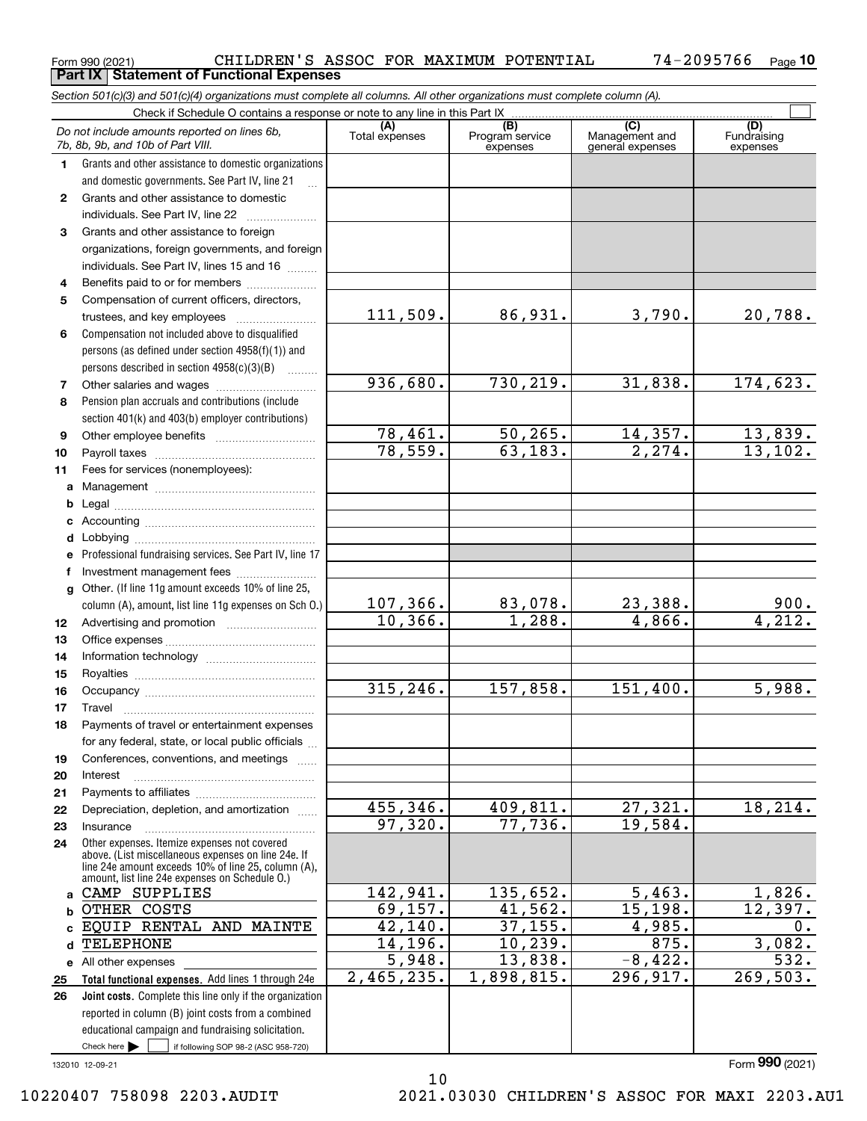|              | Do not include amounts reported on lines 6b,<br>7b, 8b, 9b, and 10b of Part VIII.                     | (A)<br>Total expenses    | (B)<br>Program service<br>expenses | (C)<br>Management and<br>general expenses | (D)<br>Fundraising<br>expenses |  |
|--------------|-------------------------------------------------------------------------------------------------------|--------------------------|------------------------------------|-------------------------------------------|--------------------------------|--|
| 1.           | Grants and other assistance to domestic organizations                                                 |                          |                                    |                                           |                                |  |
|              | and domestic governments. See Part IV, line 21                                                        |                          |                                    |                                           |                                |  |
| $\mathbf{2}$ | Grants and other assistance to domestic                                                               |                          |                                    |                                           |                                |  |
|              | individuals. See Part IV, line 22                                                                     |                          |                                    |                                           |                                |  |
| 3            | Grants and other assistance to foreign                                                                |                          |                                    |                                           |                                |  |
|              |                                                                                                       |                          |                                    |                                           |                                |  |
|              | organizations, foreign governments, and foreign<br>individuals. See Part IV, lines 15 and 16          |                          |                                    |                                           |                                |  |
|              |                                                                                                       |                          |                                    |                                           |                                |  |
| 4            | Benefits paid to or for members                                                                       |                          |                                    |                                           |                                |  |
| 5            | Compensation of current officers, directors,                                                          | 111,509.                 | 86,931.                            | 3,790.                                    | 20,788.                        |  |
|              | trustees, and key employees                                                                           |                          |                                    |                                           |                                |  |
| 6            | Compensation not included above to disqualified                                                       |                          |                                    |                                           |                                |  |
|              | persons (as defined under section 4958(f)(1)) and                                                     |                          |                                    |                                           |                                |  |
|              | persons described in section 4958(c)(3)(B)                                                            |                          |                                    |                                           |                                |  |
| 7            | Other salaries and wages                                                                              | 936,680.                 | 730,219.                           | 31,838.                                   | 174,623.                       |  |
| 8            | Pension plan accruals and contributions (include                                                      |                          |                                    |                                           |                                |  |
|              | section 401(k) and 403(b) employer contributions)                                                     |                          |                                    |                                           |                                |  |
| 9            |                                                                                                       | $\frac{78,461}{78,559}$  | 50, 265.                           | <u>14,357.</u>                            | <u>13,839.</u>                 |  |
| 10           |                                                                                                       |                          | 63, 183.                           | $\overline{2,274}$ .                      | 13, 102.                       |  |
| 11           | Fees for services (nonemployees):                                                                     |                          |                                    |                                           |                                |  |
| a            |                                                                                                       |                          |                                    |                                           |                                |  |
| b            |                                                                                                       |                          |                                    |                                           |                                |  |
| c            |                                                                                                       |                          |                                    |                                           |                                |  |
| d            |                                                                                                       |                          |                                    |                                           |                                |  |
| e            | Professional fundraising services. See Part IV, line 17                                               |                          |                                    |                                           |                                |  |
| f            | Investment management fees                                                                            |                          |                                    |                                           |                                |  |
| $\mathbf{q}$ | Other. (If line 11g amount exceeds 10% of line 25,                                                    |                          |                                    |                                           |                                |  |
|              | column (A), amount, list line 11g expenses on Sch O.)                                                 | $\frac{107,366}{10,366}$ | $\frac{83,078.}{1,288.}$           | $\frac{23,388}{4,866}$                    | 900.                           |  |
| 12           |                                                                                                       |                          |                                    |                                           | 4,212.                         |  |
| 13           |                                                                                                       |                          |                                    |                                           |                                |  |
| 14           |                                                                                                       |                          |                                    |                                           |                                |  |
| 15           |                                                                                                       |                          |                                    |                                           |                                |  |
| 16           |                                                                                                       | 315, 246.                | 157,858.                           | 151,400.                                  | 5,988.                         |  |
| 17           | Travel                                                                                                |                          |                                    |                                           |                                |  |
| 18           | Payments of travel or entertainment expenses                                                          |                          |                                    |                                           |                                |  |
|              | for any federal, state, or local public officials                                                     |                          |                                    |                                           |                                |  |
| 19           | Conferences, conventions, and meetings                                                                |                          |                                    |                                           |                                |  |
| 20           | Interest                                                                                              |                          |                                    |                                           |                                |  |
| 21           |                                                                                                       |                          |                                    |                                           |                                |  |
| 22           | Depreciation, depletion, and amortization                                                             | 455, 346.                | 409,811.                           | 27, 321.                                  | 18,214.                        |  |
| 23           | Insurance                                                                                             | 97,320.                  | 77,736.                            | 19,584.                                   |                                |  |
| 24           | Other expenses. Itemize expenses not covered                                                          |                          |                                    |                                           |                                |  |
|              | above. (List miscellaneous expenses on line 24e. If                                                   |                          |                                    |                                           |                                |  |
|              | line 24e amount exceeds 10% of line 25, column (A),<br>amount, list line 24e expenses on Schedule O.) |                          |                                    |                                           |                                |  |
| a            | CAMP SUPPLIES                                                                                         | 142,941.                 | 135,652.                           | 5,463.                                    | 1,826.                         |  |
| b            | OTHER COSTS                                                                                           | 69, 157.                 | 41,562.                            | 15, 198.                                  | 12,397.                        |  |
| C            | EQUIP RENTAL AND MAINTE                                                                               | 42,140.                  | 37, 155.                           | 4,985.                                    | 0.                             |  |
|              | <b>TELEPHONE</b>                                                                                      | 14, 196.                 | 10, 239.                           | 875.                                      | 3,082.                         |  |
| d            |                                                                                                       | $\overline{5,948}$ .     | 13,838.                            | $-8,422.$                                 | 532.                           |  |
| е            | All other expenses                                                                                    | 2,465,235.               | 1,898,815.                         | 296, 917.                                 | 269,503.                       |  |
| 25           | Total functional expenses. Add lines 1 through 24e                                                    |                          |                                    |                                           |                                |  |
| 26           | Joint costs. Complete this line only if the organization                                              |                          |                                    |                                           |                                |  |
|              | reported in column (B) joint costs from a combined                                                    |                          |                                    |                                           |                                |  |
|              | educational campaign and fundraising solicitation.                                                    |                          |                                    |                                           |                                |  |
|              | Check here $\blacktriangleright$<br>if following SOP 98-2 (ASC 958-720)                               |                          |                                    |                                           |                                |  |

10

Form 990 (2021) CHILDREN'S ASSOC FOR MAXIMUM POTENTIAL 74-2095766 <sub>Page</sub> **Part IX Statement of Functional Expenses**

*Section 501(c)(3) and 501(c)(4) organizations must complete all columns. All other organizations must complete column (A).*

Check if Schedule O contains a response or note to any line in this Part IX ...<br>amounts reported on lines  $\mathcal{E}_h$  (A) (B)

132010 12-09-21

Form (2021) **990**

**10**

 $\mathcal{L}^{\text{max}}$ 

10220407 758098 2203.AUDIT 2021.03030 CHILDREN'S ASSOC FOR MAXI 2203.AU1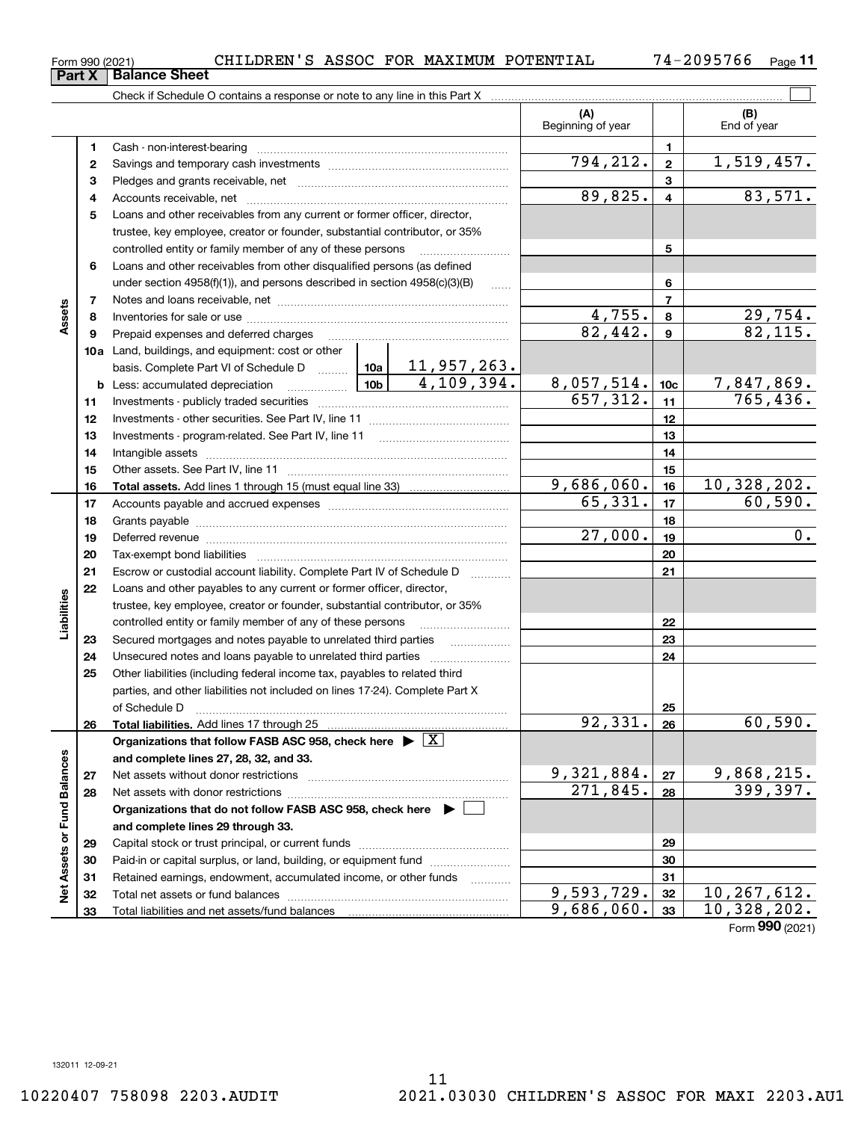Check if Schedule O contains a response or note to any line in this Part X Cash - non-interest-bearing ~~~~~~~~~~~~~~~~~~~~~~~~~ Savings and temporary cash investments ~~~~~~~~~~~~~~~~~~ Pledges and grants receivable, net

|                   | З  |                                                                                                                                                                                                                                |                   |                       | 3           |                 |                 |
|-------------------|----|--------------------------------------------------------------------------------------------------------------------------------------------------------------------------------------------------------------------------------|-------------------|-----------------------|-------------|-----------------|-----------------|
|                   | 4  | Accounts receivable, net                                                                                                                                                                                                       |                   |                       | 89,825.     | 4               | 83,571.         |
|                   | 5  | Loans and other receivables from any current or former officer, director,                                                                                                                                                      |                   |                       |             |                 |                 |
|                   |    | trustee, key employee, creator or founder, substantial contributor, or 35%                                                                                                                                                     |                   |                       |             |                 |                 |
|                   |    | controlled entity or family member of any of these persons                                                                                                                                                                     |                   |                       | 5           |                 |                 |
|                   | 6  | Loans and other receivables from other disqualified persons (as defined                                                                                                                                                        |                   |                       |             |                 |                 |
|                   |    | under section 4958(f)(1)), and persons described in section 4958(c)(3)(B)                                                                                                                                                      | $\ldots$          |                       | 6           |                 |                 |
|                   | 7  |                                                                                                                                                                                                                                |                   |                       |             | 7               |                 |
| Assets            | 8  |                                                                                                                                                                                                                                |                   |                       | 4,755.      | 8               | 29,754.         |
|                   | 9  | Prepaid expenses and deferred charges                                                                                                                                                                                          |                   | $\overline{82,442}$ . | 9           | 82, 115.        |                 |
|                   |    | 10a Land, buildings, and equipment: cost or other                                                                                                                                                                              |                   |                       |             |                 |                 |
|                   |    | basis. Complete Part VI of Schedule D    10a   11, 957, 263.                                                                                                                                                                   |                   |                       |             |                 |                 |
|                   |    | <u>10b</u><br><b>b</b> Less: accumulated depreciation                                                                                                                                                                          |                   | 4,109,394.            | 8,057,514.  | 10 <sub>c</sub> | 7,847,869.      |
|                   | 11 |                                                                                                                                                                                                                                |                   |                       | 657,312.    | 11              | 765,436.        |
|                   | 12 |                                                                                                                                                                                                                                |                   |                       |             | 12              |                 |
|                   | 13 |                                                                                                                                                                                                                                |                   |                       | 13          |                 |                 |
|                   | 14 |                                                                                                                                                                                                                                |                   |                       | 14          |                 |                 |
|                   | 15 |                                                                                                                                                                                                                                |                   |                       | 15          |                 |                 |
|                   | 16 |                                                                                                                                                                                                                                |                   |                       | 9,686,060.  | 16              | 10,328,202.     |
|                   | 17 |                                                                                                                                                                                                                                |                   |                       | 65,331.     | 17              | 60,590.         |
|                   | 18 |                                                                                                                                                                                                                                |                   |                       |             | 18              |                 |
|                   | 19 | Deferred revenue material contracts and a contract of the contract of the contract of the contract of the contract of the contract of the contract of the contract of the contract of the contract of the contract of the cont |                   |                       | 27,000.     | 19              | 0.              |
|                   | 20 |                                                                                                                                                                                                                                |                   |                       | 20          |                 |                 |
|                   | 21 | Escrow or custodial account liability. Complete Part IV of Schedule D                                                                                                                                                          | 1.1.1.1.1.1.1.1.1 |                       | 21          |                 |                 |
|                   | 22 | Loans and other payables to any current or former officer, director,                                                                                                                                                           |                   |                       |             |                 |                 |
|                   |    | trustee, key employee, creator or founder, substantial contributor, or 35%                                                                                                                                                     |                   |                       |             |                 |                 |
| Liabilities       |    | controlled entity or family member of any of these persons                                                                                                                                                                     |                   |                       |             | 22              |                 |
|                   | 23 | Secured mortgages and notes payable to unrelated third parties                                                                                                                                                                 |                   |                       |             | 23              |                 |
|                   | 24 |                                                                                                                                                                                                                                |                   |                       |             | 24              |                 |
|                   | 25 | Other liabilities (including federal income tax, payables to related third                                                                                                                                                     |                   |                       |             |                 |                 |
|                   |    | parties, and other liabilities not included on lines 17-24). Complete Part X                                                                                                                                                   |                   |                       |             |                 |                 |
|                   |    | of Schedule D                                                                                                                                                                                                                  |                   |                       |             | 25              |                 |
|                   | 26 |                                                                                                                                                                                                                                |                   |                       | 92,331.     | 26              | 60,590.         |
|                   |    | Organizations that follow FASB ASC 958, check here $\triangleright \lfloor X \rfloor$                                                                                                                                          |                   |                       |             |                 |                 |
| <b>Balances</b>   |    | and complete lines 27, 28, 32, and 33.                                                                                                                                                                                         |                   |                       |             |                 |                 |
|                   | 27 |                                                                                                                                                                                                                                |                   |                       | 9,321,884.  | 27              | 9,868,215.      |
| ъ                 | 28 |                                                                                                                                                                                                                                |                   |                       | 271,845.    | 28              | 399,397.        |
|                   |    | Organizations that do not follow FASB ASC 958, check here $\blacktriangleright$                                                                                                                                                |                   |                       |             |                 |                 |
|                   |    | and complete lines 29 through 33.                                                                                                                                                                                              |                   |                       |             |                 |                 |
|                   | 29 |                                                                                                                                                                                                                                |                   |                       | 29          |                 |                 |
|                   | 30 | Paid-in or capital surplus, or land, building, or equipment fund                                                                                                                                                               |                   |                       | 30          |                 |                 |
| Net Assets or Fun | 31 | Retained earnings, endowment, accumulated income, or other funds                                                                                                                                                               |                   | 9,593,729.            | 31          | 10,267,612.     |                 |
|                   | 32 |                                                                                                                                                                                                                                | 9,686,060.        | 32<br>33              | 10,328,202. |                 |                 |
|                   | 33 |                                                                                                                                                                                                                                |                   |                       |             |                 | Form 990 (2021) |
|                   |    |                                                                                                                                                                                                                                |                   |                       |             |                 |                 |

Form 990 (2021) CHILDREN'S ASSOC FOR MAXIMUM POTENTIAL 74-2095766 <sub>Page</sub>

**11**

(B)<br>End of year

 $\mathcal{L}^{\text{max}}$ 

**(A) (B)**

Beginning of year | | End of year

**12**

 $794, 212. | z | 1, 519, 457.$ 

**Part X** | Balance Sheet

**12**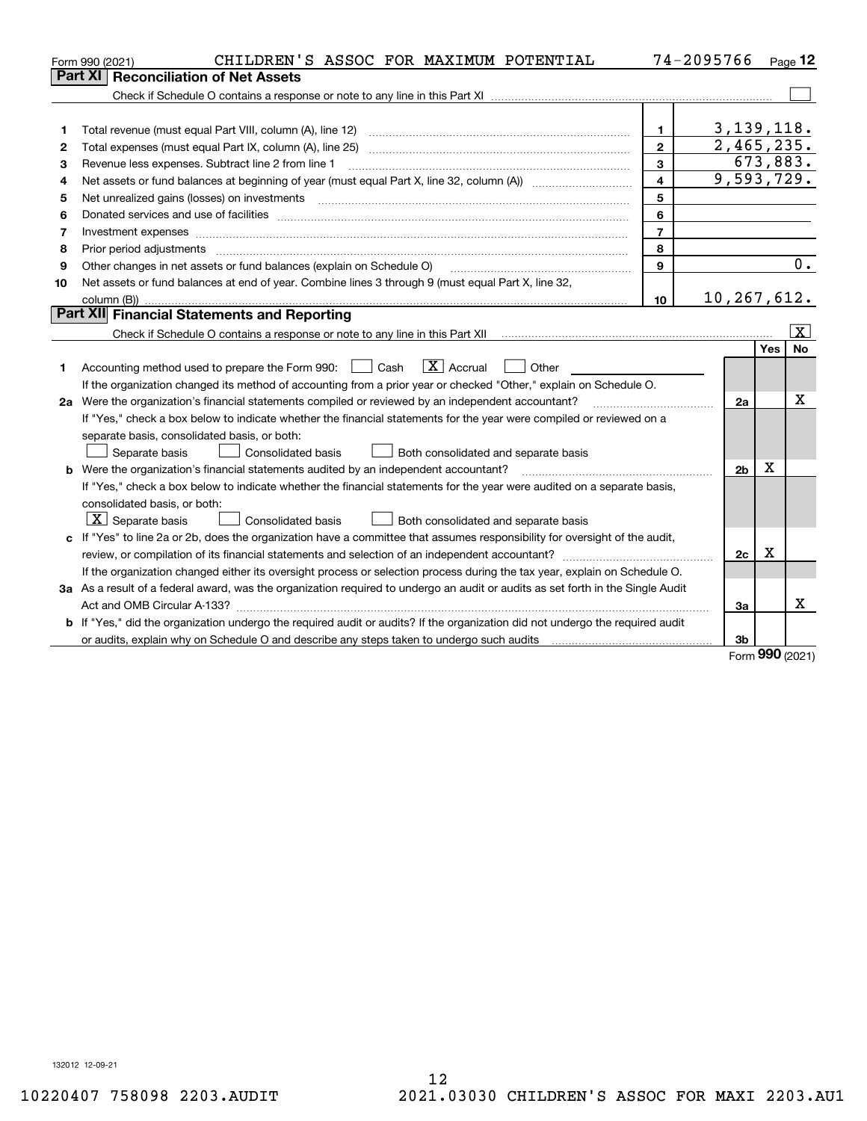|    | CHILDREN'S ASSOC FOR MAXIMUM POTENTIAL<br>Form 990 (2021)                                                                       |                | 74-2095766     |          | Page $12$               |
|----|---------------------------------------------------------------------------------------------------------------------------------|----------------|----------------|----------|-------------------------|
|    | <b>Reconciliation of Net Assets</b><br>Part XI                                                                                  |                |                |          |                         |
|    |                                                                                                                                 |                |                |          |                         |
|    |                                                                                                                                 |                |                |          |                         |
| 1  | Total revenue (must equal Part VIII, column (A), line 12)                                                                       | $\mathbf{1}$   | 3, 139, 118.   |          |                         |
| 2  | Total expenses (must equal Part IX, column (A), line 25)                                                                        | $\overline{2}$ | 2,465,235.     |          |                         |
| 3  | Revenue less expenses. Subtract line 2 from line 1                                                                              | 3              |                | 673,883. |                         |
| 4  |                                                                                                                                 | 4              | 9,593,729.     |          |                         |
| 5  | Net unrealized gains (losses) on investments                                                                                    | 5              |                |          |                         |
| 6  |                                                                                                                                 | 6              |                |          |                         |
| 7  |                                                                                                                                 | $\overline{7}$ |                |          |                         |
| 8  | Prior period adjustments                                                                                                        | 8              |                |          |                         |
| 9  | Other changes in net assets or fund balances (explain on Schedule O)                                                            | 9              |                |          | $\overline{0}$ .        |
| 10 | Net assets or fund balances at end of year. Combine lines 3 through 9 (must equal Part X, line 32,                              |                |                |          |                         |
|    | column (B))                                                                                                                     | 10             | 10, 267, 612.  |          |                         |
|    | Part XII Financial Statements and Reporting                                                                                     |                |                |          |                         |
|    |                                                                                                                                 |                |                |          | $\overline{\mathbf{x}}$ |
|    |                                                                                                                                 |                |                | Yes      | <b>No</b>               |
| 1  | $\boxed{\mathbf{X}}$ Accrual<br>Accounting method used to prepare the Form 990: <u>June</u> Cash<br>Other                       |                |                |          |                         |
|    | If the organization changed its method of accounting from a prior year or checked "Other," explain on Schedule O.               |                |                |          |                         |
|    | 2a Were the organization's financial statements compiled or reviewed by an independent accountant?                              |                | 2a             |          | х                       |
|    | If "Yes," check a box below to indicate whether the financial statements for the year were compiled or reviewed on a            |                |                |          |                         |
|    | separate basis, consolidated basis, or both:                                                                                    |                |                |          |                         |
|    | Separate basis<br><b>Consolidated basis</b><br>Both consolidated and separate basis                                             |                |                |          |                         |
|    | <b>b</b> Were the organization's financial statements audited by an independent accountant?                                     |                | 2 <sub>b</sub> | Χ        |                         |
|    | If "Yes," check a box below to indicate whether the financial statements for the year were audited on a separate basis,         |                |                |          |                         |
|    | consolidated basis, or both:                                                                                                    |                |                |          |                         |
|    | $\lfloor x \rfloor$ Separate basis<br><b>Consolidated basis</b><br>Both consolidated and separate basis                         |                |                |          |                         |
|    | c If "Yes" to line 2a or 2b, does the organization have a committee that assumes responsibility for oversight of the audit,     |                |                |          |                         |
|    | review, or compilation of its financial statements and selection of an independent accountant?                                  |                | 2c             | x        |                         |
|    | If the organization changed either its oversight process or selection process during the tax year, explain on Schedule O.       |                |                |          |                         |
|    | 3a As a result of a federal award, was the organization required to undergo an audit or audits as set forth in the Single Audit |                |                |          |                         |
|    |                                                                                                                                 |                | За             |          | x                       |
|    | b If "Yes," did the organization undergo the required audit or audits? If the organization did not undergo the required audit   |                |                |          |                         |
|    |                                                                                                                                 |                | 3 <sub>b</sub> |          |                         |

Form (2021) **990**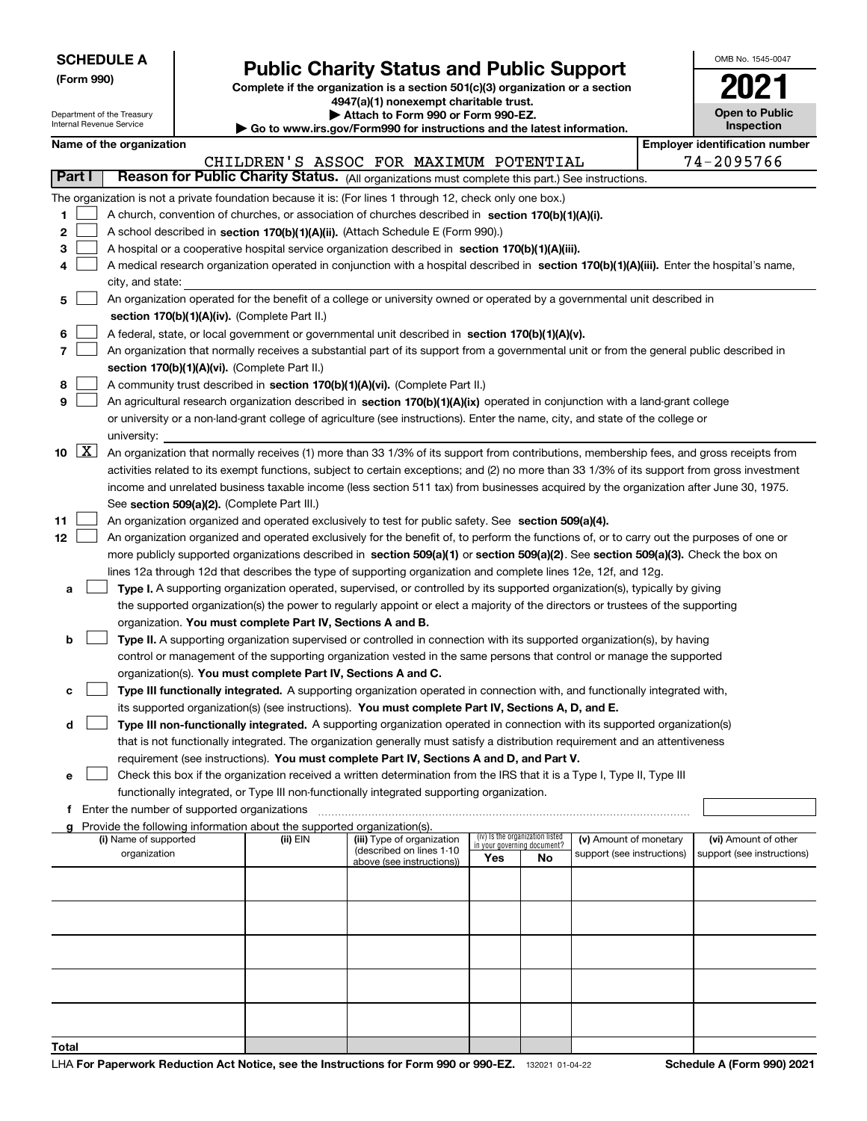Department of the Treasury Internal Revenue Service

**(Form 990)**

**Total**

## **Public Charity Status and Public Support**

**Complete if the organization is a section 501(c)(3) organization or a section 4947(a)(1) nonexempt charitable trust.**

**| Attach to Form 990 or Form 990-EZ.** 

**| Go to www.irs.gov/Form990 for instructions and the latest information.**

| OMB No. 1545-0047                   |
|-------------------------------------|
|                                     |
| <b>Open to Public</b><br>Inspection |

|  |  | Name of the organization |
|--|--|--------------------------|
|--|--|--------------------------|

| oloyer identification numbe |  |           |  |  |
|-----------------------------|--|-----------|--|--|
|                             |  | --------- |  |  |

|        |                    | Name of the organization                                                                                                                                                                                             | <b>Employer identification number</b> |                                                       |                                    |                                 |                            |  |                            |  |  |
|--------|--------------------|----------------------------------------------------------------------------------------------------------------------------------------------------------------------------------------------------------------------|---------------------------------------|-------------------------------------------------------|------------------------------------|---------------------------------|----------------------------|--|----------------------------|--|--|
| Part I |                    |                                                                                                                                                                                                                      |                                       | CHILDREN'S ASSOC FOR MAXIMUM POTENTIAL                |                                    |                                 |                            |  | 74-2095766                 |  |  |
|        |                    | Reason for Public Charity Status. (All organizations must complete this part.) See instructions.                                                                                                                     |                                       |                                                       |                                    |                                 |                            |  |                            |  |  |
|        |                    | The organization is not a private foundation because it is: (For lines 1 through 12, check only one box.)                                                                                                            |                                       |                                                       |                                    |                                 |                            |  |                            |  |  |
| 1      |                    | A church, convention of churches, or association of churches described in section 170(b)(1)(A)(i).                                                                                                                   |                                       |                                                       |                                    |                                 |                            |  |                            |  |  |
| 2      |                    | A school described in section 170(b)(1)(A)(ii). (Attach Schedule E (Form 990).)                                                                                                                                      |                                       |                                                       |                                    |                                 |                            |  |                            |  |  |
| 3      |                    | A hospital or a cooperative hospital service organization described in section 170(b)(1)(A)(iii).                                                                                                                    |                                       |                                                       |                                    |                                 |                            |  |                            |  |  |
|        |                    | A medical research organization operated in conjunction with a hospital described in section 170(b)(1)(A)(iii). Enter the hospital's name,                                                                           |                                       |                                                       |                                    |                                 |                            |  |                            |  |  |
|        |                    | city, and state:                                                                                                                                                                                                     |                                       |                                                       |                                    |                                 |                            |  |                            |  |  |
| 5      |                    | An organization operated for the benefit of a college or university owned or operated by a governmental unit described in                                                                                            |                                       |                                                       |                                    |                                 |                            |  |                            |  |  |
|        |                    | section 170(b)(1)(A)(iv). (Complete Part II.)                                                                                                                                                                        |                                       |                                                       |                                    |                                 |                            |  |                            |  |  |
| 6      |                    | A federal, state, or local government or governmental unit described in section 170(b)(1)(A)(v).                                                                                                                     |                                       |                                                       |                                    |                                 |                            |  |                            |  |  |
| 7      |                    | An organization that normally receives a substantial part of its support from a governmental unit or from the general public described in                                                                            |                                       |                                                       |                                    |                                 |                            |  |                            |  |  |
|        |                    | section 170(b)(1)(A)(vi). (Complete Part II.)                                                                                                                                                                        |                                       |                                                       |                                    |                                 |                            |  |                            |  |  |
| 8      |                    | A community trust described in section 170(b)(1)(A)(vi). (Complete Part II.)                                                                                                                                         |                                       |                                                       |                                    |                                 |                            |  |                            |  |  |
| 9      |                    | An agricultural research organization described in section 170(b)(1)(A)(ix) operated in conjunction with a land-grant college                                                                                        |                                       |                                                       |                                    |                                 |                            |  |                            |  |  |
|        |                    | or university or a non-land-grant college of agriculture (see instructions). Enter the name, city, and state of the college or                                                                                       |                                       |                                                       |                                    |                                 |                            |  |                            |  |  |
|        |                    | university:                                                                                                                                                                                                          |                                       |                                                       |                                    |                                 |                            |  |                            |  |  |
| 10     | $\boxed{\text{X}}$ | An organization that normally receives (1) more than 33 1/3% of its support from contributions, membership fees, and gross receipts from                                                                             |                                       |                                                       |                                    |                                 |                            |  |                            |  |  |
|        |                    | activities related to its exempt functions, subject to certain exceptions; and (2) no more than 33 1/3% of its support from gross investment                                                                         |                                       |                                                       |                                    |                                 |                            |  |                            |  |  |
|        |                    | income and unrelated business taxable income (less section 511 tax) from businesses acquired by the organization after June 30, 1975.                                                                                |                                       |                                                       |                                    |                                 |                            |  |                            |  |  |
|        |                    | See section 509(a)(2). (Complete Part III.)                                                                                                                                                                          |                                       |                                                       |                                    |                                 |                            |  |                            |  |  |
| 11     |                    | An organization organized and operated exclusively to test for public safety. See section 509(a)(4).                                                                                                                 |                                       |                                                       |                                    |                                 |                            |  |                            |  |  |
| 12     |                    | An organization organized and operated exclusively for the benefit of, to perform the functions of, or to carry out the purposes of one or                                                                           |                                       |                                                       |                                    |                                 |                            |  |                            |  |  |
|        |                    | more publicly supported organizations described in section 509(a)(1) or section 509(a)(2). See section 509(a)(3). Check the box on                                                                                   |                                       |                                                       |                                    |                                 |                            |  |                            |  |  |
|        |                    | lines 12a through 12d that describes the type of supporting organization and complete lines 12e, 12f, and 12g.                                                                                                       |                                       |                                                       |                                    |                                 |                            |  |                            |  |  |
| a      |                    | Type I. A supporting organization operated, supervised, or controlled by its supported organization(s), typically by giving                                                                                          |                                       |                                                       |                                    |                                 |                            |  |                            |  |  |
|        |                    | the supported organization(s) the power to regularly appoint or elect a majority of the directors or trustees of the supporting                                                                                      |                                       |                                                       |                                    |                                 |                            |  |                            |  |  |
|        |                    | organization. You must complete Part IV, Sections A and B.                                                                                                                                                           |                                       |                                                       |                                    |                                 |                            |  |                            |  |  |
| b      |                    | Type II. A supporting organization supervised or controlled in connection with its supported organization(s), by having                                                                                              |                                       |                                                       |                                    |                                 |                            |  |                            |  |  |
|        |                    | control or management of the supporting organization vested in the same persons that control or manage the supported                                                                                                 |                                       |                                                       |                                    |                                 |                            |  |                            |  |  |
|        |                    | organization(s). You must complete Part IV, Sections A and C.                                                                                                                                                        |                                       |                                                       |                                    |                                 |                            |  |                            |  |  |
| c      |                    | Type III functionally integrated. A supporting organization operated in connection with, and functionally integrated with,                                                                                           |                                       |                                                       |                                    |                                 |                            |  |                            |  |  |
|        |                    | its supported organization(s) (see instructions). You must complete Part IV, Sections A, D, and E.                                                                                                                   |                                       |                                                       |                                    |                                 |                            |  |                            |  |  |
| d      |                    | Type III non-functionally integrated. A supporting organization operated in connection with its supported organization(s)                                                                                            |                                       |                                                       |                                    |                                 |                            |  |                            |  |  |
|        |                    | that is not functionally integrated. The organization generally must satisfy a distribution requirement and an attentiveness                                                                                         |                                       |                                                       |                                    |                                 |                            |  |                            |  |  |
|        |                    | requirement (see instructions). You must complete Part IV, Sections A and D, and Part V.                                                                                                                             |                                       |                                                       |                                    |                                 |                            |  |                            |  |  |
|        |                    | Check this box if the organization received a written determination from the IRS that it is a Type I, Type II, Type III<br>functionally integrated, or Type III non-functionally integrated supporting organization. |                                       |                                                       |                                    |                                 |                            |  |                            |  |  |
|        |                    | f Enter the number of supported organizations                                                                                                                                                                        |                                       |                                                       |                                    |                                 |                            |  |                            |  |  |
|        |                    | g Provide the following information about the supported organization(s).                                                                                                                                             |                                       |                                                       |                                    |                                 |                            |  |                            |  |  |
|        |                    | (i) Name of supported                                                                                                                                                                                                | (ii) EIN                              | (iii) Type of organization                            |                                    | (iv) Is the organization listed | (v) Amount of monetary     |  | (vi) Amount of other       |  |  |
|        |                    | organization                                                                                                                                                                                                         |                                       | (described on lines 1-10<br>above (see instructions)) | in your governing document?<br>Yes | No                              | support (see instructions) |  | support (see instructions) |  |  |
|        |                    |                                                                                                                                                                                                                      |                                       |                                                       |                                    |                                 |                            |  |                            |  |  |
|        |                    |                                                                                                                                                                                                                      |                                       |                                                       |                                    |                                 |                            |  |                            |  |  |
|        |                    |                                                                                                                                                                                                                      |                                       |                                                       |                                    |                                 |                            |  |                            |  |  |
|        |                    |                                                                                                                                                                                                                      |                                       |                                                       |                                    |                                 |                            |  |                            |  |  |
|        |                    |                                                                                                                                                                                                                      |                                       |                                                       |                                    |                                 |                            |  |                            |  |  |
|        |                    |                                                                                                                                                                                                                      |                                       |                                                       |                                    |                                 |                            |  |                            |  |  |
|        |                    |                                                                                                                                                                                                                      |                                       |                                                       |                                    |                                 |                            |  |                            |  |  |
|        |                    |                                                                                                                                                                                                                      |                                       |                                                       |                                    |                                 |                            |  |                            |  |  |
|        |                    |                                                                                                                                                                                                                      |                                       |                                                       |                                    |                                 |                            |  |                            |  |  |
|        |                    |                                                                                                                                                                                                                      |                                       |                                                       |                                    |                                 |                            |  |                            |  |  |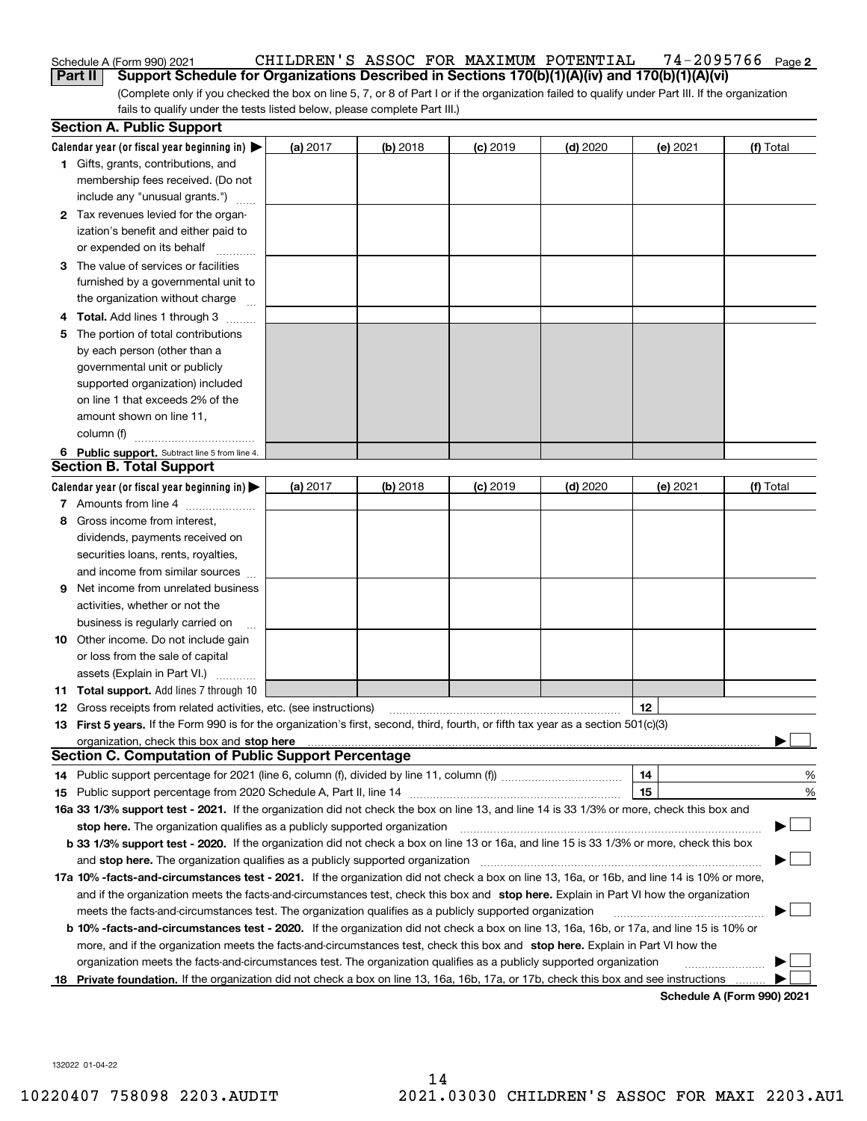### 74-2095766 Page 2 Schedule A (Form 990) 2021 CHILDREN'S ASSOC FOR MAXIMUM POTENTIAL 74-2095766 <sub>Page</sub> **Part II** Support Schedule for Organizations Described in Sections 170(b)(1)(A)(iv) and 170(b)(1)(A)(vi)

(Complete only if you checked the box on line 5, 7, or 8 of Part I or if the organization failed to qualify under Part III. If the organization fails to qualify under the tests listed below, please complete Part III.)

|    | <b>Section A. Public Support</b>                                                                                                               |          |            |            |            |          |                            |
|----|------------------------------------------------------------------------------------------------------------------------------------------------|----------|------------|------------|------------|----------|----------------------------|
|    | Calendar year (or fiscal year beginning in) $\blacktriangleright$                                                                              | (a) 2017 | $(b)$ 2018 | $(c)$ 2019 | $(d)$ 2020 | (e) 2021 | (f) Total                  |
|    | <b>1</b> Gifts, grants, contributions, and                                                                                                     |          |            |            |            |          |                            |
|    | membership fees received. (Do not                                                                                                              |          |            |            |            |          |                            |
|    | include any "unusual grants.")                                                                                                                 |          |            |            |            |          |                            |
|    | <b>2</b> Tax revenues levied for the organ-                                                                                                    |          |            |            |            |          |                            |
|    | ization's benefit and either paid to                                                                                                           |          |            |            |            |          |                            |
|    | or expended on its behalf                                                                                                                      |          |            |            |            |          |                            |
|    | 3 The value of services or facilities                                                                                                          |          |            |            |            |          |                            |
|    | furnished by a governmental unit to                                                                                                            |          |            |            |            |          |                            |
|    | the organization without charge                                                                                                                |          |            |            |            |          |                            |
|    | 4 Total. Add lines 1 through 3                                                                                                                 |          |            |            |            |          |                            |
| 5. | The portion of total contributions                                                                                                             |          |            |            |            |          |                            |
|    | by each person (other than a                                                                                                                   |          |            |            |            |          |                            |
|    | governmental unit or publicly                                                                                                                  |          |            |            |            |          |                            |
|    | supported organization) included                                                                                                               |          |            |            |            |          |                            |
|    | on line 1 that exceeds 2% of the                                                                                                               |          |            |            |            |          |                            |
|    | amount shown on line 11,                                                                                                                       |          |            |            |            |          |                            |
|    | column (f)                                                                                                                                     |          |            |            |            |          |                            |
|    | 6 Public support. Subtract line 5 from line 4.                                                                                                 |          |            |            |            |          |                            |
|    | <b>Section B. Total Support</b>                                                                                                                |          |            |            |            |          |                            |
|    | Calendar year (or fiscal year beginning in)                                                                                                    | (a) 2017 | $(b)$ 2018 | $(c)$ 2019 | $(d)$ 2020 | (e) 2021 | (f) Total                  |
|    | 7 Amounts from line 4                                                                                                                          |          |            |            |            |          |                            |
|    | 8 Gross income from interest,                                                                                                                  |          |            |            |            |          |                            |
|    | dividends, payments received on                                                                                                                |          |            |            |            |          |                            |
|    | securities loans, rents, royalties,                                                                                                            |          |            |            |            |          |                            |
|    | and income from similar sources                                                                                                                |          |            |            |            |          |                            |
| 9. | Net income from unrelated business                                                                                                             |          |            |            |            |          |                            |
|    | activities, whether or not the                                                                                                                 |          |            |            |            |          |                            |
|    | business is regularly carried on                                                                                                               |          |            |            |            |          |                            |
|    | <b>10</b> Other income. Do not include gain                                                                                                    |          |            |            |            |          |                            |
|    | or loss from the sale of capital                                                                                                               |          |            |            |            |          |                            |
|    | assets (Explain in Part VI.)                                                                                                                   |          |            |            |            |          |                            |
|    | <b>11 Total support.</b> Add lines 7 through 10                                                                                                |          |            |            |            |          |                            |
|    | <b>12</b> Gross receipts from related activities, etc. (see instructions)                                                                      |          |            |            |            | 12       |                            |
|    | 13 First 5 years. If the Form 990 is for the organization's first, second, third, fourth, or fifth tax year as a section 501(c)(3)             |          |            |            |            |          |                            |
|    | organization, check this box and <b>stop here</b> www.communication.communication.communication.communication.com                              |          |            |            |            |          |                            |
|    | <b>Section C. Computation of Public Support Percentage</b>                                                                                     |          |            |            |            |          |                            |
|    |                                                                                                                                                |          |            |            |            | 14       | %                          |
|    |                                                                                                                                                |          |            |            |            | 15       | $\%$                       |
|    | 16a 33 1/3% support test - 2021. If the organization did not check the box on line 13, and line 14 is 33 1/3% or more, check this box and      |          |            |            |            |          |                            |
|    | stop here. The organization qualifies as a publicly supported organization                                                                     |          |            |            |            |          |                            |
|    | b 33 1/3% support test - 2020. If the organization did not check a box on line 13 or 16a, and line 15 is 33 1/3% or more, check this box       |          |            |            |            |          |                            |
|    | and stop here. The organization qualifies as a publicly supported organization                                                                 |          |            |            |            |          |                            |
|    | 17a 10% -facts-and-circumstances test - 2021. If the organization did not check a box on line 13, 16a, or 16b, and line 14 is 10% or more,     |          |            |            |            |          |                            |
|    | and if the organization meets the facts-and-circumstances test, check this box and stop here. Explain in Part VI how the organization          |          |            |            |            |          |                            |
|    | meets the facts-and-circumstances test. The organization qualifies as a publicly supported organization                                        |          |            |            |            |          |                            |
|    | <b>b 10% -facts-and-circumstances test - 2020.</b> If the organization did not check a box on line 13, 16a, 16b, or 17a, and line 15 is 10% or |          |            |            |            |          |                            |
|    | more, and if the organization meets the facts-and-circumstances test, check this box and stop here. Explain in Part VI how the                 |          |            |            |            |          |                            |
|    | organization meets the facts-and-circumstances test. The organization qualifies as a publicly supported organization                           |          |            |            |            |          |                            |
|    | 18 Private foundation. If the organization did not check a box on line 13, 16a, 16b, 17a, or 17b, check this box and see instructions          |          |            |            |            |          |                            |
|    |                                                                                                                                                |          |            |            |            |          | Schedule A (Form 990) 2021 |

**Schedule A (Form 990) 2021**

132022 01-04-22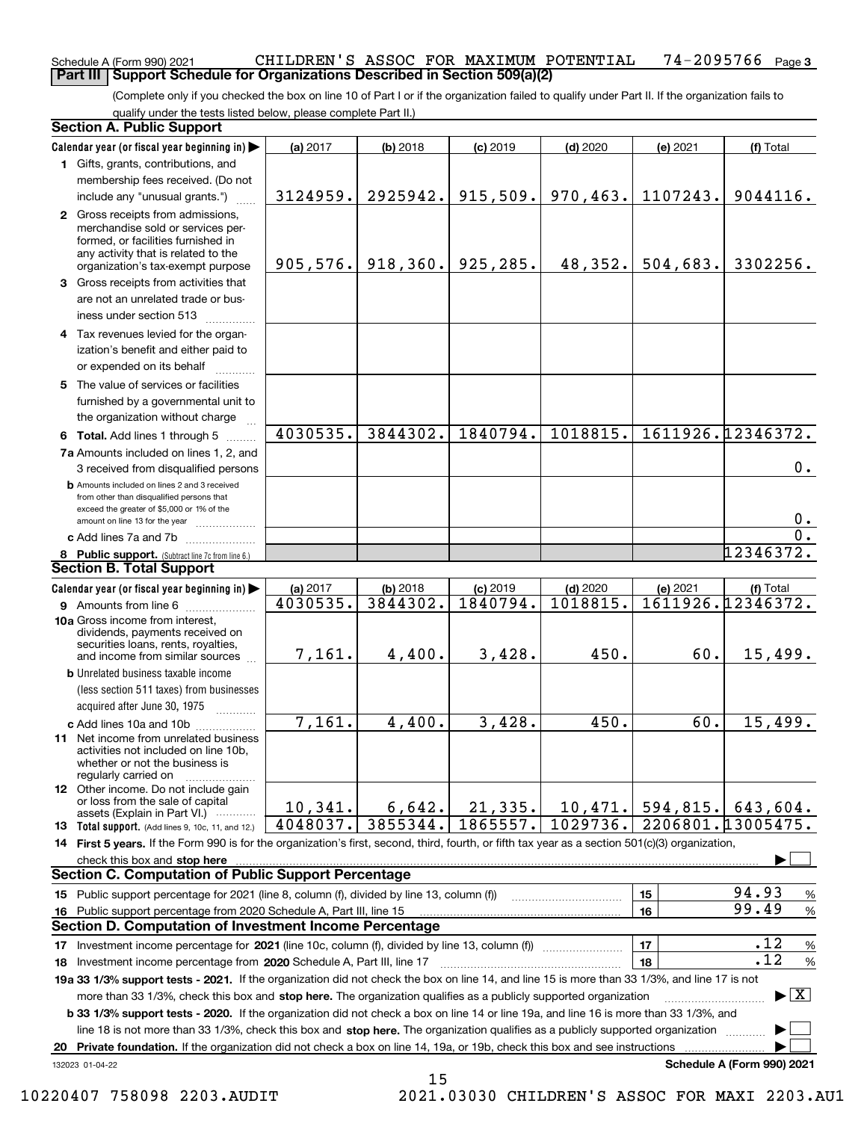### Schedule A (Form 990) 2021 CHILDREN'S ASSOC FOR MAXIMUM POTENTIAL 7 $4\texttt{-}2095766$  Page 3 **Part III Support Schedule for Organizations Described in Section 509(a)(2)**

(Complete only if you checked the box on line 10 of Part I or if the organization failed to qualify under Part II. If the organization fails to qualify under the tests listed below, please complete Part II.)

|    | <b>Section A. Public Support</b>                                                                                                                                                                             |                     |                    |                     |                     |                   |                                          |  |  |
|----|--------------------------------------------------------------------------------------------------------------------------------------------------------------------------------------------------------------|---------------------|--------------------|---------------------|---------------------|-------------------|------------------------------------------|--|--|
|    | Calendar year (or fiscal year beginning in)                                                                                                                                                                  | (a) 2017            | $(b)$ 2018         | $(c)$ 2019          | $(d)$ 2020          | (e) 2021          | (f) Total                                |  |  |
|    | 1 Gifts, grants, contributions, and                                                                                                                                                                          |                     |                    |                     |                     |                   |                                          |  |  |
|    | membership fees received. (Do not                                                                                                                                                                            |                     |                    |                     |                     |                   |                                          |  |  |
|    | include any "unusual grants.")                                                                                                                                                                               | 3124959.            | 2925942.           | 915,509.            | 970, 463.           | 1107243.          | 9044116.                                 |  |  |
|    | 2 Gross receipts from admissions,<br>merchandise sold or services per-<br>formed, or facilities furnished in<br>any activity that is related to the<br>organization's tax-exempt purpose                     | 905,576.            | 918,360.           | 925,285.            | 48,352.             | 504,683.          | 3302256.                                 |  |  |
|    | 3 Gross receipts from activities that<br>are not an unrelated trade or bus-<br>iness under section 513                                                                                                       |                     |                    |                     |                     |                   |                                          |  |  |
|    | 4 Tax revenues levied for the organ-<br>ization's benefit and either paid to<br>or expended on its behalf                                                                                                    |                     |                    |                     |                     |                   |                                          |  |  |
|    | 5 The value of services or facilities<br>furnished by a governmental unit to<br>the organization without charge                                                                                              |                     |                    |                     |                     |                   |                                          |  |  |
|    | 6 Total. Add lines 1 through 5                                                                                                                                                                               | 4030535.            | 3844302.           | 1840794.            | 1018815.            |                   | 1611926.12346372.                        |  |  |
|    | 7a Amounts included on lines 1, 2, and<br>3 received from disqualified persons                                                                                                                               |                     |                    |                     |                     |                   | 0.                                       |  |  |
|    | <b>b</b> Amounts included on lines 2 and 3 received<br>from other than disqualified persons that<br>exceed the greater of \$5,000 or 1% of the<br>amount on line 13 for the year                             |                     |                    |                     |                     |                   | 0.                                       |  |  |
|    | c Add lines 7a and 7b                                                                                                                                                                                        |                     |                    |                     |                     |                   | $\overline{0}$ .                         |  |  |
|    | 8 Public support. (Subtract line 7c from line 6.)                                                                                                                                                            |                     |                    |                     |                     |                   | 12346372.                                |  |  |
|    | <b>Section B. Total Support</b>                                                                                                                                                                              |                     |                    |                     |                     |                   |                                          |  |  |
|    | Calendar year (or fiscal year beginning in)                                                                                                                                                                  | (a) 2017            | $(b)$ 2018         | $(c)$ 2019          | $(d)$ 2020          | (e) 2021          | (f) Total                                |  |  |
|    | 9 Amounts from line 6                                                                                                                                                                                        | 4030535.            | 3844302.           | 1840794.            | 1018815.            |                   | 1611926.12346372.                        |  |  |
|    | 10a Gross income from interest,<br>dividends, payments received on<br>securities loans, rents, royalties,<br>and income from similar sources                                                                 | 7,161.              | 4,400.             | 3,428.              | 450.                | 60.               | 15,499.                                  |  |  |
|    | <b>b</b> Unrelated business taxable income<br>(less section 511 taxes) from businesses<br>acquired after June 30, 1975<br>$\mathcal{L}^{\text{max}}$                                                         |                     |                    |                     |                     |                   |                                          |  |  |
|    | c Add lines 10a and 10b                                                                                                                                                                                      | 7,161.              | 4,400.             | 3,428.              | 450.                | $\overline{60}$ . | 15,499.                                  |  |  |
|    | 11 Net income from unrelated business<br>activities not included on line 10b.<br>whether or not the business is<br>regularly carried on                                                                      |                     |                    |                     |                     |                   |                                          |  |  |
|    | <b>12</b> Other income. Do not include gain<br>or loss from the sale of capital<br>assets (Explain in Part VI.)                                                                                              | 10,341.<br>4048037. | 6,642.<br>3855344. | 21,335.<br>1865557. | 10,471.<br>1029736. | 594, 815.         | 643,604.<br>2206801.13005475.            |  |  |
|    | <b>13</b> Total support. (Add lines 9, 10c, 11, and 12.)<br>14 First 5 years. If the Form 990 is for the organization's first, second, third, fourth, or fifth tax year as a section 501(c)(3) organization, |                     |                    |                     |                     |                   |                                          |  |  |
|    | check this box and stop here                                                                                                                                                                                 |                     |                    |                     |                     |                   |                                          |  |  |
|    | <b>Section C. Computation of Public Support Percentage</b>                                                                                                                                                   |                     |                    |                     |                     |                   |                                          |  |  |
|    | 15 Public support percentage for 2021 (line 8, column (f), divided by line 13, column (f))                                                                                                                   |                     |                    |                     |                     | 15                | 94.93<br>%                               |  |  |
|    | 16 Public support percentage from 2020 Schedule A, Part III, line 15                                                                                                                                         |                     |                    |                     |                     | 16                | 99.49<br>$\%$                            |  |  |
|    | <b>Section D. Computation of Investment Income Percentage</b>                                                                                                                                                |                     |                    |                     |                     |                   |                                          |  |  |
|    | 17 Investment income percentage for 2021 (line 10c, column (f), divided by line 13, column (f))                                                                                                              |                     |                    |                     |                     | 17                | .12<br>%                                 |  |  |
|    | 18 Investment income percentage from 2020 Schedule A, Part III, line 17                                                                                                                                      |                     |                    |                     |                     | 18                | .12<br>$\%$                              |  |  |
|    | 19a 33 1/3% support tests - 2021. If the organization did not check the box on line 14, and line 15 is more than 33 1/3%, and line 17 is not                                                                 |                     |                    |                     |                     |                   |                                          |  |  |
|    | more than 33 1/3%, check this box and stop here. The organization qualifies as a publicly supported organization                                                                                             |                     |                    |                     |                     |                   | $\blacktriangleright$ $\boxed{\text{X}}$ |  |  |
|    | b 33 1/3% support tests - 2020. If the organization did not check a box on line 14 or line 19a, and line 16 is more than 33 1/3%, and                                                                        |                     |                    |                     |                     |                   |                                          |  |  |
|    | line 18 is not more than 33 1/3%, check this box and stop here. The organization qualifies as a publicly supported organization                                                                              |                     |                    |                     |                     |                   |                                          |  |  |
| 20 | Private foundation. If the organization did not check a box on line 14, 19a, or 19b, check this box and see instructions                                                                                     |                     |                    |                     |                     |                   |                                          |  |  |
|    | 132023 01-04-22                                                                                                                                                                                              |                     |                    |                     |                     |                   | Schedule A (Form 990) 2021               |  |  |

<sup>15</sup> 10220407 758098 2203.AUDIT 2021.03030 CHILDREN'S ASSOC FOR MAXI 2203.AU1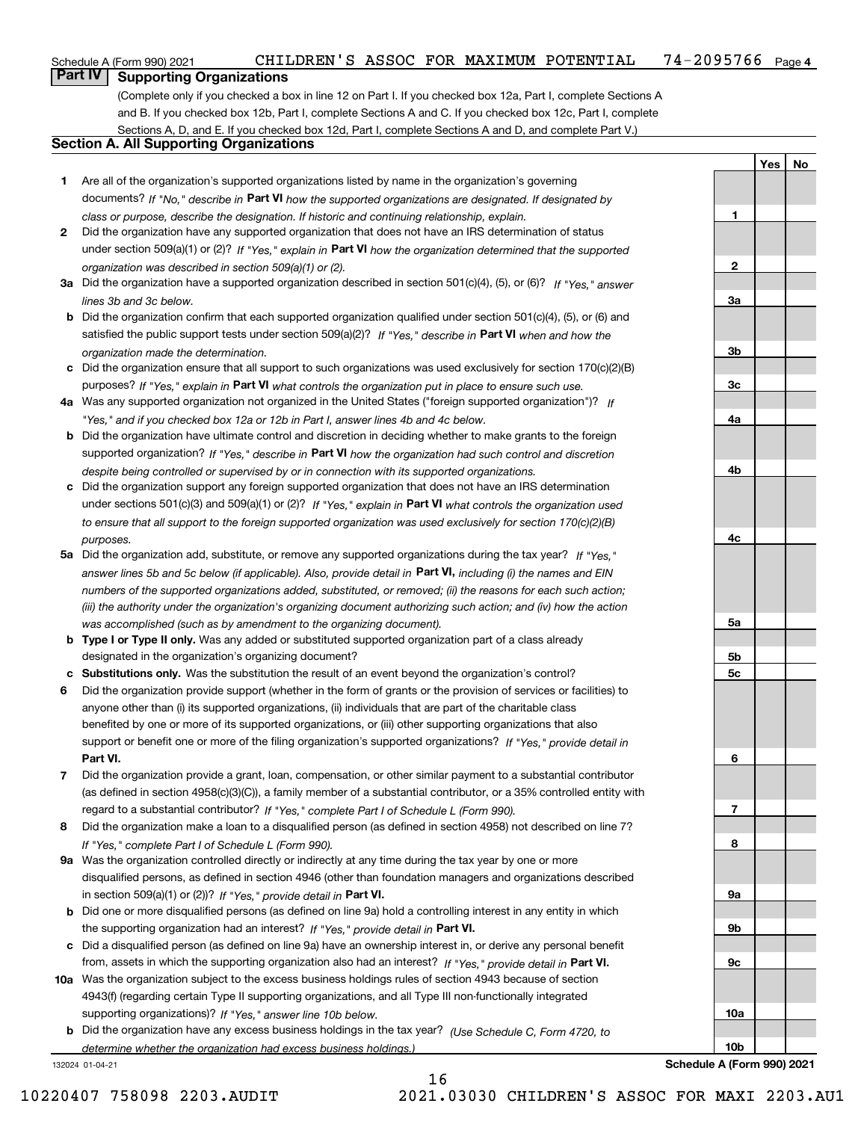## **Part IV Supporting Organizations**

(Complete only if you checked a box in line 12 on Part I. If you checked box 12a, Part I, complete Sections A and B. If you checked box 12b, Part I, complete Sections A and C. If you checked box 12c, Part I, complete Sections A, D, and E. If you checked box 12d, Part I, complete Sections A and D, and complete Part V.)

## **Section A. All Supporting Organizations**

- **1** Are all of the organization's supported organizations listed by name in the organization's governing documents? If "No," describe in **Part VI** how the supported organizations are designated. If designated by *class or purpose, describe the designation. If historic and continuing relationship, explain.*
- **2** Did the organization have any supported organization that does not have an IRS determination of status under section 509(a)(1) or (2)? If "Yes," explain in Part VI how the organization determined that the supported *organization was described in section 509(a)(1) or (2).*
- **3a** Did the organization have a supported organization described in section 501(c)(4), (5), or (6)? If "Yes," answer *lines 3b and 3c below.*
- **b** Did the organization confirm that each supported organization qualified under section 501(c)(4), (5), or (6) and satisfied the public support tests under section 509(a)(2)? If "Yes," describe in **Part VI** when and how the *organization made the determination.*
- **c**Did the organization ensure that all support to such organizations was used exclusively for section 170(c)(2)(B) purposes? If "Yes," explain in **Part VI** what controls the organization put in place to ensure such use.
- **4a***If* Was any supported organization not organized in the United States ("foreign supported organization")? *"Yes," and if you checked box 12a or 12b in Part I, answer lines 4b and 4c below.*
- **b** Did the organization have ultimate control and discretion in deciding whether to make grants to the foreign supported organization? If "Yes," describe in **Part VI** how the organization had such control and discretion *despite being controlled or supervised by or in connection with its supported organizations.*
- **c** Did the organization support any foreign supported organization that does not have an IRS determination under sections 501(c)(3) and 509(a)(1) or (2)? If "Yes," explain in **Part VI** what controls the organization used *to ensure that all support to the foreign supported organization was used exclusively for section 170(c)(2)(B) purposes.*
- **5a** Did the organization add, substitute, or remove any supported organizations during the tax year? If "Yes," answer lines 5b and 5c below (if applicable). Also, provide detail in **Part VI,** including (i) the names and EIN *numbers of the supported organizations added, substituted, or removed; (ii) the reasons for each such action; (iii) the authority under the organization's organizing document authorizing such action; and (iv) how the action was accomplished (such as by amendment to the organizing document).*
- **b** Type I or Type II only. Was any added or substituted supported organization part of a class already designated in the organization's organizing document?
- **cSubstitutions only.**  Was the substitution the result of an event beyond the organization's control?
- **6** Did the organization provide support (whether in the form of grants or the provision of services or facilities) to **Part VI.** *If "Yes," provide detail in* support or benefit one or more of the filing organization's supported organizations? anyone other than (i) its supported organizations, (ii) individuals that are part of the charitable class benefited by one or more of its supported organizations, or (iii) other supporting organizations that also
- **7**Did the organization provide a grant, loan, compensation, or other similar payment to a substantial contributor *If "Yes," complete Part I of Schedule L (Form 990).* regard to a substantial contributor? (as defined in section 4958(c)(3)(C)), a family member of a substantial contributor, or a 35% controlled entity with
- **8** Did the organization make a loan to a disqualified person (as defined in section 4958) not described on line 7? *If "Yes," complete Part I of Schedule L (Form 990).*
- **9a** Was the organization controlled directly or indirectly at any time during the tax year by one or more in section 509(a)(1) or (2))? If "Yes," *provide detail in* <code>Part VI.</code> disqualified persons, as defined in section 4946 (other than foundation managers and organizations described
- **b** Did one or more disqualified persons (as defined on line 9a) hold a controlling interest in any entity in which the supporting organization had an interest? If "Yes," provide detail in P**art VI**.
- **c**Did a disqualified person (as defined on line 9a) have an ownership interest in, or derive any personal benefit from, assets in which the supporting organization also had an interest? If "Yes," provide detail in P**art VI.**
- **10a** Was the organization subject to the excess business holdings rules of section 4943 because of section supporting organizations)? If "Yes," answer line 10b below. 4943(f) (regarding certain Type II supporting organizations, and all Type III non-functionally integrated
- **b** Did the organization have any excess business holdings in the tax year? (Use Schedule C, Form 4720, to *determine whether the organization had excess business holdings.)*

16

132024 01-04-21

**10bSchedule A (Form 990) 2021**

**YesNo**

**1**

**2**

**3a**

**3b**

**3c**

**4a**

**4b**

**4c**

**5a**

**5b5c**

**6**

**7**

**8**

**9a**

**9b**

**9c**

**10a**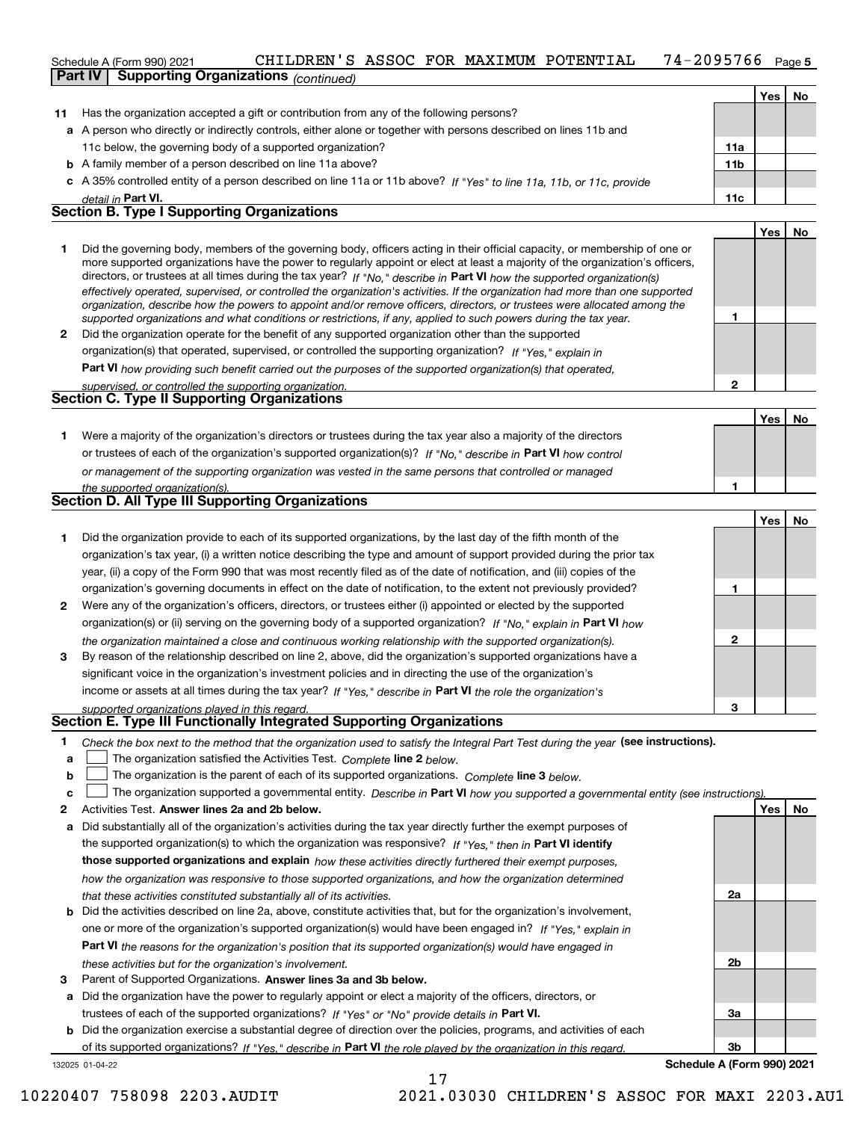### 74-2095766 Page 5 Schedule A (Form 990) 2021 CHILDREN'S ASSOC FOR MAXIMUM POTENTIAL 74-2095766 <sub>Page</sub> **Part IV Supporting Organizations** *(continued)*

|    | ----------                                                                                                                                                                                                                                                                                                                                                                                                                                                                                                               |                 |     |           |
|----|--------------------------------------------------------------------------------------------------------------------------------------------------------------------------------------------------------------------------------------------------------------------------------------------------------------------------------------------------------------------------------------------------------------------------------------------------------------------------------------------------------------------------|-----------------|-----|-----------|
|    |                                                                                                                                                                                                                                                                                                                                                                                                                                                                                                                          |                 | Yes | No.       |
| 11 | Has the organization accepted a gift or contribution from any of the following persons?                                                                                                                                                                                                                                                                                                                                                                                                                                  |                 |     |           |
|    | a A person who directly or indirectly controls, either alone or together with persons described on lines 11b and                                                                                                                                                                                                                                                                                                                                                                                                         |                 |     |           |
|    | 11c below, the governing body of a supported organization?                                                                                                                                                                                                                                                                                                                                                                                                                                                               | 11a             |     |           |
|    | <b>b</b> A family member of a person described on line 11a above?                                                                                                                                                                                                                                                                                                                                                                                                                                                        | 11 <sub>b</sub> |     |           |
|    | c A 35% controlled entity of a person described on line 11a or 11b above? If "Yes" to line 11a, 11b, or 11c, provide                                                                                                                                                                                                                                                                                                                                                                                                     |                 |     |           |
|    | detail in Part VI.                                                                                                                                                                                                                                                                                                                                                                                                                                                                                                       | 11c             |     |           |
|    | <b>Section B. Type I Supporting Organizations</b>                                                                                                                                                                                                                                                                                                                                                                                                                                                                        |                 |     |           |
|    |                                                                                                                                                                                                                                                                                                                                                                                                                                                                                                                          |                 | Yes | <b>No</b> |
|    | Did the governing body, members of the governing body, officers acting in their official capacity, or membership of one or<br>more supported organizations have the power to regularly appoint or elect at least a majority of the organization's officers,<br>directors, or trustees at all times during the tax year? If "No," describe in Part VI how the supported organization(s)<br>effectively operated, supervised, or controlled the organization's activities. If the organization had more than one supported |                 |     |           |

|              | Checavery Operated, Supervised, Or Controlled the Organization's activities. If the Organization mad more than one supporte |
|--------------|-----------------------------------------------------------------------------------------------------------------------------|
|              | organization, describe how the powers to appoint and/or remove officers, directors, or trustees were allocated among the    |
|              | supported organizations and what conditions or restrictions, if any, applied to such powers during the tax year.            |
| $\mathbf{2}$ | Did the organization operate for the benefit of any supported organization other than the supported                         |
|              | organization(s) that operated, supervised, or controlled the supporting organization? If "Yes," explain in                  |
|              |                                                                                                                             |

**Part VI**  *how providing such benefit carried out the purposes of the supported organization(s) that operated,*

| supervised, or controlled the supporting organization. |  |
|--------------------------------------------------------|--|
| <b>Section C. Type II Supporting Organizations</b>     |  |
|                                                        |  |

**1**or trustees of each of the organization's supported organization(s)? If "No," describe in **Part VI** how control **1***or management of the supporting organization was vested in the same persons that controlled or managed the supported organization(s).* Were a majority of the organization's directors or trustees during the tax year also a majority of the directors

| Section D. All Type III Supporting Organizations |  |
|--------------------------------------------------|--|
|                                                  |  |

|                |                                                                                                                        |   | Tesi No |  |
|----------------|------------------------------------------------------------------------------------------------------------------------|---|---------|--|
|                | Did the organization provide to each of its supported organizations, by the last day of the fifth month of the         |   |         |  |
|                | organization's tax year, (i) a written notice describing the type and amount of support provided during the prior tax  |   |         |  |
|                | year, (ii) a copy of the Form 990 that was most recently filed as of the date of notification, and (iii) copies of the |   |         |  |
|                | organization's governing documents in effect on the date of notification, to the extent not previously provided?       |   |         |  |
| $\overline{2}$ | Were any of the organization's officers, directors, or trustees either (i) appointed or elected by the supported       |   |         |  |
|                | organization(s) or (ii) serving on the governing body of a supported organization? If "No," explain in Part VI how     |   |         |  |
|                | the organization maintained a close and continuous working relationship with the supported organization(s).            | 2 |         |  |
| 3              | By reason of the relationship described on line 2, above, did the organization's supported organizations have a        |   |         |  |
|                | significant voice in the organization's investment policies and in directing the use of the organization's             |   |         |  |
|                | income or assets at all times during the tax year? If "Yes," describe in Part VI the role the organization's           |   |         |  |
|                | supported organizations played in this regard                                                                          | з |         |  |

## *supported organizations played in this regard.* **Section E. Type III Functionally Integrated Supporting Organizations**

- **1**Check the box next to the method that the organization used to satisfy the Integral Part Test during the year (see instructions).
- **alinupy** The organization satisfied the Activities Test. Complete line 2 below.
- **bThe organization is the parent of each of its supported organizations. Complete line 3 below.**

|  |  |  | The organization supported a governmental entity. Describe in Part VI how you supported a governmental entity (see instructions) |  |
|--|--|--|----------------------------------------------------------------------------------------------------------------------------------|--|
|--|--|--|----------------------------------------------------------------------------------------------------------------------------------|--|

17

- **2Answer lines 2a and 2b below. Yes No** Activities Test.
- **a** Did substantially all of the organization's activities during the tax year directly further the exempt purposes of the supported organization(s) to which the organization was responsive? If "Yes," then in **Part VI identify those supported organizations and explain**  *how these activities directly furthered their exempt purposes, how the organization was responsive to those supported organizations, and how the organization determined that these activities constituted substantially all of its activities.*
- **b** Did the activities described on line 2a, above, constitute activities that, but for the organization's involvement, **Part VI**  *the reasons for the organization's position that its supported organization(s) would have engaged in* one or more of the organization's supported organization(s) would have been engaged in? If "Yes," e*xplain in these activities but for the organization's involvement.*
- **3** Parent of Supported Organizations. Answer lines 3a and 3b below.

**a** Did the organization have the power to regularly appoint or elect a majority of the officers, directors, or trustees of each of the supported organizations? If "Yes" or "No" provide details in P**art VI.** 

132025 01-04-22 **b** Did the organization exercise a substantial degree of direction over the policies, programs, and activities of each of its supported organizations? If "Yes," describe in Part VI the role played by the organization in this regard.

**3bSchedule A (Form 990) 2021**

**2a**

**2b**

**3a**

**1**

**2**

**YesNo**

**Yes**

**No**

10220407 758098 2203.AUDIT 2021.03030 CHILDREN'S ASSOC FOR MAXI 2203.AU1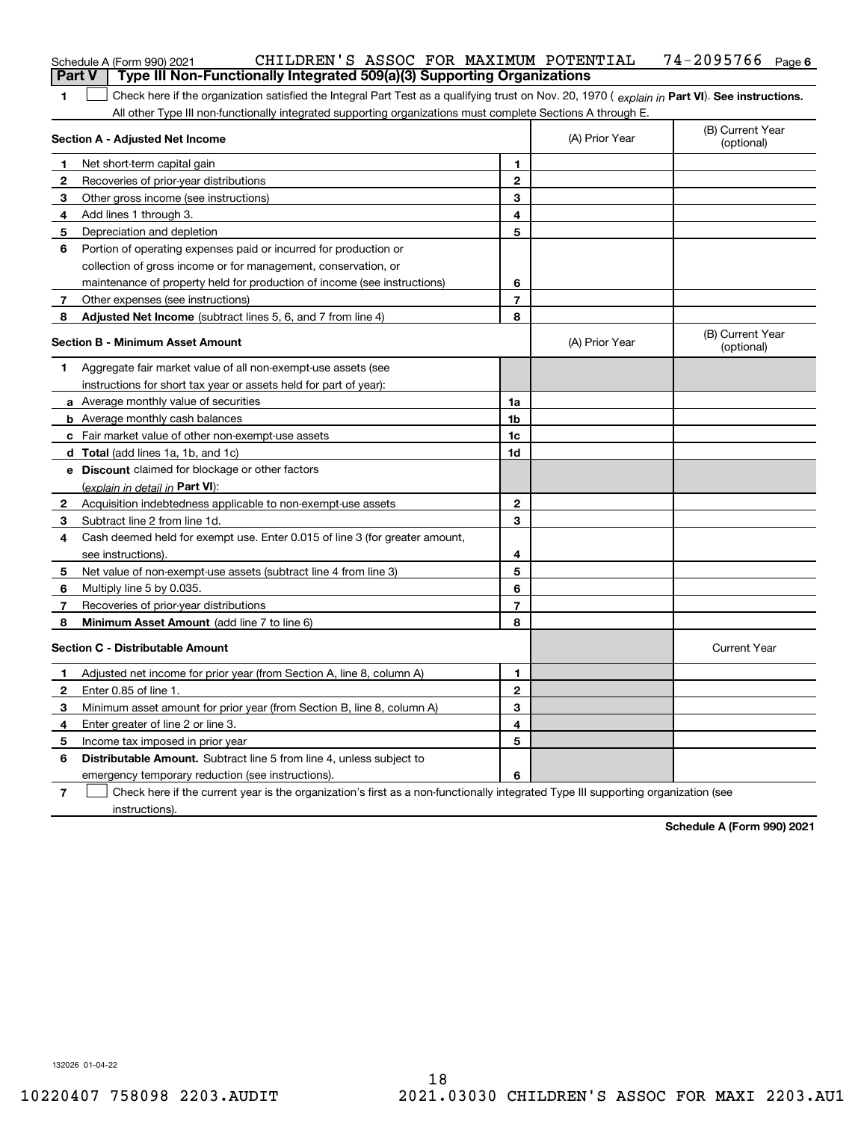|              | CHILDREN'S ASSOC FOR MAXIMUM POTENTIAL<br>Schedule A (Form 990) 2021                                                                           |                |                | $74 - 2095766$ Page 6          |
|--------------|------------------------------------------------------------------------------------------------------------------------------------------------|----------------|----------------|--------------------------------|
|              | Type III Non-Functionally Integrated 509(a)(3) Supporting Organizations<br><b>Part V</b>                                                       |                |                |                                |
| 1            | Check here if the organization satisfied the Integral Part Test as a qualifying trust on Nov. 20, 1970 (explain in Part VI). See instructions. |                |                |                                |
|              | All other Type III non-functionally integrated supporting organizations must complete Sections A through E.                                    |                |                |                                |
|              | <b>Section A - Adjusted Net Income</b>                                                                                                         |                | (A) Prior Year | (B) Current Year<br>(optional) |
| 1            | Net short-term capital gain                                                                                                                    | 1              |                |                                |
| 2            | Recoveries of prior-year distributions                                                                                                         | $\mathbf{2}$   |                |                                |
| 3            | Other gross income (see instructions)                                                                                                          | 3              |                |                                |
| 4            | Add lines 1 through 3.                                                                                                                         | 4              |                |                                |
| 5            | Depreciation and depletion                                                                                                                     | 5              |                |                                |
| 6            | Portion of operating expenses paid or incurred for production or                                                                               |                |                |                                |
|              | collection of gross income or for management, conservation, or                                                                                 |                |                |                                |
|              | maintenance of property held for production of income (see instructions)                                                                       | 6              |                |                                |
| 7            | Other expenses (see instructions)                                                                                                              | $\overline{7}$ |                |                                |
| 8            | <b>Adjusted Net Income</b> (subtract lines 5, 6, and 7 from line 4)                                                                            | 8              |                |                                |
|              | <b>Section B - Minimum Asset Amount</b>                                                                                                        |                | (A) Prior Year | (B) Current Year<br>(optional) |
| 1.           | Aggregate fair market value of all non-exempt-use assets (see                                                                                  |                |                |                                |
|              | instructions for short tax year or assets held for part of year):                                                                              |                |                |                                |
|              | <b>a</b> Average monthly value of securities                                                                                                   | 1a             |                |                                |
|              | <b>b</b> Average monthly cash balances                                                                                                         | 1b             |                |                                |
|              | c Fair market value of other non-exempt-use assets                                                                                             | 1 <sub>c</sub> |                |                                |
|              | d Total (add lines 1a, 1b, and 1c)                                                                                                             | 1d             |                |                                |
|              | e Discount claimed for blockage or other factors                                                                                               |                |                |                                |
|              | (explain in detail in <b>Part VI</b> ):                                                                                                        |                |                |                                |
| 2            | Acquisition indebtedness applicable to non-exempt-use assets                                                                                   | $\mathbf{2}$   |                |                                |
| 3            | Subtract line 2 from line 1d.                                                                                                                  | 3              |                |                                |
| 4            | Cash deemed held for exempt use. Enter 0.015 of line 3 (for greater amount,                                                                    |                |                |                                |
|              | see instructions).                                                                                                                             | 4              |                |                                |
| 5            | Net value of non-exempt-use assets (subtract line 4 from line 3)                                                                               | 5              |                |                                |
| 6            | Multiply line 5 by 0.035.                                                                                                                      | 6              |                |                                |
| 7            | Recoveries of prior-year distributions                                                                                                         | $\overline{7}$ |                |                                |
| 8            | Minimum Asset Amount (add line 7 to line 6)                                                                                                    | 8              |                |                                |
|              | <b>Section C - Distributable Amount</b>                                                                                                        |                |                | <b>Current Year</b>            |
| 1            | Adjusted net income for prior year (from Section A, line 8, column A)                                                                          | $\mathbf{1}$   |                |                                |
| $\mathbf{2}$ | Enter 0.85 of line 1.                                                                                                                          | $\mathbf{2}$   |                |                                |
| З            | Minimum asset amount for prior year (from Section B, line 8, column A)                                                                         | 3              |                |                                |
| 4            | Enter greater of line 2 or line 3.                                                                                                             | 4              |                |                                |
| 5            | Income tax imposed in prior year                                                                                                               | 5              |                |                                |
| 6            | <b>Distributable Amount.</b> Subtract line 5 from line 4, unless subject to                                                                    |                |                |                                |
|              | emergency temporary reduction (see instructions).                                                                                              | 6              |                |                                |
|              |                                                                                                                                                |                |                |                                |

**7** Check here if the current year is the organization's first as a non-functionally integrated Type III supporting organization (see instructions).

**Schedule A (Form 990) 2021**

132026 01-04-22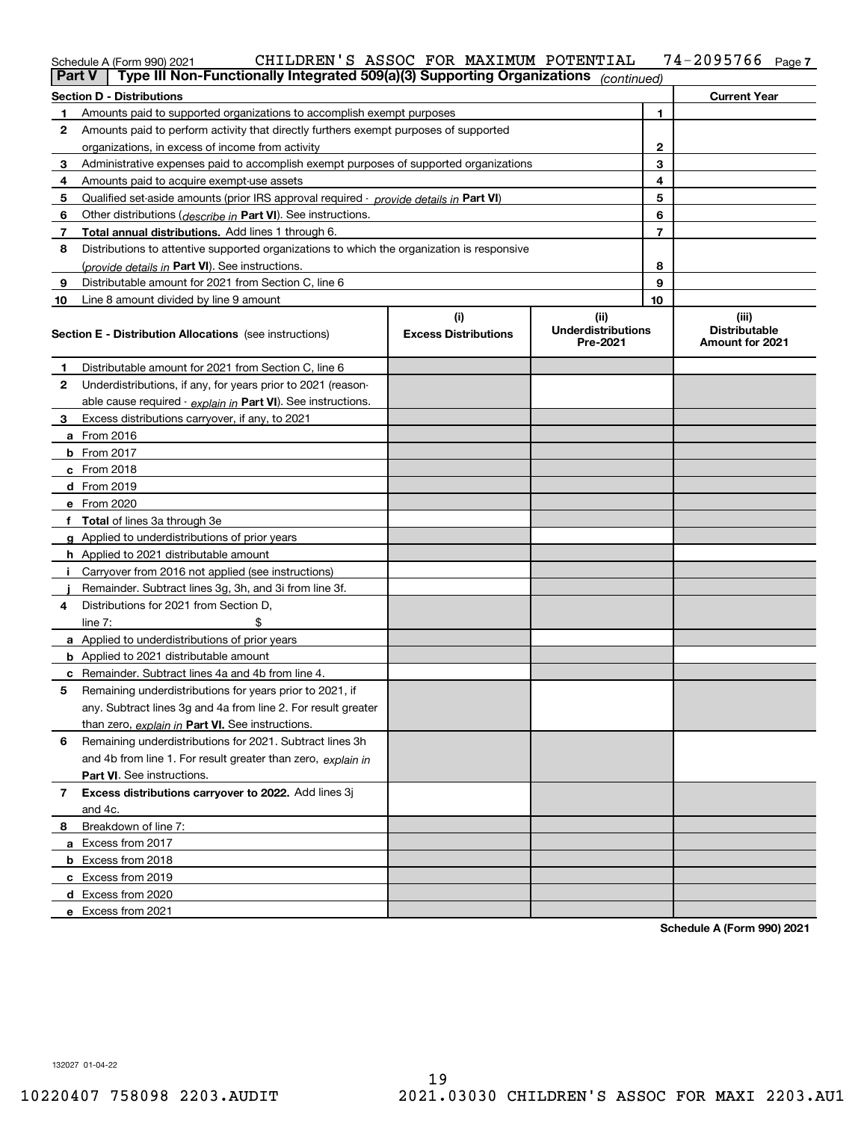| Schedule A (Form 990) 2021 |  |  |
|----------------------------|--|--|
|----------------------------|--|--|

### Schedule A (Form 990) 2021 CHILDREN'S ASSOC FOR MAXIMUM POTENTIAL 74-2095766 <sub>Page</sub>

| Part V | Type III Non-Functionally Integrated 509(a)(3) Supporting Organizations                    |                                    | (continued)                                   |                                                  |
|--------|--------------------------------------------------------------------------------------------|------------------------------------|-----------------------------------------------|--------------------------------------------------|
|        | Section D - Distributions                                                                  |                                    |                                               | <b>Current Year</b>                              |
| 1      | Amounts paid to supported organizations to accomplish exempt purposes                      |                                    |                                               |                                                  |
| 2      | Amounts paid to perform activity that directly furthers exempt purposes of supported       |                                    |                                               |                                                  |
|        | organizations, in excess of income from activity                                           | $\mathbf{2}$                       |                                               |                                                  |
| 3      | Administrative expenses paid to accomplish exempt purposes of supported organizations      |                                    | 3                                             |                                                  |
| 4      | Amounts paid to acquire exempt-use assets                                                  |                                    | 4                                             |                                                  |
| 5      | Qualified set aside amounts (prior IRS approval required - provide details in Part VI)     |                                    | 5                                             |                                                  |
| 6      | Other distributions ( <i>describe in</i> Part VI). See instructions.                       |                                    | 6                                             |                                                  |
| 7      | Total annual distributions. Add lines 1 through 6.                                         |                                    | $\overline{7}$                                |                                                  |
| 8      | Distributions to attentive supported organizations to which the organization is responsive |                                    |                                               |                                                  |
|        | (provide details in Part VI). See instructions.                                            |                                    | 8                                             |                                                  |
| 9      | Distributable amount for 2021 from Section C, line 6                                       |                                    | 9                                             |                                                  |
| 10     | Line 8 amount divided by line 9 amount                                                     |                                    | 10                                            |                                                  |
|        | <b>Section E - Distribution Allocations</b> (see instructions)                             | (i)<br><b>Excess Distributions</b> | (ii)<br><b>Underdistributions</b><br>Pre-2021 | (iii)<br><b>Distributable</b><br>Amount for 2021 |
| 1      | Distributable amount for 2021 from Section C, line 6                                       |                                    |                                               |                                                  |
| 2      | Underdistributions, if any, for years prior to 2021 (reason-                               |                                    |                                               |                                                  |
|        | able cause required - explain in Part VI). See instructions.                               |                                    |                                               |                                                  |
| 3      | Excess distributions carryover, if any, to 2021                                            |                                    |                                               |                                                  |
|        | a From 2016                                                                                |                                    |                                               |                                                  |
|        | <b>b</b> From 2017                                                                         |                                    |                                               |                                                  |
|        | $c$ From 2018                                                                              |                                    |                                               |                                                  |
|        | d From 2019                                                                                |                                    |                                               |                                                  |
|        | e From 2020                                                                                |                                    |                                               |                                                  |
|        | f Total of lines 3a through 3e                                                             |                                    |                                               |                                                  |
|        | g Applied to underdistributions of prior years                                             |                                    |                                               |                                                  |
|        | <b>h</b> Applied to 2021 distributable amount                                              |                                    |                                               |                                                  |
|        | Carryover from 2016 not applied (see instructions)                                         |                                    |                                               |                                                  |
|        | Remainder. Subtract lines 3g, 3h, and 3i from line 3f.                                     |                                    |                                               |                                                  |
| 4      | Distributions for 2021 from Section D.                                                     |                                    |                                               |                                                  |
|        | line $7:$                                                                                  |                                    |                                               |                                                  |
|        | a Applied to underdistributions of prior years                                             |                                    |                                               |                                                  |
|        | <b>b</b> Applied to 2021 distributable amount                                              |                                    |                                               |                                                  |
|        | c Remainder. Subtract lines 4a and 4b from line 4.                                         |                                    |                                               |                                                  |
| 5.     | Remaining underdistributions for years prior to 2021, if                                   |                                    |                                               |                                                  |
|        | any. Subtract lines 3g and 4a from line 2. For result greater                              |                                    |                                               |                                                  |
|        | than zero, explain in Part VI. See instructions.                                           |                                    |                                               |                                                  |
| 6      | Remaining underdistributions for 2021. Subtract lines 3h                                   |                                    |                                               |                                                  |
|        | and 4b from line 1. For result greater than zero, explain in                               |                                    |                                               |                                                  |
|        | Part VI. See instructions.                                                                 |                                    |                                               |                                                  |
| 7      | Excess distributions carryover to 2022. Add lines 3j                                       |                                    |                                               |                                                  |
|        | and 4c.                                                                                    |                                    |                                               |                                                  |
| 8      | Breakdown of line 7:                                                                       |                                    |                                               |                                                  |
|        | a Excess from 2017                                                                         |                                    |                                               |                                                  |
|        | <b>b</b> Excess from 2018                                                                  |                                    |                                               |                                                  |
|        | c Excess from 2019                                                                         |                                    |                                               |                                                  |
|        | d Excess from 2020                                                                         |                                    |                                               |                                                  |
|        | e Excess from 2021                                                                         |                                    |                                               |                                                  |
|        |                                                                                            |                                    |                                               |                                                  |

**Schedule A (Form 990) 2021**

**7**

132027 01-04-22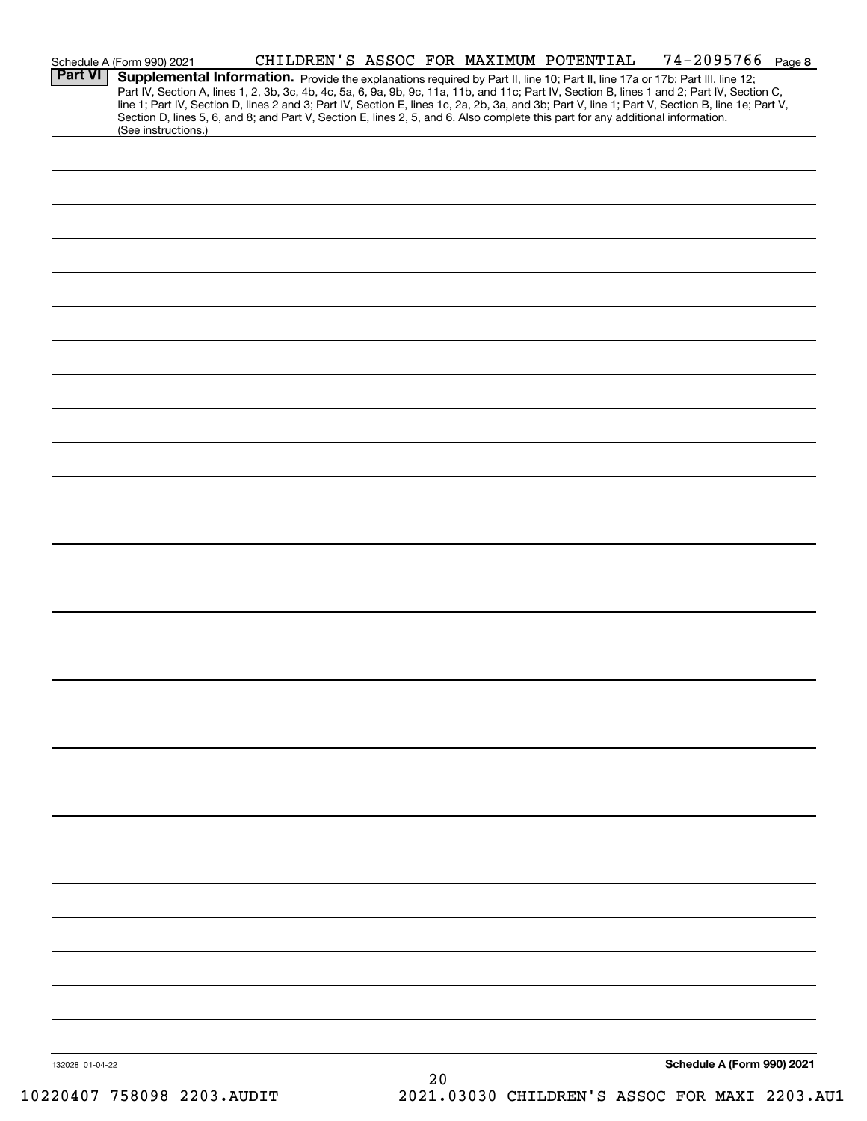|                 | Schedule A (Form 990) 2021                                                                                                                                                                                                                                                                                                                                                                                                        | CHILDREN'S ASSOC FOR MAXIMUM POTENTIAL |    |  | 74-2095766 Page 8          |  |
|-----------------|-----------------------------------------------------------------------------------------------------------------------------------------------------------------------------------------------------------------------------------------------------------------------------------------------------------------------------------------------------------------------------------------------------------------------------------|----------------------------------------|----|--|----------------------------|--|
| Part VI         | Supplemental Information. Provide the explanations required by Part II, line 10; Part II, line 17a or 17b; Part III, line 12;<br>Part IV, Section A, lines 1, 2, 3b, 3c, 4b, 4c, 5a, 6, 9a, 9b, 9c, 11a, 11b, and 11c; Part IV, Section B, lines 1 and 2; Part IV, Section C,<br>line 1; Part IV, Section D, lines 2 and 3; Part IV, Section E, lines 1c, 2a, 2b, 3a, and 3b; Part V, line 1; Part V, Section B, line 1e; Part V, |                                        |    |  |                            |  |
|                 | Section D, lines 5, 6, and 8; and Part V, Section E, lines 2, 5, and 6. Also complete this part for any additional information.<br>(See instructions.)                                                                                                                                                                                                                                                                            |                                        |    |  |                            |  |
|                 |                                                                                                                                                                                                                                                                                                                                                                                                                                   |                                        |    |  |                            |  |
|                 |                                                                                                                                                                                                                                                                                                                                                                                                                                   |                                        |    |  |                            |  |
|                 |                                                                                                                                                                                                                                                                                                                                                                                                                                   |                                        |    |  |                            |  |
|                 |                                                                                                                                                                                                                                                                                                                                                                                                                                   |                                        |    |  |                            |  |
|                 |                                                                                                                                                                                                                                                                                                                                                                                                                                   |                                        |    |  |                            |  |
|                 |                                                                                                                                                                                                                                                                                                                                                                                                                                   |                                        |    |  |                            |  |
|                 |                                                                                                                                                                                                                                                                                                                                                                                                                                   |                                        |    |  |                            |  |
|                 |                                                                                                                                                                                                                                                                                                                                                                                                                                   |                                        |    |  |                            |  |
|                 |                                                                                                                                                                                                                                                                                                                                                                                                                                   |                                        |    |  |                            |  |
|                 |                                                                                                                                                                                                                                                                                                                                                                                                                                   |                                        |    |  |                            |  |
|                 |                                                                                                                                                                                                                                                                                                                                                                                                                                   |                                        |    |  |                            |  |
|                 |                                                                                                                                                                                                                                                                                                                                                                                                                                   |                                        |    |  |                            |  |
|                 |                                                                                                                                                                                                                                                                                                                                                                                                                                   |                                        |    |  |                            |  |
|                 |                                                                                                                                                                                                                                                                                                                                                                                                                                   |                                        |    |  |                            |  |
|                 |                                                                                                                                                                                                                                                                                                                                                                                                                                   |                                        |    |  |                            |  |
|                 |                                                                                                                                                                                                                                                                                                                                                                                                                                   |                                        |    |  |                            |  |
|                 |                                                                                                                                                                                                                                                                                                                                                                                                                                   |                                        |    |  |                            |  |
|                 |                                                                                                                                                                                                                                                                                                                                                                                                                                   |                                        |    |  |                            |  |
|                 |                                                                                                                                                                                                                                                                                                                                                                                                                                   |                                        |    |  |                            |  |
|                 |                                                                                                                                                                                                                                                                                                                                                                                                                                   |                                        |    |  |                            |  |
|                 |                                                                                                                                                                                                                                                                                                                                                                                                                                   |                                        |    |  |                            |  |
|                 |                                                                                                                                                                                                                                                                                                                                                                                                                                   |                                        |    |  |                            |  |
|                 |                                                                                                                                                                                                                                                                                                                                                                                                                                   |                                        |    |  |                            |  |
|                 |                                                                                                                                                                                                                                                                                                                                                                                                                                   |                                        |    |  |                            |  |
|                 |                                                                                                                                                                                                                                                                                                                                                                                                                                   |                                        |    |  |                            |  |
|                 |                                                                                                                                                                                                                                                                                                                                                                                                                                   |                                        |    |  |                            |  |
|                 |                                                                                                                                                                                                                                                                                                                                                                                                                                   |                                        |    |  |                            |  |
|                 |                                                                                                                                                                                                                                                                                                                                                                                                                                   |                                        |    |  |                            |  |
|                 |                                                                                                                                                                                                                                                                                                                                                                                                                                   |                                        |    |  |                            |  |
|                 |                                                                                                                                                                                                                                                                                                                                                                                                                                   |                                        |    |  |                            |  |
|                 |                                                                                                                                                                                                                                                                                                                                                                                                                                   |                                        |    |  |                            |  |
|                 |                                                                                                                                                                                                                                                                                                                                                                                                                                   |                                        |    |  |                            |  |
|                 |                                                                                                                                                                                                                                                                                                                                                                                                                                   |                                        |    |  |                            |  |
|                 |                                                                                                                                                                                                                                                                                                                                                                                                                                   |                                        |    |  |                            |  |
| 132028 01-04-22 |                                                                                                                                                                                                                                                                                                                                                                                                                                   |                                        |    |  | Schedule A (Form 990) 2021 |  |
|                 |                                                                                                                                                                                                                                                                                                                                                                                                                                   |                                        | 20 |  |                            |  |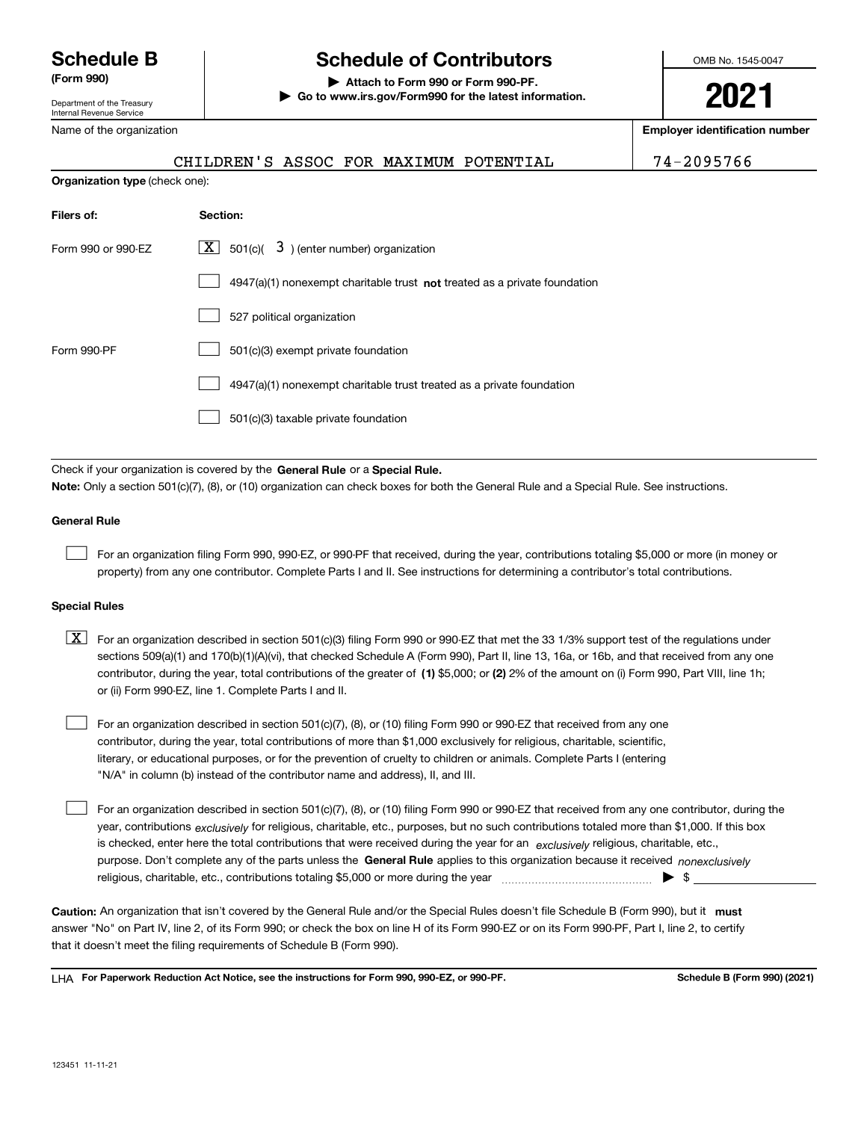Department of the Treasury Internal Revenue Service

Name of the organization

## **Schedule B Schedule of Contributors**

**(Form 990) | Attach to Form 990 or Form 990-PF. | Go to www.irs.gov/Form990 for the latest information.** OMB No. 1545-0047

**2021**

**Employer identification number**

CHILDREN'S ASSOC FOR MAXIMUM POTENTIAL 74-2095766

| <b>Organization type (check one):</b> |                                                                                    |  |  |  |  |  |
|---------------------------------------|------------------------------------------------------------------------------------|--|--|--|--|--|
| Filers of:                            | Section:                                                                           |  |  |  |  |  |
| Form 990 or 990-EZ                    | $\lfloor x \rfloor$ 501(c)( 3) (enter number) organization                         |  |  |  |  |  |
|                                       | $4947(a)(1)$ nonexempt charitable trust <b>not</b> treated as a private foundation |  |  |  |  |  |
|                                       | 527 political organization                                                         |  |  |  |  |  |
| Form 990-PF                           | 501(c)(3) exempt private foundation                                                |  |  |  |  |  |
|                                       | 4947(a)(1) nonexempt charitable trust treated as a private foundation              |  |  |  |  |  |
|                                       | 501(c)(3) taxable private foundation                                               |  |  |  |  |  |

Check if your organization is covered by the **General Rule** or a **Special Rule. Note:**  Only a section 501(c)(7), (8), or (10) organization can check boxes for both the General Rule and a Special Rule. See instructions.

### **General Rule**

 $\mathcal{L}^{\text{max}}$ 

For an organization filing Form 990, 990-EZ, or 990-PF that received, during the year, contributions totaling \$5,000 or more (in money or property) from any one contributor. Complete Parts I and II. See instructions for determining a contributor's total contributions.

### **Special Rules**

contributor, during the year, total contributions of the greater of (1**)** \$5,000; or (2) 2% of the amount on (i) Form 990, Part VIII, line 1h;  $\boxed{\textbf{X}}$  For an organization described in section 501(c)(3) filing Form 990 or 990-EZ that met the 33 1/3% support test of the regulations under sections 509(a)(1) and 170(b)(1)(A)(vi), that checked Schedule A (Form 990), Part II, line 13, 16a, or 16b, and that received from any one or (ii) Form 990-EZ, line 1. Complete Parts I and II.

For an organization described in section 501(c)(7), (8), or (10) filing Form 990 or 990-EZ that received from any one contributor, during the year, total contributions of more than \$1,000 exclusively for religious, charitable, scientific, literary, or educational purposes, or for the prevention of cruelty to children or animals. Complete Parts I (entering "N/A" in column (b) instead of the contributor name and address), II, and III.  $\mathcal{L}^{\text{max}}$ 

purpose. Don't complete any of the parts unless the **General Rule** applies to this organization because it received *nonexclusively* year, contributions <sub>exclusively</sub> for religious, charitable, etc., purposes, but no such contributions totaled more than \$1,000. If this box is checked, enter here the total contributions that were received during the year for an  $\;$ exclusively religious, charitable, etc., For an organization described in section 501(c)(7), (8), or (10) filing Form 990 or 990-EZ that received from any one contributor, during the religious, charitable, etc., contributions totaling \$5,000 or more during the year ~~~~~~~~~~~~~~~ | \$  $\mathcal{L}^{\text{max}}$ 

Caution: An organization that isn't covered by the General Rule and/or the Special Rules doesn't file Schedule B (Form 990), but it **must** answer "No" on Part IV, line 2, of its Form 990; or check the box on line H of its Form 990-EZ or on its Form 990-PF, Part I, line 2, to certify that it doesn't meet the filing requirements of Schedule B (Form 990).

LHA For Paperwork Reduction Act Notice, see the instructions for Form 990, 990-EZ, or 990-PF. **In the act and Schedule B** (Form 990) (2021)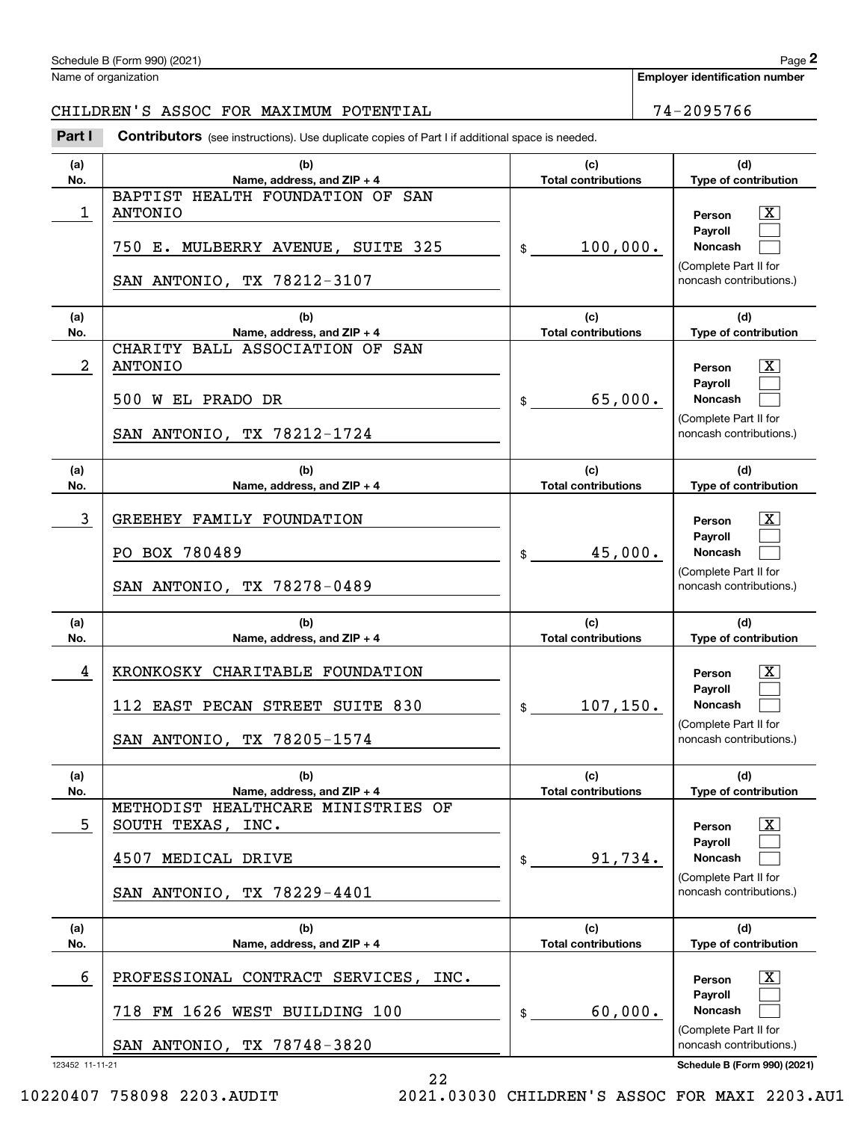|            | SAN ANTONIO, TX 78212-3107                        |    |
|------------|---------------------------------------------------|----|
| (a)<br>No. | (b)<br>Name, address, and $ZIP + 4$               |    |
| 2          | CHARITY BALL ASSOCIATION OF SAN<br><b>ANTONIO</b> |    |
|            | 500 W EL PRADO DR                                 | \$ |
|            | SAN ANTONIO, TX 78212-1724                        |    |
| (a)<br>No. | (b)<br>Name, address, and ZIP + 4                 |    |
| 3          | GREEHEY FAMILY FOUNDATION                         |    |
|            | PO BOX 780489                                     | \$ |
|            | SAN ANTONIO, TX 78278-0489                        |    |
| (a)<br>No. | (b)<br>Name, address, and $ZIP + 4$               |    |
|            |                                                   |    |

## CHILDREN'S ASSOC FOR MAXIMUM POTENTIAL | 74-2095766

(see instructions). Use duplicate copies of Part I if additional space is needed.<br> **2995766**<br> **2Part I Contributors** (see instructions). Use duplicate copies of Part I if additional space is needed.

| (a)             | (b)                                     | (c)                        | (d)                                              |
|-----------------|-----------------------------------------|----------------------------|--------------------------------------------------|
| No.             | Name, address, and $ZIP + 4$            | <b>Total contributions</b> | Type of contribution                             |
|                 | BAPTIST HEALTH FOUNDATION OF SAN        |                            |                                                  |
| 1               | <b>ANTONIO</b>                          |                            | $\mathbf{X}$<br>Person                           |
|                 |                                         |                            | Payroll                                          |
|                 | 750 E. MULBERRY AVENUE, SUITE 325       | 100,000.<br>$\frac{1}{2}$  | Noncash                                          |
|                 |                                         |                            | (Complete Part II for                            |
|                 | SAN ANTONIO, TX 78212-3107              |                            | noncash contributions.)                          |
|                 |                                         |                            |                                                  |
| (a)             | (b)                                     | (c)                        | (d)                                              |
| No.             | Name, address, and ZIP + 4              | <b>Total contributions</b> | Type of contribution                             |
|                 | CHARITY BALL ASSOCIATION OF SAN         |                            |                                                  |
| 2               | <b>ANTONIO</b>                          |                            | $\mathbf{X}$<br>Person                           |
|                 |                                         |                            | Payroll                                          |
|                 |                                         |                            | Noncash                                          |
|                 | 500 W EL PRADO DR                       | 65,000.<br>\$              |                                                  |
|                 |                                         |                            | (Complete Part II for                            |
|                 | SAN ANTONIO, TX 78212-1724              |                            | noncash contributions.)                          |
|                 |                                         |                            |                                                  |
| (a)             | (b)                                     | (c)                        | (d)                                              |
| No.             | Name, address, and ZIP + 4              | <b>Total contributions</b> | Type of contribution                             |
|                 |                                         |                            |                                                  |
| 3               | GREEHEY FAMILY FOUNDATION               |                            | X<br>Person                                      |
|                 |                                         |                            | Payroll                                          |
|                 | PO BOX 780489                           | 45,000.<br>$\frac{1}{2}$   | Noncash                                          |
|                 |                                         |                            | (Complete Part II for                            |
|                 | SAN ANTONIO, TX 78278-0489              |                            | noncash contributions.)                          |
|                 |                                         |                            |                                                  |
| (a)             | (b)                                     | (c)                        | (d)                                              |
|                 |                                         |                            |                                                  |
|                 |                                         |                            |                                                  |
| No.             | Name, address, and ZIP + 4              | <b>Total contributions</b> | Type of contribution                             |
|                 |                                         |                            |                                                  |
| 4               | KRONKOSKY CHARITABLE FOUNDATION         |                            | x<br>Person                                      |
|                 |                                         |                            | Payroll                                          |
|                 | 112 EAST PECAN STREET SUITE 830         | 107, 150.<br>$\frac{1}{2}$ | Noncash                                          |
|                 |                                         |                            | (Complete Part II for                            |
|                 | SAN ANTONIO, TX 78205-1574              |                            | noncash contributions.)                          |
|                 |                                         |                            |                                                  |
| (a)             | (b)                                     | (c)                        | (d)                                              |
| No.             | Name, address, and ZIP + 4              | <b>Total contributions</b> | Type of contribution                             |
|                 | METHODIST HEALTHCARE MINISTRIES OF      |                            |                                                  |
| 5               | SOUTH TEXAS, INC.                       |                            | x<br>Person                                      |
|                 |                                         |                            | Payroll                                          |
|                 | MEDICAL DRIVE<br>4507                   | 91,734.<br>\$              | Noncash                                          |
|                 |                                         |                            | (Complete Part II for                            |
|                 | SAN ANTONIO, TX 78229-4401              |                            | noncash contributions.)                          |
|                 |                                         |                            |                                                  |
| (a)             | (b)                                     | (c)                        | (d)                                              |
| No.             | Name, address, and ZIP + 4              | <b>Total contributions</b> | Type of contribution                             |
|                 |                                         |                            |                                                  |
| 6               | PROFESSIONAL CONTRACT SERVICES,<br>INC. |                            | х<br>Person                                      |
|                 |                                         |                            | Payroll                                          |
|                 |                                         |                            | Noncash                                          |
|                 | 718 FM 1626 WEST BUILDING 100           | 60,000.<br>\$              |                                                  |
|                 |                                         |                            | (Complete Part II for<br>noncash contributions.) |
| 123452 11-11-21 | SAN ANTONIO, TX 78748-3820              |                            | Schedule B (Form 990) (2021)                     |

 $\overline{\phantom{a}}$ 

**Employer identification number**

22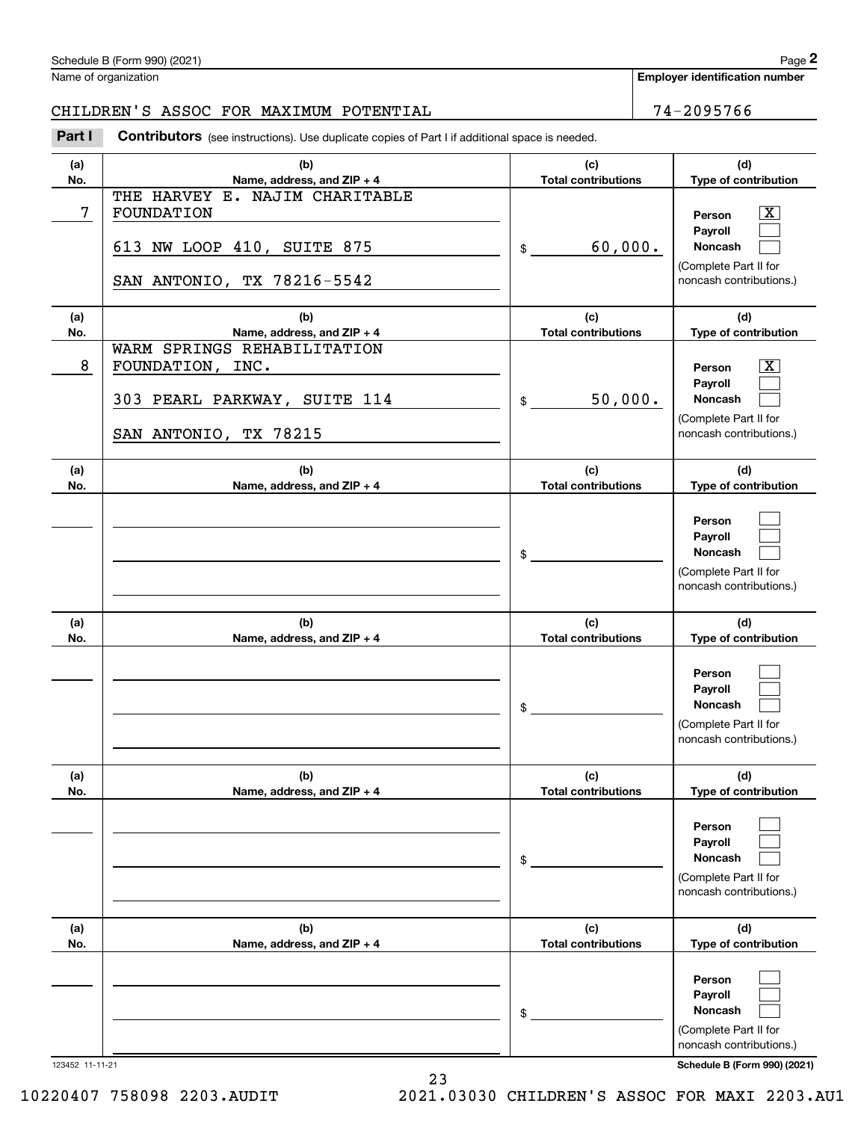noncash contributions.)

| (a)<br>No. | (b)<br>Name, address, and ZIP + 4                                                                        | (c)<br><b>Total contributions</b> | (d)<br>Type of contribution                                                           |
|------------|----------------------------------------------------------------------------------------------------------|-----------------------------------|---------------------------------------------------------------------------------------|
| 7          | THE HARVEY E. NAJIM CHARITABLE<br>FOUNDATION<br>613 NW LOOP 410, SUITE 875<br>SAN ANTONIO, TX 78216-5542 | 60,000.<br>$\frac{1}{2}$          | X<br>Person<br>Payroll<br>Noncash<br>(Complete Part II for<br>noncash contributions.) |
| (a)<br>No. | (b)<br>Name, address, and ZIP + 4                                                                        | (c)<br><b>Total contributions</b> | (d)<br>Type of contribution                                                           |
| 8          | WARM SPRINGS REHABILITATION<br>FOUNDATION, INC.<br>303 PEARL PARKWAY, SUITE 114<br>SAN ANTONIO, TX 78215 | 50,000.<br>$\frac{1}{2}$          | X<br>Person<br>Payroll<br>Noncash<br>(Complete Part II for<br>noncash contributions.) |
| (a)<br>No. | (b)<br>Name, address, and ZIP + 4                                                                        | (c)<br><b>Total contributions</b> | (d)<br>Type of contribution                                                           |
|            |                                                                                                          | \$                                | Person<br>Payroll<br>Noncash<br>(Complete Part II for<br>noncash contributions.)      |
| (a)<br>No. | (b)<br>Name, address, and $ZIP + 4$                                                                      | (c)<br><b>Total contributions</b> | (d)<br>Type of contribution                                                           |
|            |                                                                                                          | \$                                | Person<br>Payroll<br>Noncash<br>(Complete Part II for<br>noncash contributions.)      |
| (a)<br>No. | (b)<br>Name, address, and ZIP + 4                                                                        | (c)<br><b>Total contributions</b> | (d)<br><b>Type of contribution</b>                                                    |
|            |                                                                                                          | \$                                | Person<br>Payroll<br>Noncash<br>(Complete Part II for<br>noncash contributions.)      |
| (a)<br>No. | (b)<br>Name, address, and $ZIP + 4$                                                                      | (c)<br><b>Total contributions</b> | (d)<br>Type of contribution                                                           |
|            |                                                                                                          | \$                                | Person<br>Payroll<br>Noncash<br>(Complete Part II for<br>noncach contributions )      |

# (see instructions). Use duplicate copies of Part I if additional space is needed.<br> **2995766**<br> **2Part I Contributors** (see instructions). Use duplicate copies of Part I if additional space is needed. CHILDREN'S ASSOC FOR MAXIMUM POTENTIAL | 74-2095766

**Employer identification number**

Name of organization

<sup>123452 11-11-21</sup> **Schedule B (Form 990) (2021)**

e Part II for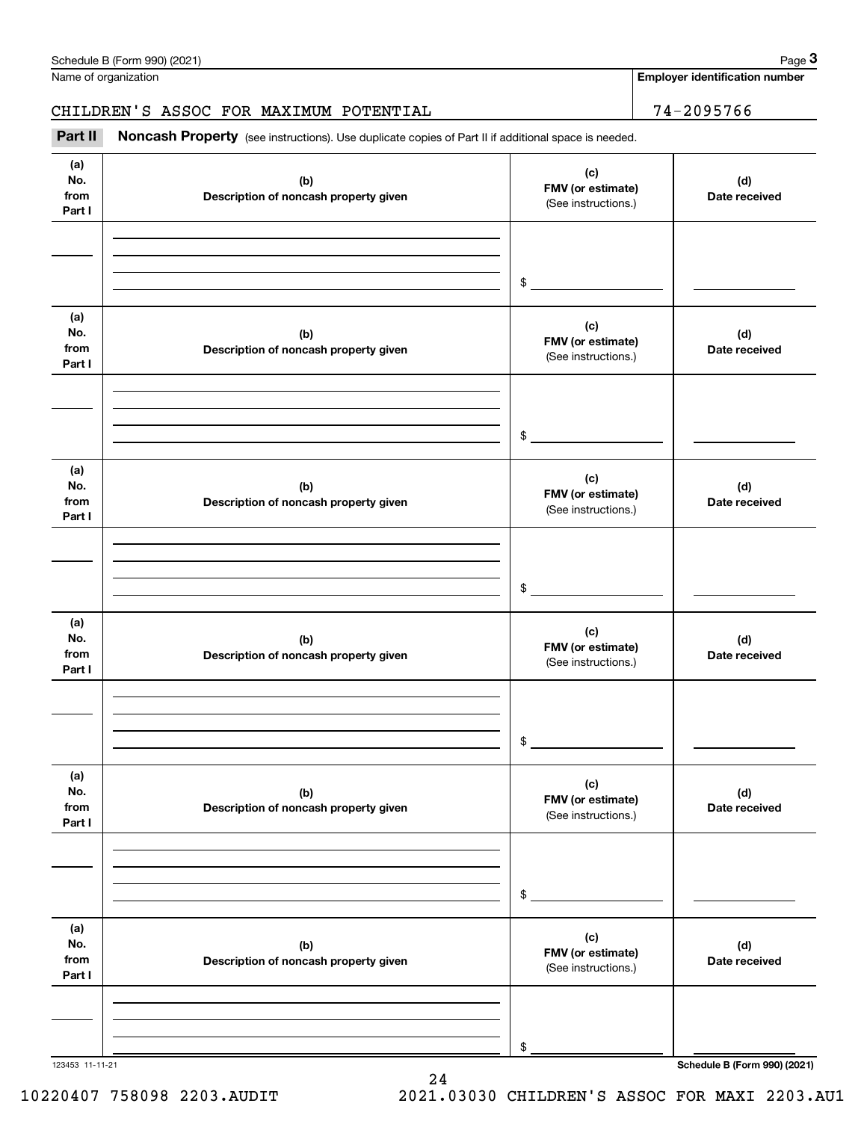|                              | Schedule B (Form 990) (2021)                                                                        |                                                 | Page 3                                |
|------------------------------|-----------------------------------------------------------------------------------------------------|-------------------------------------------------|---------------------------------------|
|                              | Name of organization                                                                                |                                                 | <b>Employer identification number</b> |
|                              | CHILDREN'S ASSOC FOR MAXIMUM POTENTIAL                                                              |                                                 | 74-2095766                            |
| Part II                      | Noncash Property (see instructions). Use duplicate copies of Part II if additional space is needed. |                                                 |                                       |
| (a)<br>No.<br>from<br>Part I | (b)<br>Description of noncash property given                                                        | (c)<br>FMV (or estimate)<br>(See instructions.) | (d)<br>Date received                  |
|                              |                                                                                                     | \$                                              |                                       |
| (a)<br>No.<br>from<br>Part I | (b)<br>Description of noncash property given                                                        | (c)<br>FMV (or estimate)<br>(See instructions.) | (d)<br>Date received                  |
|                              |                                                                                                     | \$                                              |                                       |
| (a)<br>No.<br>from<br>Part I | (b)<br>Description of noncash property given                                                        | (c)<br>FMV (or estimate)<br>(See instructions.) | (d)<br>Date received                  |
|                              |                                                                                                     | \$                                              |                                       |
| (a)<br>No.<br>from<br>Part I | (b)<br>Description of noncash property given                                                        | (c)<br>FMV (or estimate)<br>(See instructions.) | (d)<br>Date received                  |
|                              |                                                                                                     | \$                                              |                                       |
| (a)<br>No.<br>from<br>Part I | (b)<br>Description of noncash property given                                                        | (c)<br>FMV (or estimate)<br>(See instructions.) | (d)<br>Date received                  |
|                              |                                                                                                     | \$                                              |                                       |
| (a)<br>No.<br>from<br>Part I | (b)<br>Description of noncash property given                                                        | (c)<br>FMV (or estimate)<br>(See instructions.) | (d)<br>Date received                  |
|                              |                                                                                                     |                                                 |                                       |
| 123453 11-11-21              |                                                                                                     | \$                                              | Schedule B (Form 990) (2021)          |

10220407 758098 2203.AUDIT 2021.03030 CHILDREN'S ASSOC FOR MAXI 2203.AU1

24

## CHILDREN'S ASSOC FOR MAXIMUM POTENTIAL | 74-2095766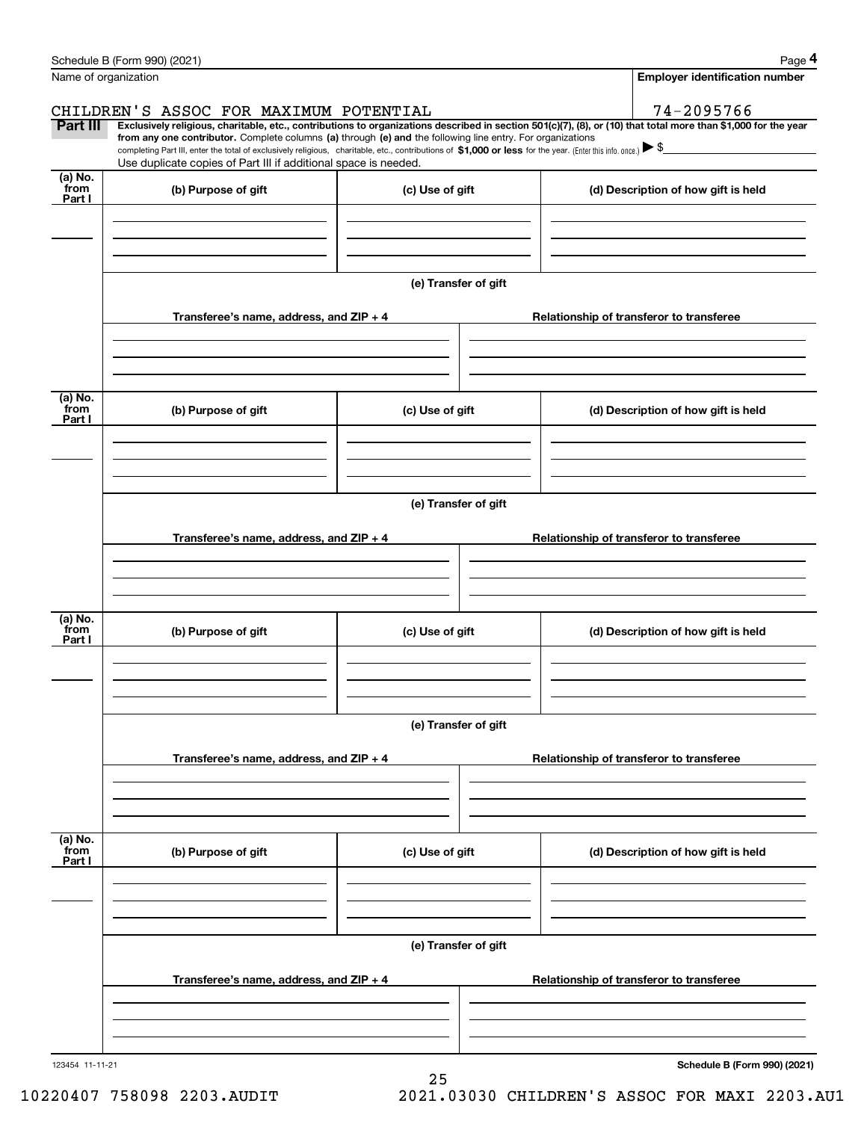|                 | Schedule B (Form 990) (2021)                                                                                                                                                                                                                                                 |                      |  | Page 4                                   |  |  |
|-----------------|------------------------------------------------------------------------------------------------------------------------------------------------------------------------------------------------------------------------------------------------------------------------------|----------------------|--|------------------------------------------|--|--|
|                 | Name of organization                                                                                                                                                                                                                                                         |                      |  | <b>Employer identification number</b>    |  |  |
|                 | CHILDREN'S ASSOC FOR MAXIMUM POTENTIAL                                                                                                                                                                                                                                       |                      |  | 74-2095766                               |  |  |
| Part III        | Exclusively religious, charitable, etc., contributions to organizations described in section 501(c)(7), (8), or (10) that total more than \$1,000 for the year<br>from any one contributor. Complete columns (a) through (e) and the following line entry. For organizations |                      |  |                                          |  |  |
|                 | completing Part III, enter the total of exclusively religious, charitable, etc., contributions of \$1,000 or less for the year. (Enter this info. once.) $\blacktriangleright$ \$                                                                                            |                      |  |                                          |  |  |
| (a) No.         | Use duplicate copies of Part III if additional space is needed.                                                                                                                                                                                                              |                      |  |                                          |  |  |
| from<br>Part I  | (b) Purpose of gift<br>(c) Use of gift                                                                                                                                                                                                                                       |                      |  | (d) Description of how gift is held      |  |  |
|                 |                                                                                                                                                                                                                                                                              |                      |  |                                          |  |  |
|                 |                                                                                                                                                                                                                                                                              |                      |  |                                          |  |  |
|                 |                                                                                                                                                                                                                                                                              |                      |  |                                          |  |  |
|                 |                                                                                                                                                                                                                                                                              | (e) Transfer of gift |  |                                          |  |  |
|                 |                                                                                                                                                                                                                                                                              |                      |  |                                          |  |  |
|                 | Transferee's name, address, and ZIP + 4                                                                                                                                                                                                                                      |                      |  | Relationship of transferor to transferee |  |  |
|                 |                                                                                                                                                                                                                                                                              |                      |  |                                          |  |  |
|                 |                                                                                                                                                                                                                                                                              |                      |  |                                          |  |  |
|                 |                                                                                                                                                                                                                                                                              |                      |  |                                          |  |  |
| (a) No.<br>from | (b) Purpose of gift                                                                                                                                                                                                                                                          | (c) Use of gift      |  | (d) Description of how gift is held      |  |  |
| Part I          |                                                                                                                                                                                                                                                                              |                      |  |                                          |  |  |
|                 |                                                                                                                                                                                                                                                                              |                      |  |                                          |  |  |
|                 |                                                                                                                                                                                                                                                                              |                      |  |                                          |  |  |
|                 |                                                                                                                                                                                                                                                                              | (e) Transfer of gift |  |                                          |  |  |
|                 |                                                                                                                                                                                                                                                                              |                      |  |                                          |  |  |
|                 | Transferee's name, address, and ZIP + 4                                                                                                                                                                                                                                      |                      |  | Relationship of transferor to transferee |  |  |
|                 |                                                                                                                                                                                                                                                                              |                      |  |                                          |  |  |
|                 |                                                                                                                                                                                                                                                                              |                      |  |                                          |  |  |
|                 |                                                                                                                                                                                                                                                                              |                      |  |                                          |  |  |
| (a) No.<br>from | (b) Purpose of gift                                                                                                                                                                                                                                                          | (c) Use of gift      |  | (d) Description of how gift is held      |  |  |
| Part I          |                                                                                                                                                                                                                                                                              |                      |  |                                          |  |  |
|                 |                                                                                                                                                                                                                                                                              |                      |  |                                          |  |  |
|                 |                                                                                                                                                                                                                                                                              |                      |  |                                          |  |  |
|                 |                                                                                                                                                                                                                                                                              | (e) Transfer of gift |  |                                          |  |  |
|                 |                                                                                                                                                                                                                                                                              |                      |  |                                          |  |  |
|                 | Transferee's name, address, and $ZIP + 4$                                                                                                                                                                                                                                    |                      |  | Relationship of transferor to transferee |  |  |
|                 |                                                                                                                                                                                                                                                                              |                      |  |                                          |  |  |
|                 |                                                                                                                                                                                                                                                                              |                      |  |                                          |  |  |
| (a) No.         |                                                                                                                                                                                                                                                                              |                      |  |                                          |  |  |
| `from<br>Part I | (b) Purpose of gift                                                                                                                                                                                                                                                          | (c) Use of gift      |  | (d) Description of how gift is held      |  |  |
|                 |                                                                                                                                                                                                                                                                              |                      |  |                                          |  |  |
|                 |                                                                                                                                                                                                                                                                              |                      |  |                                          |  |  |
|                 |                                                                                                                                                                                                                                                                              |                      |  |                                          |  |  |
|                 | (e) Transfer of gift                                                                                                                                                                                                                                                         |                      |  |                                          |  |  |
|                 |                                                                                                                                                                                                                                                                              |                      |  |                                          |  |  |
|                 | Transferee's name, address, and $ZIP + 4$                                                                                                                                                                                                                                    |                      |  | Relationship of transferor to transferee |  |  |
|                 |                                                                                                                                                                                                                                                                              |                      |  |                                          |  |  |
|                 |                                                                                                                                                                                                                                                                              |                      |  |                                          |  |  |
|                 |                                                                                                                                                                                                                                                                              |                      |  |                                          |  |  |
| 123454 11-11-21 |                                                                                                                                                                                                                                                                              |                      |  | Schedule B (Form 990) (2021)             |  |  |

25 10220407 758098 2203.AUDIT 2021.03030 CHILDREN'S ASSOC FOR MAXI 2203.AU1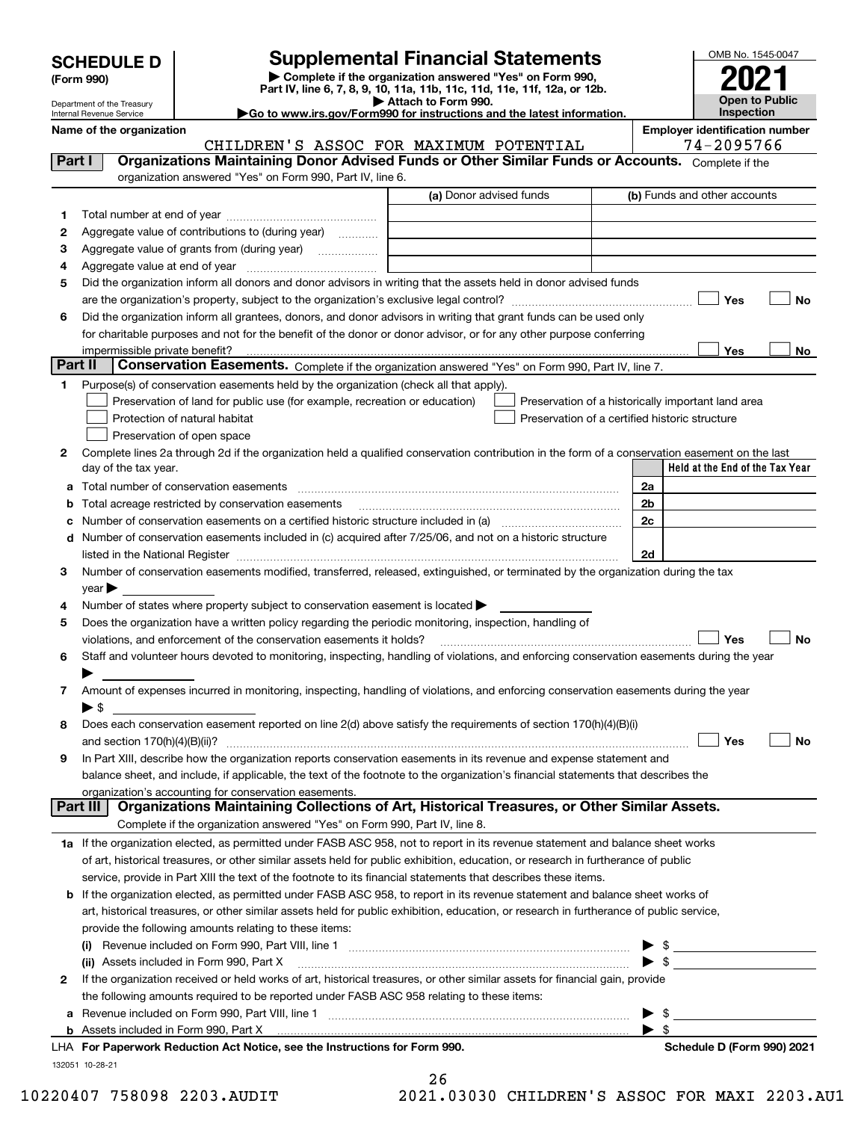| <b>SCHEDULE D</b> |
|-------------------|
|-------------------|

Department of the Treasury Internal Revenue Service

| (Form 990) |  |
|------------|--|
|------------|--|

## **Supplemental Financial Statements**

**| Complete if the organization answered "Yes" on Form 990, Part IV, line 6, 7, 8, 9, 10, 11a, 11b, 11c, 11d, 11e, 11f, 12a, or 12b. | Attach to Form 990.**

| OMB No. 1545-0047     |
|-----------------------|
|                       |
| 2021                  |
| <b>Open to Public</b> |
| Inspection            |

**|Go to www.irs.gov/Form990 for instructions and the latest information.**

**Name of the organization Employer identification number**

CHILDREN'S ASSOC FOR MAXIMUM POTENTIAL | 74-2095766

| Part I  | Organizations Maintaining Donor Advised Funds or Other Similar Funds or Accounts. Complete if the                                              |                                                |                |                                                    |
|---------|------------------------------------------------------------------------------------------------------------------------------------------------|------------------------------------------------|----------------|----------------------------------------------------|
|         | organization answered "Yes" on Form 990, Part IV, line 6.                                                                                      |                                                |                |                                                    |
|         |                                                                                                                                                | (a) Donor advised funds                        |                | (b) Funds and other accounts                       |
| 1       |                                                                                                                                                |                                                |                |                                                    |
| 2       | Aggregate value of contributions to (during year)                                                                                              |                                                |                |                                                    |
| з       |                                                                                                                                                |                                                |                |                                                    |
| 4       |                                                                                                                                                |                                                |                |                                                    |
| 5       | Did the organization inform all donors and donor advisors in writing that the assets held in donor advised funds                               |                                                |                |                                                    |
|         |                                                                                                                                                |                                                |                | Yes<br>No                                          |
| 6       | Did the organization inform all grantees, donors, and donor advisors in writing that grant funds can be used only                              |                                                |                |                                                    |
|         | for charitable purposes and not for the benefit of the donor or donor advisor, or for any other purpose conferring                             |                                                |                |                                                    |
|         |                                                                                                                                                |                                                |                | Yes<br>No                                          |
| Part II | Conservation Easements. Complete if the organization answered "Yes" on Form 990, Part IV, line 7.                                              |                                                |                |                                                    |
|         | Purpose(s) of conservation easements held by the organization (check all that apply).                                                          |                                                |                |                                                    |
|         | Preservation of land for public use (for example, recreation or education)                                                                     |                                                |                | Preservation of a historically important land area |
|         | Protection of natural habitat                                                                                                                  | Preservation of a certified historic structure |                |                                                    |
|         | Preservation of open space                                                                                                                     |                                                |                |                                                    |
| 2       | Complete lines 2a through 2d if the organization held a qualified conservation contribution in the form of a conservation easement on the last |                                                |                |                                                    |
|         | day of the tax year.                                                                                                                           |                                                |                | Held at the End of the Tax Year                    |
| а       | Total number of conservation easements                                                                                                         |                                                | 2a             |                                                    |
|         | Total acreage restricted by conservation easements                                                                                             |                                                | 2 <sub>b</sub> |                                                    |
| с       | Number of conservation easements on a certified historic structure included in (a) manufacture included in (a)                                 |                                                | 2c             |                                                    |
| d       | Number of conservation easements included in (c) acquired after 7/25/06, and not on a historic structure                                       |                                                |                |                                                    |
|         |                                                                                                                                                |                                                | 2d             |                                                    |
| 3       | Number of conservation easements modified, transferred, released, extinguished, or terminated by the organization during the tax               |                                                |                |                                                    |
|         | $year \blacktriangleright$                                                                                                                     |                                                |                |                                                    |
| 4       | Number of states where property subject to conservation easement is located >                                                                  |                                                |                |                                                    |
| 5       | Does the organization have a written policy regarding the periodic monitoring, inspection, handling of                                         |                                                |                |                                                    |
|         | violations, and enforcement of the conservation easements it holds?                                                                            |                                                |                | Yes<br>No                                          |
| 6       | Staff and volunteer hours devoted to monitoring, inspecting, handling of violations, and enforcing conservation easements during the year      |                                                |                |                                                    |
|         |                                                                                                                                                |                                                |                |                                                    |
| 7       | Amount of expenses incurred in monitoring, inspecting, handling of violations, and enforcing conservation easements during the year            |                                                |                |                                                    |
|         | $\blacktriangleright$ \$                                                                                                                       |                                                |                |                                                    |
| 8       | Does each conservation easement reported on line 2(d) above satisfy the requirements of section 170(h)(4)(B)(i)                                |                                                |                |                                                    |
|         |                                                                                                                                                |                                                |                | Yes<br>No                                          |
| 9       | In Part XIII, describe how the organization reports conservation easements in its revenue and expense statement and                            |                                                |                |                                                    |
|         | balance sheet, and include, if applicable, the text of the footnote to the organization's financial statements that describes the              |                                                |                |                                                    |
|         | organization's accounting for conservation easements.                                                                                          |                                                |                |                                                    |
|         | Organizations Maintaining Collections of Art, Historical Treasures, or Other Similar Assets.<br>Part III                                       |                                                |                |                                                    |
|         | Complete if the organization answered "Yes" on Form 990, Part IV, line 8.                                                                      |                                                |                |                                                    |
|         | 1a If the organization elected, as permitted under FASB ASC 958, not to report in its revenue statement and balance sheet works                |                                                |                |                                                    |
|         | of art, historical treasures, or other similar assets held for public exhibition, education, or research in furtherance of public              |                                                |                |                                                    |
|         | service, provide in Part XIII the text of the footnote to its financial statements that describes these items.                                 |                                                |                |                                                    |
| b       | If the organization elected, as permitted under FASB ASC 958, to report in its revenue statement and balance sheet works of                    |                                                |                |                                                    |
|         | art, historical treasures, or other similar assets held for public exhibition, education, or research in furtherance of public service,        |                                                |                |                                                    |
|         | provide the following amounts relating to these items:                                                                                         |                                                |                |                                                    |
|         |                                                                                                                                                |                                                |                |                                                    |
|         | (ii) Assets included in Form 990, Part X                                                                                                       |                                                |                |                                                    |
| 2       | If the organization received or held works of art, historical treasures, or other similar assets for financial gain, provide                   |                                                |                |                                                    |
|         | the following amounts required to be reported under FASB ASC 958 relating to these items:                                                      |                                                |                |                                                    |
| а       |                                                                                                                                                |                                                | ▶              | \$                                                 |
|         |                                                                                                                                                |                                                |                | $\blacktriangleright$ s                            |
|         | LHA For Paperwork Reduction Act Notice, see the Instructions for Form 990.                                                                     |                                                |                | Schedule D (Form 990) 2021                         |
|         | 132051 10-28-21                                                                                                                                | $\sim$                                         |                |                                                    |

10220407 758098 2203.AUDIT 2021.03030 CHILDREN'S ASSOC FOR MAXI 2203.AU1

<sup>26</sup>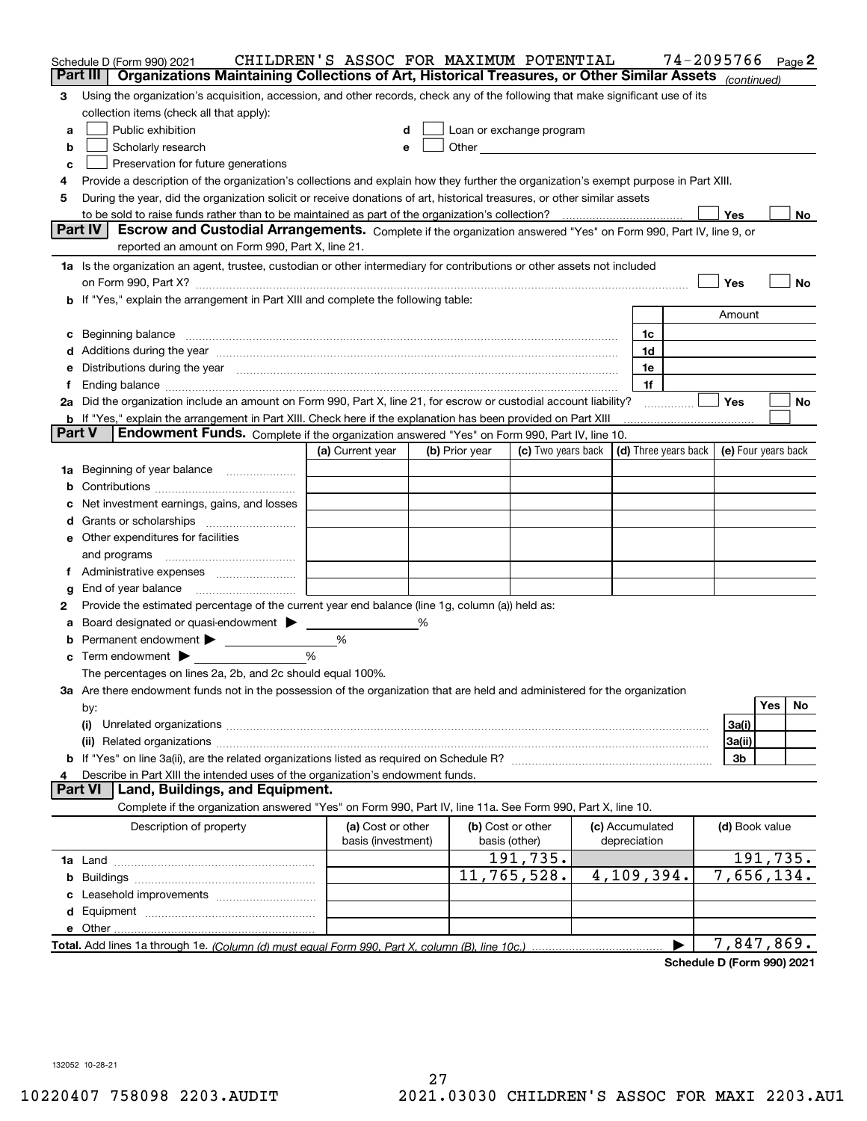|                | Schedule D (Form 990) 2021                                                                                                                                                                                                     | CHILDREN'S ASSOC FOR MAXIMUM POTENTIAL         |   |                                    |                          |                                 |                       | 74-2095766          |     | Page 2 |
|----------------|--------------------------------------------------------------------------------------------------------------------------------------------------------------------------------------------------------------------------------|------------------------------------------------|---|------------------------------------|--------------------------|---------------------------------|-----------------------|---------------------|-----|--------|
|                | Organizations Maintaining Collections of Art, Historical Treasures, or Other Similar Assets (continued)<br>Part III                                                                                                            |                                                |   |                                    |                          |                                 |                       |                     |     |        |
| 3              | Using the organization's acquisition, accession, and other records, check any of the following that make significant use of its                                                                                                |                                                |   |                                    |                          |                                 |                       |                     |     |        |
|                | collection items (check all that apply):                                                                                                                                                                                       |                                                |   |                                    |                          |                                 |                       |                     |     |        |
| a              | Public exhibition                                                                                                                                                                                                              | d                                              |   |                                    | Loan or exchange program |                                 |                       |                     |     |        |
| b              | Scholarly research                                                                                                                                                                                                             | e                                              |   |                                    |                          |                                 |                       |                     |     |        |
| c              | Preservation for future generations                                                                                                                                                                                            |                                                |   |                                    |                          |                                 |                       |                     |     |        |
| 4              | Provide a description of the organization's collections and explain how they further the organization's exempt purpose in Part XIII.                                                                                           |                                                |   |                                    |                          |                                 |                       |                     |     |        |
| 5              | During the year, did the organization solicit or receive donations of art, historical treasures, or other similar assets                                                                                                       |                                                |   |                                    |                          |                                 |                       |                     |     |        |
|                |                                                                                                                                                                                                                                |                                                |   |                                    |                          |                                 |                       | Yes                 |     | No     |
|                | <b>Part IV</b><br>Escrow and Custodial Arrangements. Complete if the organization answered "Yes" on Form 990, Part IV, line 9, or                                                                                              |                                                |   |                                    |                          |                                 |                       |                     |     |        |
|                | reported an amount on Form 990, Part X, line 21.                                                                                                                                                                               |                                                |   |                                    |                          |                                 |                       |                     |     |        |
|                | 1a Is the organization an agent, trustee, custodian or other intermediary for contributions or other assets not included                                                                                                       |                                                |   |                                    |                          |                                 |                       |                     |     |        |
|                |                                                                                                                                                                                                                                |                                                |   |                                    |                          |                                 |                       | Yes                 |     | No     |
|                | <b>b</b> If "Yes," explain the arrangement in Part XIII and complete the following table:                                                                                                                                      |                                                |   |                                    |                          |                                 |                       |                     |     |        |
|                |                                                                                                                                                                                                                                |                                                |   |                                    |                          |                                 |                       | Amount              |     |        |
|                | c Beginning balance measurements and the contract of the contract of the contract of the contract of the contract of the contract of the contract of the contract of the contract of the contract of the contract of the contr |                                                |   |                                    |                          |                                 | 1c                    |                     |     |        |
|                | d Additions during the year measurements are all an according to the year measurement of the year measurement                                                                                                                  |                                                |   |                                    |                          |                                 | 1d                    |                     |     |        |
|                | e Distributions during the year manufactured and contain an account of the state of the state of the state of the state of the state of the state of the state of the state of the state of the state of the state of the stat |                                                |   |                                    |                          |                                 | 1e<br>1f              |                     |     |        |
| f              | 2a Did the organization include an amount on Form 990, Part X, line 21, for escrow or custodial account liability?                                                                                                             |                                                |   |                                    |                          |                                 |                       | Yes                 |     | No     |
|                | <b>b</b> If "Yes," explain the arrangement in Part XIII. Check here if the explanation has been provided on Part XIII                                                                                                          |                                                |   |                                    |                          |                                 |                       |                     |     |        |
| <b>Part V</b>  | Endowment Funds. Complete if the organization answered "Yes" on Form 990, Part IV, line 10.                                                                                                                                    |                                                |   |                                    |                          |                                 |                       |                     |     |        |
|                |                                                                                                                                                                                                                                | (a) Current year                               |   | (b) Prior year                     | (c) Two years back       |                                 | (d) Three years back  | (e) Four years back |     |        |
|                | 1a Beginning of year balance                                                                                                                                                                                                   |                                                |   |                                    |                          |                                 |                       |                     |     |        |
|                |                                                                                                                                                                                                                                |                                                |   |                                    |                          |                                 |                       |                     |     |        |
|                | c Net investment earnings, gains, and losses                                                                                                                                                                                   |                                                |   |                                    |                          |                                 |                       |                     |     |        |
|                |                                                                                                                                                                                                                                |                                                |   |                                    |                          |                                 |                       |                     |     |        |
|                | <b>e</b> Other expenditures for facilities                                                                                                                                                                                     |                                                |   |                                    |                          |                                 |                       |                     |     |        |
|                |                                                                                                                                                                                                                                |                                                |   |                                    |                          |                                 |                       |                     |     |        |
|                |                                                                                                                                                                                                                                | <u>and the state of the state of the state</u> |   |                                    |                          |                                 |                       |                     |     |        |
| g              |                                                                                                                                                                                                                                |                                                |   |                                    |                          |                                 |                       |                     |     |        |
| 2              | Provide the estimated percentage of the current year end balance (line 1g, column (a)) held as:                                                                                                                                |                                                |   |                                    |                          |                                 |                       |                     |     |        |
|                | a Board designated or quasi-endowment > _____                                                                                                                                                                                  |                                                | % |                                    |                          |                                 |                       |                     |     |        |
|                | <b>b</b> Permanent endowment <b>D</b>                                                                                                                                                                                          | %                                              |   |                                    |                          |                                 |                       |                     |     |        |
|                | $\text{c}$ Term endowment $\blacktriangleright$                                                                                                                                                                                | $\%$                                           |   |                                    |                          |                                 |                       |                     |     |        |
|                | The percentages on lines 2a, 2b, and 2c should equal 100%.                                                                                                                                                                     |                                                |   |                                    |                          |                                 |                       |                     |     |        |
|                | 3a Are there endowment funds not in the possession of the organization that are held and administered for the organization                                                                                                     |                                                |   |                                    |                          |                                 |                       |                     |     |        |
|                | by:                                                                                                                                                                                                                            |                                                |   |                                    |                          |                                 |                       |                     | Yes | No     |
|                | (i)                                                                                                                                                                                                                            |                                                |   |                                    |                          |                                 |                       | 3a(i)               |     |        |
|                |                                                                                                                                                                                                                                |                                                |   |                                    |                          |                                 |                       | 3a(ii)              |     |        |
|                |                                                                                                                                                                                                                                |                                                |   |                                    |                          |                                 |                       | 3b                  |     |        |
| 4              | Describe in Part XIII the intended uses of the organization's endowment funds.                                                                                                                                                 |                                                |   |                                    |                          |                                 |                       |                     |     |        |
| <b>Part VI</b> | Land, Buildings, and Equipment.                                                                                                                                                                                                |                                                |   |                                    |                          |                                 |                       |                     |     |        |
|                | Complete if the organization answered "Yes" on Form 990, Part IV, line 11a. See Form 990, Part X, line 10.                                                                                                                     |                                                |   |                                    |                          |                                 |                       |                     |     |        |
|                | Description of property                                                                                                                                                                                                        | (a) Cost or other<br>basis (investment)        |   | (b) Cost or other<br>basis (other) |                          | (c) Accumulated<br>depreciation |                       | (d) Book value      |     |        |
|                |                                                                                                                                                                                                                                |                                                |   |                                    | 191,735.                 |                                 |                       | 191,735.            |     |        |
|                |                                                                                                                                                                                                                                |                                                |   |                                    | 11,765,528.              | 4,109,394.                      |                       | 7,656,134.          |     |        |
|                |                                                                                                                                                                                                                                |                                                |   |                                    |                          |                                 |                       |                     |     |        |
|                |                                                                                                                                                                                                                                |                                                |   |                                    |                          |                                 |                       |                     |     |        |
|                |                                                                                                                                                                                                                                |                                                |   |                                    |                          |                                 |                       |                     |     |        |
|                |                                                                                                                                                                                                                                |                                                |   |                                    |                          |                                 | $\blacktriangleright$ | 7,847,869.          |     |        |

**Schedule D (Form 990) 2021**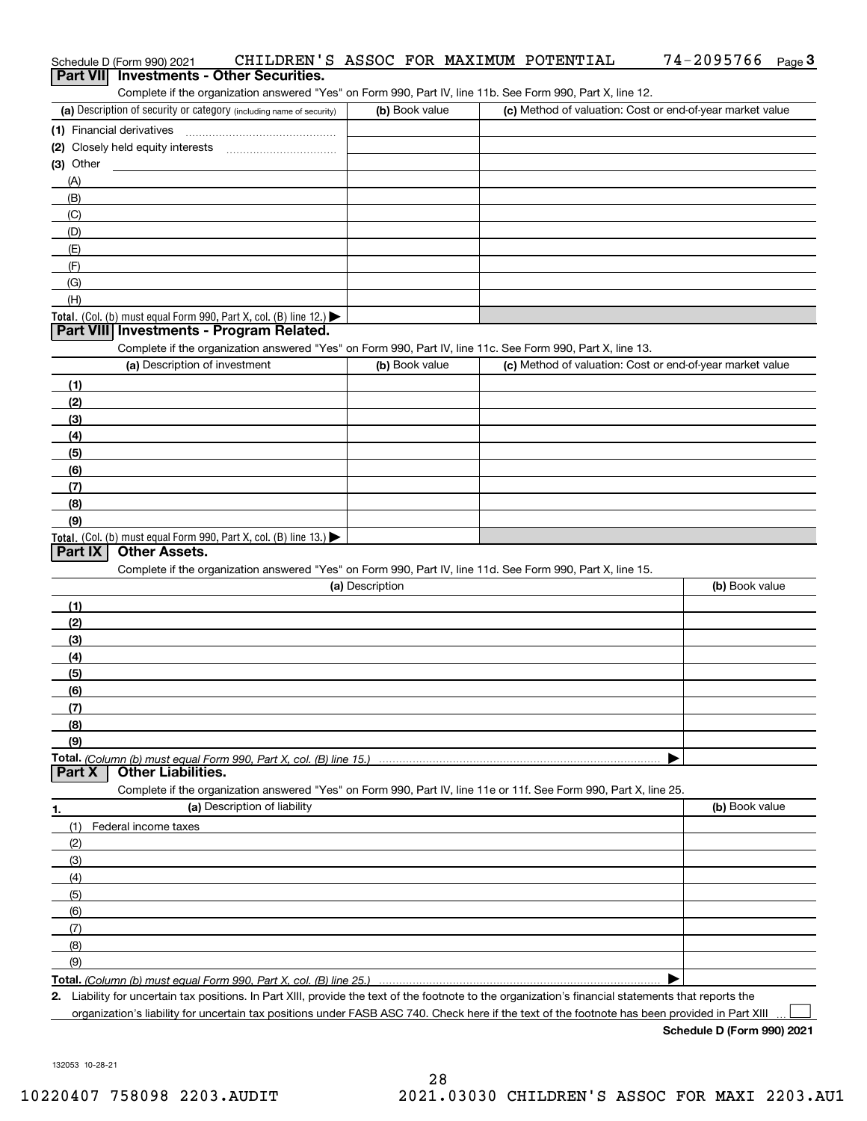| Schedule D (Form 990) 2021                                                                                                                           |                 | CHILDREN'S ASSOC FOR MAXIMUM POTENTIAL                    | 74-2095766<br>Page <sup>3</sup> |
|------------------------------------------------------------------------------------------------------------------------------------------------------|-----------------|-----------------------------------------------------------|---------------------------------|
| Part VII Investments - Other Securities.                                                                                                             |                 |                                                           |                                 |
| Complete if the organization answered "Yes" on Form 990, Part IV, line 11b. See Form 990, Part X, line 12.                                           |                 |                                                           |                                 |
| (a) Description of security or category (including name of security)                                                                                 | (b) Book value  | (c) Method of valuation: Cost or end-of-year market value |                                 |
|                                                                                                                                                      |                 |                                                           |                                 |
| (2) Closely held equity interests                                                                                                                    |                 |                                                           |                                 |
| $(3)$ Other                                                                                                                                          |                 |                                                           |                                 |
| (A)                                                                                                                                                  |                 |                                                           |                                 |
| (B)                                                                                                                                                  |                 |                                                           |                                 |
| (C)<br>(D)                                                                                                                                           |                 |                                                           |                                 |
| (E)                                                                                                                                                  |                 |                                                           |                                 |
| (F)                                                                                                                                                  |                 |                                                           |                                 |
| (G)                                                                                                                                                  |                 |                                                           |                                 |
| (H)                                                                                                                                                  |                 |                                                           |                                 |
| Total. (Col. (b) must equal Form 990, Part X, col. (B) line 12.)                                                                                     |                 |                                                           |                                 |
| Part VIII Investments - Program Related.                                                                                                             |                 |                                                           |                                 |
| Complete if the organization answered "Yes" on Form 990, Part IV, line 11c. See Form 990, Part X, line 13.                                           |                 |                                                           |                                 |
| (a) Description of investment                                                                                                                        | (b) Book value  | (c) Method of valuation: Cost or end-of-year market value |                                 |
| (1)                                                                                                                                                  |                 |                                                           |                                 |
| (2)                                                                                                                                                  |                 |                                                           |                                 |
| (3)                                                                                                                                                  |                 |                                                           |                                 |
| (4)                                                                                                                                                  |                 |                                                           |                                 |
| (5)                                                                                                                                                  |                 |                                                           |                                 |
| (6)                                                                                                                                                  |                 |                                                           |                                 |
| (7)                                                                                                                                                  |                 |                                                           |                                 |
| (8)                                                                                                                                                  |                 |                                                           |                                 |
| (9)                                                                                                                                                  |                 |                                                           |                                 |
| Total. (Col. (b) must equal Form 990, Part X, col. (B) line 13.)                                                                                     |                 |                                                           |                                 |
| <b>Other Assets.</b><br>Part IX                                                                                                                      |                 |                                                           |                                 |
| Complete if the organization answered "Yes" on Form 990, Part IV, line 11d. See Form 990, Part X, line 15.                                           |                 |                                                           |                                 |
|                                                                                                                                                      | (a) Description |                                                           | (b) Book value                  |
| (1)                                                                                                                                                  |                 |                                                           |                                 |
| (2)                                                                                                                                                  |                 |                                                           |                                 |
| (3)                                                                                                                                                  |                 |                                                           |                                 |
| (4)                                                                                                                                                  |                 |                                                           |                                 |
| (5)                                                                                                                                                  |                 |                                                           |                                 |
| (6)                                                                                                                                                  |                 |                                                           |                                 |
| (7)                                                                                                                                                  |                 |                                                           |                                 |
| (8)<br>(9)                                                                                                                                           |                 |                                                           |                                 |
|                                                                                                                                                      |                 |                                                           |                                 |
| <b>Other Liabilities.</b><br>Part X                                                                                                                  |                 |                                                           |                                 |
| Complete if the organization answered "Yes" on Form 990, Part IV, line 11e or 11f. See Form 990, Part X, line 25.                                    |                 |                                                           |                                 |
| (a) Description of liability<br>1.                                                                                                                   |                 |                                                           | (b) Book value                  |
| (1)<br>Federal income taxes                                                                                                                          |                 |                                                           |                                 |
| (2)                                                                                                                                                  |                 |                                                           |                                 |
| (3)                                                                                                                                                  |                 |                                                           |                                 |
| (4)                                                                                                                                                  |                 |                                                           |                                 |
| (5)                                                                                                                                                  |                 |                                                           |                                 |
| (6)                                                                                                                                                  |                 |                                                           |                                 |
| (7)                                                                                                                                                  |                 |                                                           |                                 |
| (8)                                                                                                                                                  |                 |                                                           |                                 |
| (9)                                                                                                                                                  |                 |                                                           |                                 |
|                                                                                                                                                      |                 |                                                           |                                 |
| 2. Liability for uncertain tax positions. In Part XIII, provide the text of the footnote to the organization's financial statements that reports the |                 |                                                           |                                 |
| organization's liability for uncertain tax positions under FASB ASC 740. Check here if the text of the footnote has been provided in Part XIII       |                 |                                                           |                                 |

132053 10-28-21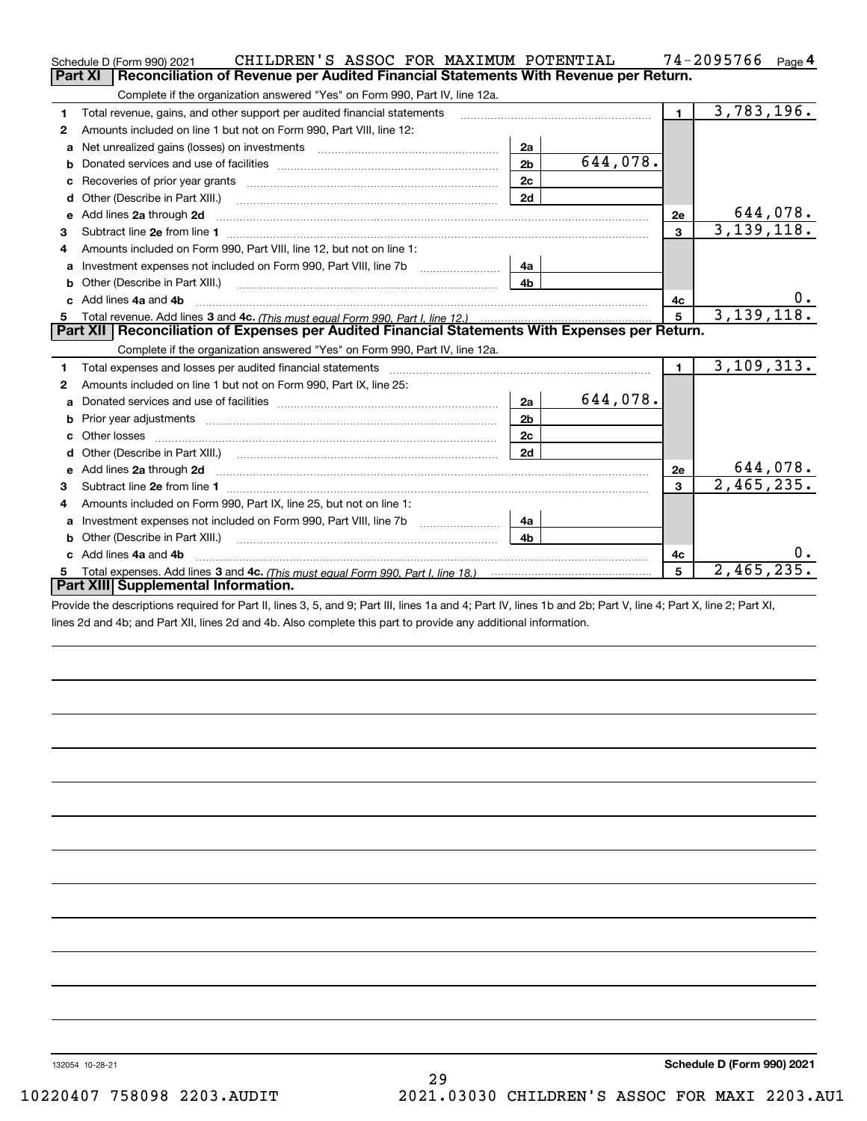|                                                                                                | CHILDREN'S ASSOC FOR MAXIMUM POTENTIAL<br>Schedule D (Form 990) 2021                                                                                                                                                                |                |          |                | 74-2095766<br>Page $4$  |  |
|------------------------------------------------------------------------------------------------|-------------------------------------------------------------------------------------------------------------------------------------------------------------------------------------------------------------------------------------|----------------|----------|----------------|-------------------------|--|
| Part XI<br>Reconciliation of Revenue per Audited Financial Statements With Revenue per Return. |                                                                                                                                                                                                                                     |                |          |                |                         |  |
|                                                                                                | Complete if the organization answered "Yes" on Form 990, Part IV, line 12a.                                                                                                                                                         |                |          |                |                         |  |
| 1                                                                                              | Total revenue, gains, and other support per audited financial statements                                                                                                                                                            |                |          | $\blacksquare$ | 3,783,196.              |  |
| 2                                                                                              | Amounts included on line 1 but not on Form 990, Part VIII, line 12:                                                                                                                                                                 |                |          |                |                         |  |
| a                                                                                              |                                                                                                                                                                                                                                     | 2a             |          |                |                         |  |
| b                                                                                              |                                                                                                                                                                                                                                     | 2 <sub>b</sub> | 644,078. |                |                         |  |
|                                                                                                |                                                                                                                                                                                                                                     | 2c             |          |                |                         |  |
| d                                                                                              |                                                                                                                                                                                                                                     | 2d             |          |                |                         |  |
| е                                                                                              | Add lines 2a through 2d                                                                                                                                                                                                             |                |          | 2e             | 644,078.                |  |
| з                                                                                              |                                                                                                                                                                                                                                     |                |          | $\overline{3}$ | 3,139,118.              |  |
| 4                                                                                              | Amounts included on Form 990, Part VIII, line 12, but not on line 1:                                                                                                                                                                |                |          |                |                         |  |
| a                                                                                              |                                                                                                                                                                                                                                     | 4a             |          |                |                         |  |
|                                                                                                | Other (Describe in Part XIII.) <b>Construction Construction</b> Chern Construction Chern Chern Chern Chern Chern Chern                                                                                                              | 4b             |          |                |                         |  |
|                                                                                                | c Add lines 4a and 4b                                                                                                                                                                                                               |                |          | 4c             | 0.                      |  |
| 5.                                                                                             |                                                                                                                                                                                                                                     |                |          | 5              | 3, 139, 118.            |  |
|                                                                                                | Part XII   Reconciliation of Expenses per Audited Financial Statements With Expenses per Return.                                                                                                                                    |                |          |                |                         |  |
|                                                                                                | Complete if the organization answered "Yes" on Form 990, Part IV, line 12a.                                                                                                                                                         |                |          |                |                         |  |
| 1                                                                                              | Total expenses and losses per audited financial statements [11] [12] contain the control of the statements [11] [12] and the statements [12] and the statements [12] and the statements [12] and the statements [12] and the s      |                |          | $\mathbf{1}$   | $\overline{3,109,313.}$ |  |
| 2                                                                                              | Amounts included on line 1 but not on Form 990, Part IX, line 25:                                                                                                                                                                   |                |          |                |                         |  |
| a                                                                                              |                                                                                                                                                                                                                                     | 2a             | 644,078. |                |                         |  |
| b                                                                                              |                                                                                                                                                                                                                                     | 2 <sub>b</sub> |          |                |                         |  |
|                                                                                                |                                                                                                                                                                                                                                     | 2c             |          |                |                         |  |
|                                                                                                |                                                                                                                                                                                                                                     | 2d             |          |                |                         |  |
| e                                                                                              | Add lines 2a through 2d <b>contained a contained a contained a contained a</b> contained a contact the set of the set of the set of the set of the set of the set of the set of the set of the set of the set of the set of the set |                |          | 2e             | 644,078.                |  |
| з                                                                                              |                                                                                                                                                                                                                                     |                |          | 3              | 2,465,235.              |  |
|                                                                                                | Amounts included on Form 990, Part IX, line 25, but not on line 1:                                                                                                                                                                  |                |          |                |                         |  |
| a                                                                                              | Investment expenses not included on Form 990, Part VIII, line 7b [11, 111, 111, 111]                                                                                                                                                | 4a             |          |                |                         |  |
| b                                                                                              | Other (Describe in Part XIII.)                                                                                                                                                                                                      | 4 <sub>b</sub> |          |                |                         |  |
|                                                                                                | Add lines 4a and 4b                                                                                                                                                                                                                 |                |          | 4с             | 0.                      |  |
| 5                                                                                              |                                                                                                                                                                                                                                     |                |          | 5              | 2,465,235.              |  |
|                                                                                                | Part XIII Supplemental Information.                                                                                                                                                                                                 |                |          |                |                         |  |
|                                                                                                |                                                                                                                                                                                                                                     |                |          |                |                         |  |

Provide the descriptions required for Part II, lines 3, 5, and 9; Part III, lines 1a and 4; Part IV, lines 1b and 2b; Part V, line 4; Part X, line 2; Part XI, lines 2d and 4b; and Part XII, lines 2d and 4b. Also complete this part to provide any additional information.

132054 10-28-21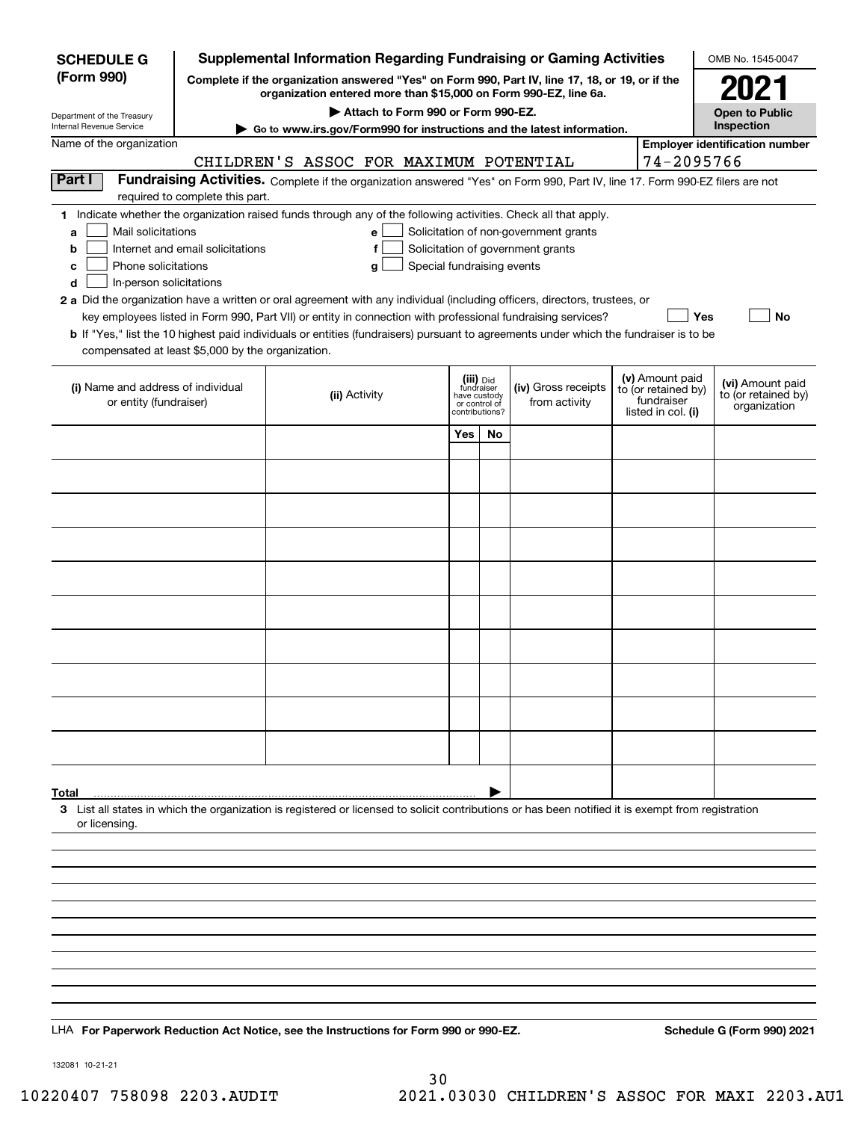| Supplemental Information Regarding Fundraising or Gaming Activities<br><b>SCHEDULE G</b>                                                                                                 |  |  |                                    |     |                                                 | OMB No. 1545-0047                                                                                           |  |                                        |                                       |  |
|------------------------------------------------------------------------------------------------------------------------------------------------------------------------------------------|--|--|------------------------------------|-----|-------------------------------------------------|-------------------------------------------------------------------------------------------------------------|--|----------------------------------------|---------------------------------------|--|
| (Form 990)<br>Complete if the organization answered "Yes" on Form 990, Part IV, line 17, 18, or 19, or if the<br>organization entered more than \$15,000 on Form 990-EZ, line 6a.        |  |  |                                    |     |                                                 |                                                                                                             |  | 2021                                   |                                       |  |
|                                                                                                                                                                                          |  |  | Attach to Form 990 or Form 990-EZ. |     |                                                 |                                                                                                             |  |                                        | <b>Open to Public</b>                 |  |
| Department of the Treasury<br>Internal Revenue Service                                                                                                                                   |  |  |                                    |     |                                                 | ► Go to www.irs.gov/Form990 for instructions and the latest information.                                    |  |                                        | Inspection                            |  |
| Name of the organization                                                                                                                                                                 |  |  |                                    |     |                                                 |                                                                                                             |  | 74-2095766                             | <b>Employer identification number</b> |  |
| CHILDREN'S ASSOC FOR MAXIMUM POTENTIAL<br>Part I<br>Fundraising Activities. Complete if the organization answered "Yes" on Form 990, Part IV, line 17. Form 990-EZ filers are not        |  |  |                                    |     |                                                 |                                                                                                             |  |                                        |                                       |  |
| required to complete this part.                                                                                                                                                          |  |  |                                    |     |                                                 |                                                                                                             |  |                                        |                                       |  |
| 1 Indicate whether the organization raised funds through any of the following activities. Check all that apply.<br>Mail solicitations<br>Solicitation of non-government grants<br>e<br>a |  |  |                                    |     |                                                 |                                                                                                             |  |                                        |                                       |  |
| Solicitation of government grants<br>Internet and email solicitations<br>f<br>b                                                                                                          |  |  |                                    |     |                                                 |                                                                                                             |  |                                        |                                       |  |
| Phone solicitations<br>с                                                                                                                                                                 |  |  | Special fundraising events<br>g    |     |                                                 |                                                                                                             |  |                                        |                                       |  |
| In-person solicitations<br>d                                                                                                                                                             |  |  |                                    |     |                                                 |                                                                                                             |  |                                        |                                       |  |
| 2 a Did the organization have a written or oral agreement with any individual (including officers, directors, trustees, or                                                               |  |  |                                    |     |                                                 | key employees listed in Form 990, Part VII) or entity in connection with professional fundraising services? |  | <b>Yes</b>                             | No                                    |  |
| b If "Yes," list the 10 highest paid individuals or entities (fundraisers) pursuant to agreements under which the fundraiser is to be                                                    |  |  |                                    |     |                                                 |                                                                                                             |  |                                        |                                       |  |
| compensated at least \$5,000 by the organization.                                                                                                                                        |  |  |                                    |     |                                                 |                                                                                                             |  |                                        |                                       |  |
| (i) Name and address of individual                                                                                                                                                       |  |  |                                    |     | (iii) Did<br>fundraiser                         | (iv) Gross receipts                                                                                         |  | (v) Amount paid<br>to (or retained by) | (vi) Amount paid                      |  |
| or entity (fundraiser)                                                                                                                                                                   |  |  | (ii) Activity                      |     | have custody<br>or control of<br>contributions? | from activity                                                                                               |  | fundraiser<br>listed in col. (i)       | to (or retained by)<br>organization   |  |
|                                                                                                                                                                                          |  |  |                                    | Yes | No.                                             |                                                                                                             |  |                                        |                                       |  |
|                                                                                                                                                                                          |  |  |                                    |     |                                                 |                                                                                                             |  |                                        |                                       |  |
|                                                                                                                                                                                          |  |  |                                    |     |                                                 |                                                                                                             |  |                                        |                                       |  |
|                                                                                                                                                                                          |  |  |                                    |     |                                                 |                                                                                                             |  |                                        |                                       |  |
|                                                                                                                                                                                          |  |  |                                    |     |                                                 |                                                                                                             |  |                                        |                                       |  |
|                                                                                                                                                                                          |  |  |                                    |     |                                                 |                                                                                                             |  |                                        |                                       |  |
|                                                                                                                                                                                          |  |  |                                    |     |                                                 |                                                                                                             |  |                                        |                                       |  |
|                                                                                                                                                                                          |  |  |                                    |     |                                                 |                                                                                                             |  |                                        |                                       |  |
|                                                                                                                                                                                          |  |  |                                    |     |                                                 |                                                                                                             |  |                                        |                                       |  |
|                                                                                                                                                                                          |  |  |                                    |     |                                                 |                                                                                                             |  |                                        |                                       |  |
|                                                                                                                                                                                          |  |  |                                    |     |                                                 |                                                                                                             |  |                                        |                                       |  |
|                                                                                                                                                                                          |  |  |                                    |     |                                                 |                                                                                                             |  |                                        |                                       |  |
|                                                                                                                                                                                          |  |  |                                    |     |                                                 |                                                                                                             |  |                                        |                                       |  |
|                                                                                                                                                                                          |  |  |                                    |     |                                                 |                                                                                                             |  |                                        |                                       |  |
|                                                                                                                                                                                          |  |  |                                    |     |                                                 |                                                                                                             |  |                                        |                                       |  |
| Total                                                                                                                                                                                    |  |  |                                    |     |                                                 |                                                                                                             |  |                                        |                                       |  |
| 3 List all states in which the organization is registered or licensed to solicit contributions or has been notified it is exempt from registration                                       |  |  |                                    |     |                                                 |                                                                                                             |  |                                        |                                       |  |
| or licensing.                                                                                                                                                                            |  |  |                                    |     |                                                 |                                                                                                             |  |                                        |                                       |  |
|                                                                                                                                                                                          |  |  |                                    |     |                                                 |                                                                                                             |  |                                        |                                       |  |
|                                                                                                                                                                                          |  |  |                                    |     |                                                 |                                                                                                             |  |                                        |                                       |  |
|                                                                                                                                                                                          |  |  |                                    |     |                                                 |                                                                                                             |  |                                        |                                       |  |
|                                                                                                                                                                                          |  |  |                                    |     |                                                 |                                                                                                             |  |                                        |                                       |  |
|                                                                                                                                                                                          |  |  |                                    |     |                                                 |                                                                                                             |  |                                        |                                       |  |
|                                                                                                                                                                                          |  |  |                                    |     |                                                 |                                                                                                             |  |                                        |                                       |  |
|                                                                                                                                                                                          |  |  |                                    |     |                                                 |                                                                                                             |  |                                        |                                       |  |
| LHA For Paperwork Reduction Act Notice, see the Instructions for Form 990 or 990-EZ.                                                                                                     |  |  |                                    |     |                                                 |                                                                                                             |  |                                        | Schedule G (Form 990) 2021            |  |
|                                                                                                                                                                                          |  |  |                                    |     |                                                 |                                                                                                             |  |                                        |                                       |  |

132081 10-21-21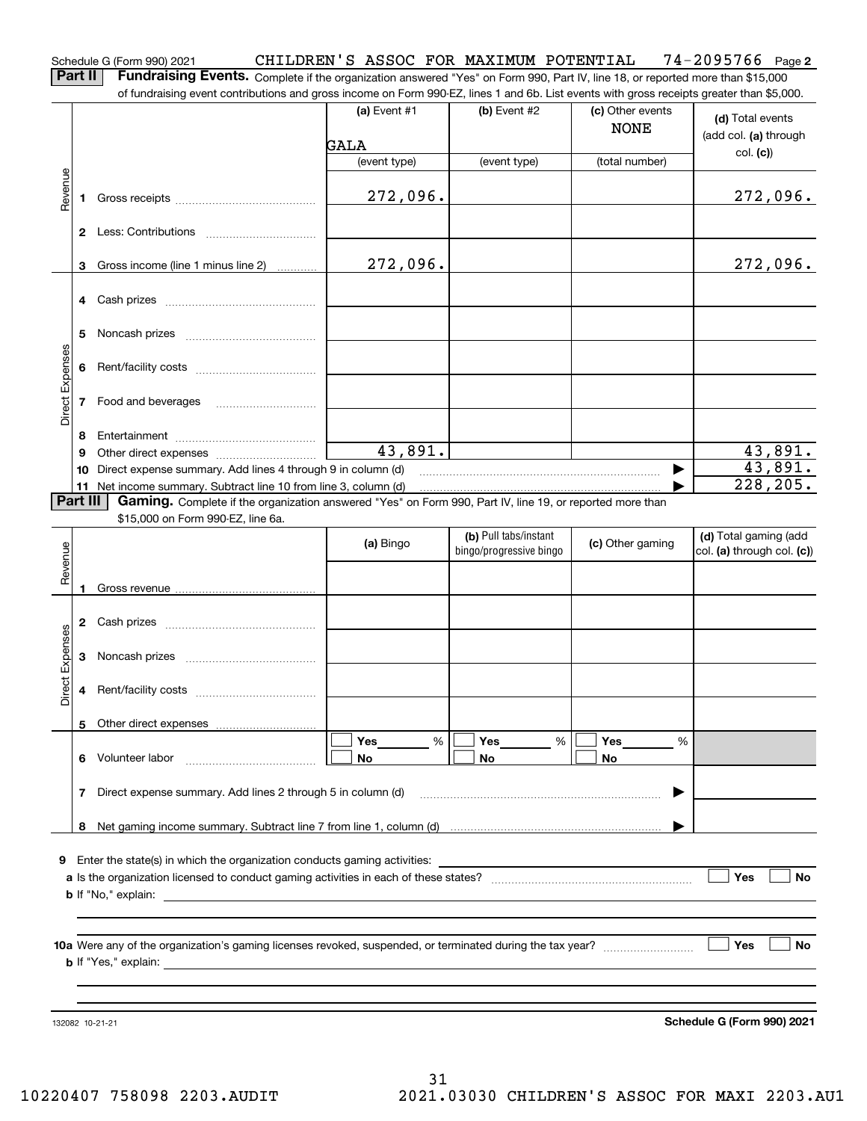**Part II** | Fundraising Events. Complete if the organization answered "Yes" on Form 990, Part IV, line 18, or reported more than \$15,000 of fundraising event contributions and gross income on Form 990-EZ, lines 1 and 6b. List events with gross receipts greater than \$5,000.

| Revenue         |                                                                  |                                                                                                          | (a) Event #1<br>GALA | (b) Event #2                                     | (c) Other events<br><b>NONE</b> | (d) Total events<br>(add col. (a) through           |  |  |
|-----------------|------------------------------------------------------------------|----------------------------------------------------------------------------------------------------------|----------------------|--------------------------------------------------|---------------------------------|-----------------------------------------------------|--|--|
|                 |                                                                  |                                                                                                          | (event type)         | (event type)                                     | (total number)                  | col. (c)                                            |  |  |
|                 |                                                                  |                                                                                                          |                      |                                                  |                                 |                                                     |  |  |
|                 | 1                                                                |                                                                                                          | 272,096.             |                                                  |                                 | 272,096.                                            |  |  |
|                 |                                                                  |                                                                                                          |                      |                                                  |                                 |                                                     |  |  |
|                 |                                                                  |                                                                                                          |                      |                                                  |                                 |                                                     |  |  |
|                 | 3                                                                | Gross income (line 1 minus line 2)                                                                       | 272,096.             |                                                  |                                 | 272,096.                                            |  |  |
|                 | 4                                                                |                                                                                                          |                      |                                                  |                                 |                                                     |  |  |
|                 | 5                                                                |                                                                                                          |                      |                                                  |                                 |                                                     |  |  |
|                 | 6                                                                |                                                                                                          |                      |                                                  |                                 |                                                     |  |  |
| Direct Expenses | 7                                                                | Food and beverages                                                                                       |                      |                                                  |                                 |                                                     |  |  |
|                 | 8                                                                |                                                                                                          |                      |                                                  |                                 |                                                     |  |  |
|                 | 9                                                                |                                                                                                          | 43,891.              |                                                  |                                 | 43,891.                                             |  |  |
|                 | 10                                                               | Direct expense summary. Add lines 4 through 9 in column (d)                                              |                      |                                                  |                                 | 43,891.                                             |  |  |
|                 | 11                                                               | Net income summary. Subtract line 10 from line 3, column (d)                                             |                      |                                                  |                                 | 228, 205.                                           |  |  |
|                 | Part III                                                         | Gaming. Complete if the organization answered "Yes" on Form 990, Part IV, line 19, or reported more than |                      |                                                  |                                 |                                                     |  |  |
|                 |                                                                  | \$15,000 on Form 990-EZ, line 6a.                                                                        |                      |                                                  |                                 |                                                     |  |  |
| Revenue         |                                                                  |                                                                                                          | (a) Bingo            | (b) Pull tabs/instant<br>bingo/progressive bingo | (c) Other gaming                | (d) Total gaming (add<br>col. (a) through col. (c)) |  |  |
|                 | 1.                                                               |                                                                                                          |                      |                                                  |                                 |                                                     |  |  |
|                 |                                                                  |                                                                                                          |                      |                                                  |                                 |                                                     |  |  |
|                 | 2                                                                |                                                                                                          |                      |                                                  |                                 |                                                     |  |  |
| Direct Expenses | 3                                                                |                                                                                                          |                      |                                                  |                                 |                                                     |  |  |
|                 | 4                                                                |                                                                                                          |                      |                                                  |                                 |                                                     |  |  |
|                 | 5                                                                |                                                                                                          |                      |                                                  |                                 |                                                     |  |  |
|                 |                                                                  |                                                                                                          | Yes<br>%             | Yes<br>%                                         | Yes<br>%                        |                                                     |  |  |
|                 | 6                                                                | Volunteer labor                                                                                          | No                   | No                                               | No                              |                                                     |  |  |
|                 | Direct expense summary. Add lines 2 through 5 in column (d)<br>7 |                                                                                                          |                      |                                                  |                                 |                                                     |  |  |
|                 |                                                                  |                                                                                                          |                      |                                                  |                                 |                                                     |  |  |
|                 | 8                                                                |                                                                                                          |                      |                                                  |                                 |                                                     |  |  |
|                 |                                                                  |                                                                                                          |                      |                                                  |                                 |                                                     |  |  |
| 9               |                                                                  | Enter the state(s) in which the organization conducts gaming activities:                                 |                      |                                                  |                                 |                                                     |  |  |
|                 |                                                                  |                                                                                                          |                      |                                                  |                                 | Yes                                                 |  |  |
|                 |                                                                  | <b>b</b> If "No," explain:                                                                               |                      |                                                  |                                 |                                                     |  |  |
|                 |                                                                  |                                                                                                          |                      |                                                  |                                 |                                                     |  |  |
|                 |                                                                  |                                                                                                          |                      |                                                  |                                 | Yes<br>No                                           |  |  |
|                 |                                                                  | <b>b</b> If "Yes," explain:                                                                              |                      |                                                  |                                 |                                                     |  |  |
|                 |                                                                  |                                                                                                          |                      |                                                  |                                 |                                                     |  |  |
|                 |                                                                  |                                                                                                          |                      |                                                  |                                 | <b>No</b>                                           |  |  |
|                 |                                                                  | 132082 10-21-21                                                                                          |                      |                                                  |                                 | Schedule G (Form 990) 2021                          |  |  |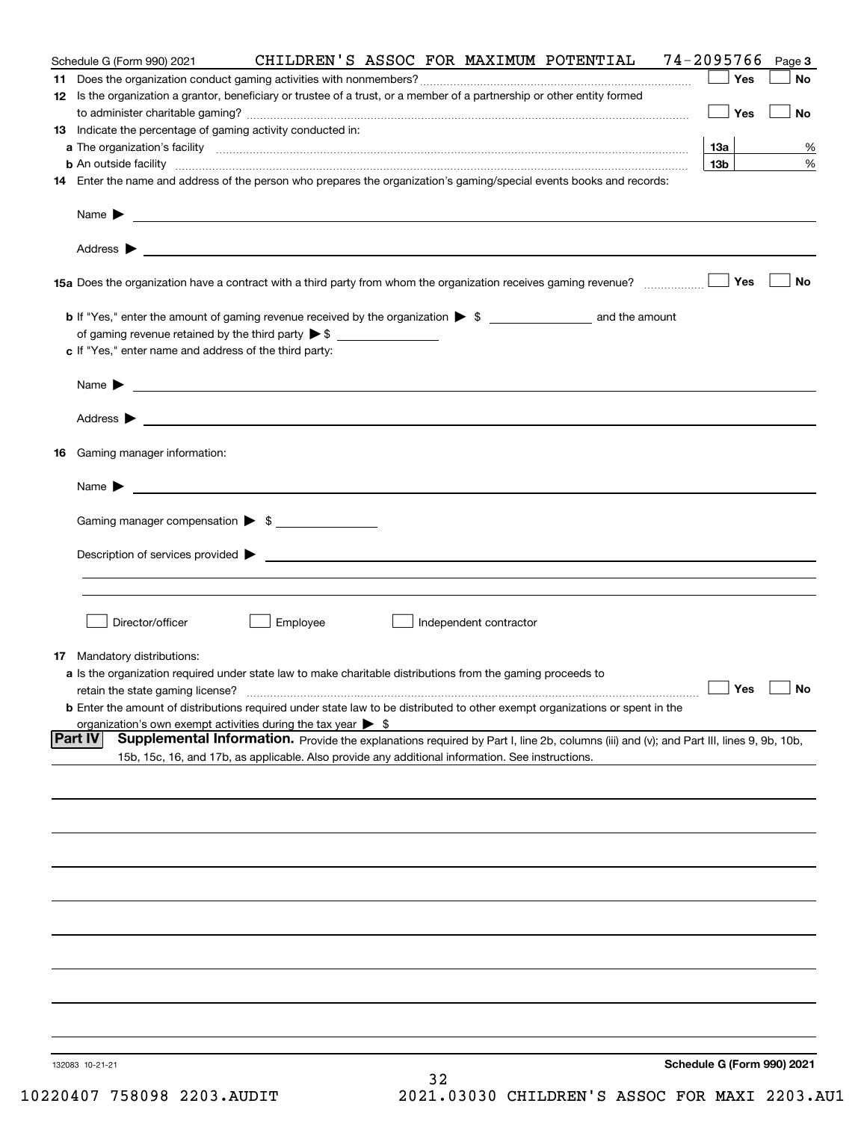| Schedule G (Form 990) 2021                                                                                                                         | CHILDREN'S ASSOC FOR MAXIMUM POTENTIAL |    |                        |  | 74-2095766                        | Page 3    |
|----------------------------------------------------------------------------------------------------------------------------------------------------|----------------------------------------|----|------------------------|--|-----------------------------------|-----------|
|                                                                                                                                                    |                                        |    |                        |  | Yes                               | No        |
| 12 Is the organization a grantor, beneficiary or trustee of a trust, or a member of a partnership or other entity formed                           |                                        |    |                        |  |                                   |           |
|                                                                                                                                                    |                                        |    |                        |  | $\Box$ Yes                        | No        |
| 13 Indicate the percentage of gaming activity conducted in:                                                                                        |                                        |    |                        |  |                                   |           |
|                                                                                                                                                    |                                        |    |                        |  | 13а                               | %         |
| <b>b</b> An outside facility <i>www.communicality www.communicality.communicality www.communicality www.communicality.com</i>                      |                                        |    |                        |  | 13 <sub>b</sub>                   | %         |
| 14 Enter the name and address of the person who prepares the organization's gaming/special events books and records:                               |                                        |    |                        |  |                                   |           |
|                                                                                                                                                    |                                        |    |                        |  |                                   |           |
|                                                                                                                                                    |                                        |    |                        |  |                                   |           |
|                                                                                                                                                    |                                        |    |                        |  |                                   | <b>No</b> |
|                                                                                                                                                    |                                        |    |                        |  |                                   |           |
|                                                                                                                                                    |                                        |    |                        |  |                                   |           |
| c If "Yes," enter name and address of the third party:                                                                                             |                                        |    |                        |  |                                   |           |
|                                                                                                                                                    |                                        |    |                        |  |                                   |           |
|                                                                                                                                                    |                                        |    |                        |  |                                   |           |
|                                                                                                                                                    |                                        |    |                        |  |                                   |           |
|                                                                                                                                                    |                                        |    |                        |  |                                   |           |
| 16 Gaming manager information:                                                                                                                     |                                        |    |                        |  |                                   |           |
|                                                                                                                                                    |                                        |    |                        |  |                                   |           |
| Name $\triangleright$ $\square$                                                                                                                    |                                        |    |                        |  |                                   |           |
| Gaming manager compensation > \$                                                                                                                   |                                        |    |                        |  |                                   |           |
| Description of services provided $\blacktriangleright$ $\_\_\_\_\_\_\_\_\_\_\_\_\_\_\_$                                                            |                                        |    |                        |  |                                   |           |
|                                                                                                                                                    |                                        |    |                        |  |                                   |           |
|                                                                                                                                                    |                                        |    |                        |  |                                   |           |
|                                                                                                                                                    |                                        |    |                        |  |                                   |           |
| Director/officer                                                                                                                                   | Employee                               |    | Independent contractor |  |                                   |           |
|                                                                                                                                                    |                                        |    |                        |  |                                   |           |
| 17 Mandatory distributions:                                                                                                                        |                                        |    |                        |  |                                   |           |
| a Is the organization required under state law to make charitable distributions from the gaming proceeds to<br>retain the state gaming license?    |                                        |    |                        |  | $\Box$ Yes                        | $\Box$ No |
| <b>b</b> Enter the amount of distributions required under state law to be distributed to other exempt organizations or spent in the                |                                        |    |                        |  |                                   |           |
| organization's own exempt activities during the tax year $\triangleright$ \$                                                                       |                                        |    |                        |  |                                   |           |
| Supplemental Information. Provide the explanations required by Part I, line 2b, columns (iii) and (v); and Part III, lines 9, 9b, 10b,<br> Part IV |                                        |    |                        |  |                                   |           |
| 15b, 15c, 16, and 17b, as applicable. Also provide any additional information. See instructions.                                                   |                                        |    |                        |  |                                   |           |
|                                                                                                                                                    |                                        |    |                        |  |                                   |           |
|                                                                                                                                                    |                                        |    |                        |  |                                   |           |
|                                                                                                                                                    |                                        |    |                        |  |                                   |           |
|                                                                                                                                                    |                                        |    |                        |  |                                   |           |
|                                                                                                                                                    |                                        |    |                        |  |                                   |           |
|                                                                                                                                                    |                                        |    |                        |  |                                   |           |
|                                                                                                                                                    |                                        |    |                        |  |                                   |           |
|                                                                                                                                                    |                                        |    |                        |  |                                   |           |
|                                                                                                                                                    |                                        |    |                        |  |                                   |           |
|                                                                                                                                                    |                                        |    |                        |  |                                   |           |
|                                                                                                                                                    |                                        |    |                        |  |                                   |           |
|                                                                                                                                                    |                                        |    |                        |  |                                   |           |
|                                                                                                                                                    |                                        |    |                        |  |                                   |           |
|                                                                                                                                                    |                                        |    |                        |  |                                   |           |
| 132083 10-21-21                                                                                                                                    |                                        |    |                        |  | <b>Schedule G (Form 990) 2021</b> |           |
|                                                                                                                                                    |                                        | 32 |                        |  |                                   |           |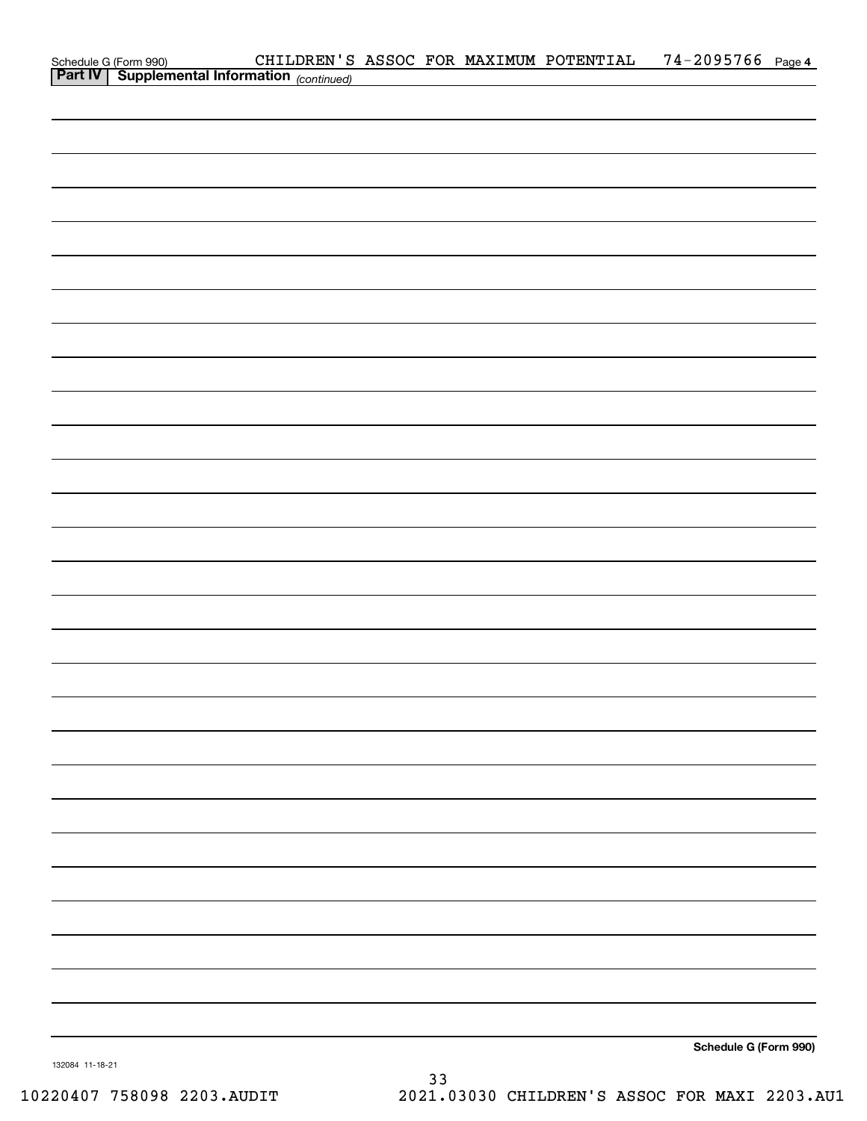|                 | Schedule G (Form 990) CHILDREN'S ASSOC FOR MAXIMUM POTENTIAL 74-2095766 Page 4<br>Part IV Supplemental Information (continued) |  |  |                       |  |
|-----------------|--------------------------------------------------------------------------------------------------------------------------------|--|--|-----------------------|--|
|                 |                                                                                                                                |  |  |                       |  |
|                 |                                                                                                                                |  |  |                       |  |
|                 |                                                                                                                                |  |  |                       |  |
|                 |                                                                                                                                |  |  |                       |  |
|                 |                                                                                                                                |  |  |                       |  |
|                 |                                                                                                                                |  |  |                       |  |
|                 |                                                                                                                                |  |  |                       |  |
|                 |                                                                                                                                |  |  |                       |  |
|                 |                                                                                                                                |  |  |                       |  |
|                 |                                                                                                                                |  |  |                       |  |
|                 |                                                                                                                                |  |  |                       |  |
|                 |                                                                                                                                |  |  |                       |  |
|                 |                                                                                                                                |  |  |                       |  |
|                 |                                                                                                                                |  |  |                       |  |
|                 |                                                                                                                                |  |  |                       |  |
|                 |                                                                                                                                |  |  |                       |  |
|                 |                                                                                                                                |  |  |                       |  |
|                 |                                                                                                                                |  |  |                       |  |
|                 |                                                                                                                                |  |  |                       |  |
|                 |                                                                                                                                |  |  |                       |  |
|                 |                                                                                                                                |  |  |                       |  |
|                 |                                                                                                                                |  |  |                       |  |
|                 |                                                                                                                                |  |  |                       |  |
|                 |                                                                                                                                |  |  |                       |  |
|                 |                                                                                                                                |  |  |                       |  |
|                 |                                                                                                                                |  |  |                       |  |
|                 |                                                                                                                                |  |  |                       |  |
|                 |                                                                                                                                |  |  |                       |  |
|                 |                                                                                                                                |  |  |                       |  |
|                 |                                                                                                                                |  |  |                       |  |
|                 |                                                                                                                                |  |  |                       |  |
|                 |                                                                                                                                |  |  |                       |  |
|                 |                                                                                                                                |  |  |                       |  |
|                 |                                                                                                                                |  |  |                       |  |
|                 |                                                                                                                                |  |  |                       |  |
|                 |                                                                                                                                |  |  |                       |  |
|                 |                                                                                                                                |  |  |                       |  |
|                 |                                                                                                                                |  |  |                       |  |
|                 |                                                                                                                                |  |  |                       |  |
|                 |                                                                                                                                |  |  |                       |  |
|                 |                                                                                                                                |  |  |                       |  |
|                 |                                                                                                                                |  |  | Schedule G (Form 990) |  |
| 132084 11-18-21 |                                                                                                                                |  |  |                       |  |